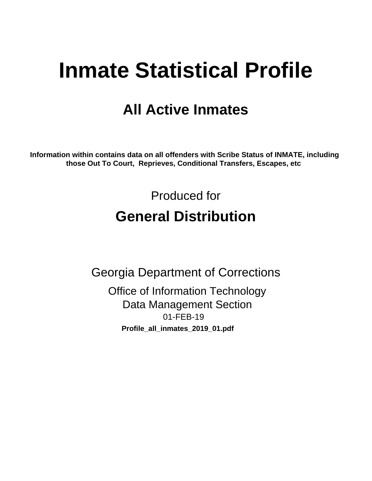# **Inmate Statistical Profile**

## **All Active Inmates**

Information within contains data on all offenders with Scribe Status of INMATE, including those Out To Court, Reprieves, Conditional Transfers, Escapes, etc

> Produced for **General Distribution**

**Georgia Department of Corrections Office of Information Technology Data Management Section** 01-FEB-19 Profile\_all\_inmates\_2019\_01.pdf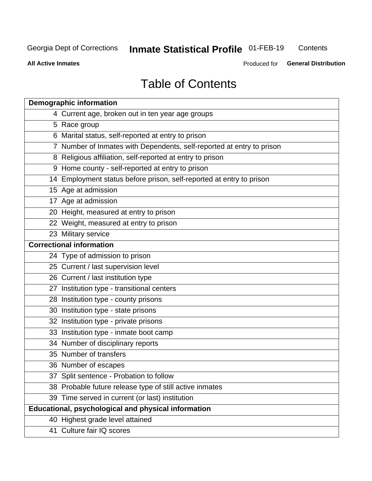#### **Inmate Statistical Profile 01-FEB-19** Contents

**All Active Inmates** 

Produced for General Distribution

## **Table of Contents**

| <b>Demographic information</b>                                        |
|-----------------------------------------------------------------------|
| 4 Current age, broken out in ten year age groups                      |
| 5 Race group                                                          |
| 6 Marital status, self-reported at entry to prison                    |
| 7 Number of Inmates with Dependents, self-reported at entry to prison |
| 8 Religious affiliation, self-reported at entry to prison             |
| 9 Home county - self-reported at entry to prison                      |
| 14 Employment status before prison, self-reported at entry to prison  |
| 15 Age at admission                                                   |
| 17 Age at admission                                                   |
| 20 Height, measured at entry to prison                                |
| 22 Weight, measured at entry to prison                                |
| 23 Military service                                                   |
| <b>Correctional information</b>                                       |
| 24 Type of admission to prison                                        |
| 25 Current / last supervision level                                   |
| 26 Current / last institution type                                    |
| 27 Institution type - transitional centers                            |
| 28 Institution type - county prisons                                  |
| 30 Institution type - state prisons                                   |
| 32 Institution type - private prisons                                 |
| 33 Institution type - inmate boot camp                                |
| 34 Number of disciplinary reports                                     |
| 35 Number of transfers                                                |
| 36 Number of escapes                                                  |
| 37 Split sentence - Probation to follow                               |
| 38 Probable future release type of still active inmates               |
| 39 Time served in current (or last) institution                       |
| Educational, psychological and physical information                   |
| 40 Highest grade level attained                                       |
| 41 Culture fair IQ scores                                             |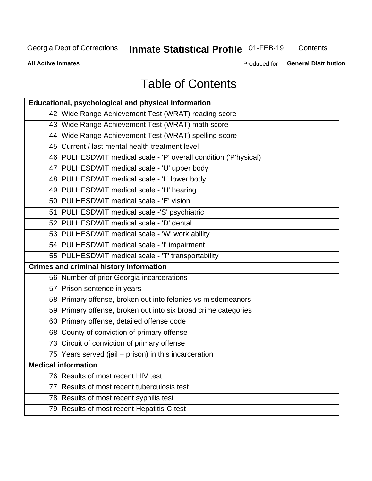## **Inmate Statistical Profile 01-FEB-19**

Contents

**All Active Inmates** 

Produced for General Distribution

## **Table of Contents**

| Educational, psychological and physical information              |
|------------------------------------------------------------------|
| 42 Wide Range Achievement Test (WRAT) reading score              |
| 43 Wide Range Achievement Test (WRAT) math score                 |
| 44 Wide Range Achievement Test (WRAT) spelling score             |
| 45 Current / last mental health treatment level                  |
| 46 PULHESDWIT medical scale - 'P' overall condition ('P'hysical) |
| 47 PULHESDWIT medical scale - 'U' upper body                     |
| 48 PULHESDWIT medical scale - 'L' lower body                     |
| 49 PULHESDWIT medical scale - 'H' hearing                        |
| 50 PULHESDWIT medical scale - 'E' vision                         |
| 51 PULHESDWIT medical scale -'S' psychiatric                     |
| 52 PULHESDWIT medical scale - 'D' dental                         |
| 53 PULHESDWIT medical scale - 'W' work ability                   |
| 54 PULHESDWIT medical scale - 'I' impairment                     |
| 55 PULHESDWIT medical scale - 'T' transportability               |
| <b>Crimes and criminal history information</b>                   |
| 56 Number of prior Georgia incarcerations                        |
| 57 Prison sentence in years                                      |
| 58 Primary offense, broken out into felonies vs misdemeanors     |
| 59 Primary offense, broken out into six broad crime categories   |
| 60 Primary offense, detailed offense code                        |
| 68 County of conviction of primary offense                       |
| 73 Circuit of conviction of primary offense                      |
| 75 Years served (jail + prison) in this incarceration            |
| <b>Medical information</b>                                       |
| 76 Results of most recent HIV test                               |
| 77 Results of most recent tuberculosis test                      |
| 78 Results of most recent syphilis test                          |
| 79 Results of most recent Hepatitis-C test                       |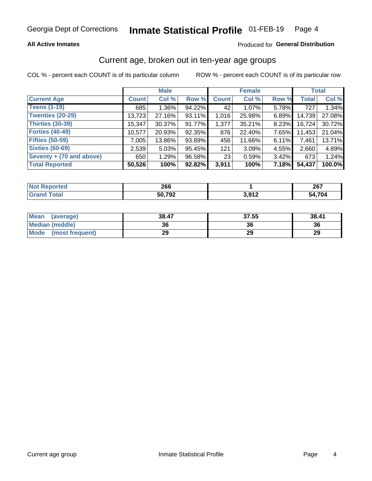#### Inmate Statistical Profile 01-FEB-19 Page 4

## **All Active Inmates**

## Produced for General Distribution

## Current age, broken out in ten-year age groups

COL % - percent each COUNT is of its particular column

|                          |              | <b>Male</b> |        |              | <b>Female</b> |          |        | <b>Total</b> |  |
|--------------------------|--------------|-------------|--------|--------------|---------------|----------|--------|--------------|--|
| <b>Current Age</b>       | <b>Count</b> | Col %       | Row %  | <b>Count</b> | Col %         | Row %    | Total  | Col %        |  |
| <b>Teens (1-19)</b>      | 685          | $1.36\%$    | 94.22% | 42           | $1.07\%$      | 5.78%    | 727    | 1.34%        |  |
| <b>Twenties (20-29)</b>  | 13,723       | 27.16%      | 93.11% | 1,016        | 25.98%        | $6.89\%$ | 14,739 | 27.08%       |  |
| <b>Thirties (30-39)</b>  | 15,347       | 30.37%      | 91.77% | 1,377        | 35.21%        | 8.23%    | 16,724 | 30.72%       |  |
| <b>Forties (40-49)</b>   | 10,577       | 20.93%      | 92.35% | 876          | 22.40%        | 7.65%    | 11,453 | 21.04%       |  |
| <b>Fifties (50-59)</b>   | 7,005        | 13.86%      | 93.89% | 456          | 11.66%        | 6.11%    | 7,461  | 13.71%       |  |
| <b>Sixties (60-69)</b>   | 2,539        | 5.03%       | 95.45% | 121          | 3.09%         | 4.55%    | 2,660  | 4.89%        |  |
| Seventy + (70 and above) | 650          | 1.29%       | 96.58% | 23           | 0.59%         | 3.42%    | 673    | 1.24%        |  |
| <b>Total Reported</b>    | 50,526       | 100%        | 92.82% | 3,911        | 100%          | 7.18%    | 54,437 | 100.0%       |  |

| τeα<br><b>NO</b>  | 266    |         | 007<br>20 I |
|-------------------|--------|---------|-------------|
| $T \cap f \cap f$ | 50.702 | 2 Q1 2  | 4.704       |
|                   | א⊽י    | J,J I 4 | 54          |

| <b>Mean</b><br>(average) | 38.47 | 37.55 | 38.41 |
|--------------------------|-------|-------|-------|
| Median (middle)          | 36    | 36    | 36    |
| Mode<br>(most frequent)  | 29    | 29    | 29    |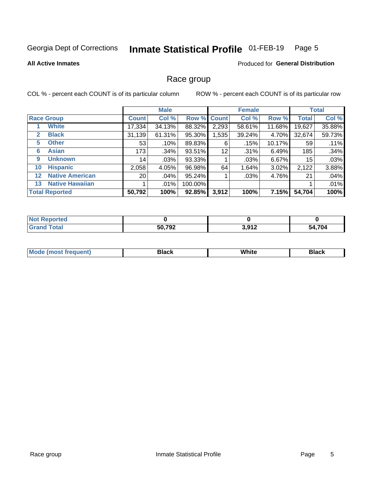#### Inmate Statistical Profile 01-FEB-19 Page 5

### **All Active Inmates**

## **Produced for General Distribution**

## Race group

COL % - percent each COUNT is of its particular column

|                   |                        | <b>Male</b>     |         |         | <b>Female</b> |        |        | <b>Total</b> |        |
|-------------------|------------------------|-----------------|---------|---------|---------------|--------|--------|--------------|--------|
|                   | <b>Race Group</b>      | <b>Count</b>    | Col %   |         | Row % Count   | Col %  | Row %  | <b>Total</b> | Col %  |
|                   | <b>White</b>           | 17,334          | 34.13%  | 88.32%  | 2,293         | 58.61% | 11.68% | 19,627       | 35.88% |
| 2                 | <b>Black</b>           | 31,139          | 61.31%  | 95.30%  | .535          | 39.24% | 4.70%  | 32,674       | 59.73% |
| 5                 | <b>Other</b>           | 53              | .10%    | 89.83%  | 6             | .15%   | 10.17% | 59           | .11%   |
| 6                 | <b>Asian</b>           | 173             | .34%    | 93.51%  | 12            | .31%   | 6.49%  | 185          | .34%   |
| 9                 | <b>Unknown</b>         | 14              | $.03\%$ | 93.33%  |               | .03%   | 6.67%  | 15           | .03%   |
| 10                | <b>Hispanic</b>        | 2,058           | 4.05%   | 96.98%  | 64            | 1.64%  | 3.02%  | 2,122        | 3.88%  |
| $12 \overline{ }$ | <b>Native American</b> | 20 <sub>1</sub> | .04%    | 95.24%  |               | .03%   | 4.76%  | 21           | .04%   |
| 13                | <b>Native Hawaiian</b> |                 | $.01\%$ | 100.00% |               |        |        |              | .01%   |
|                   | <b>Total Reported</b>  | 50,792          | 100%    | 92.85%  | 3,912         | 100%   | 7.15%  | 54,704       | 100%   |

| <b>Not Reported</b> |        |                  |        |
|---------------------|--------|------------------|--------|
| <b>Grand Total</b>  | 50,792 | 2.012<br>J.J I 4 | 54,704 |

| <b>Mode</b><br>---<br>most frequent) | Black | White | <b>Black</b> |
|--------------------------------------|-------|-------|--------------|
|                                      |       |       |              |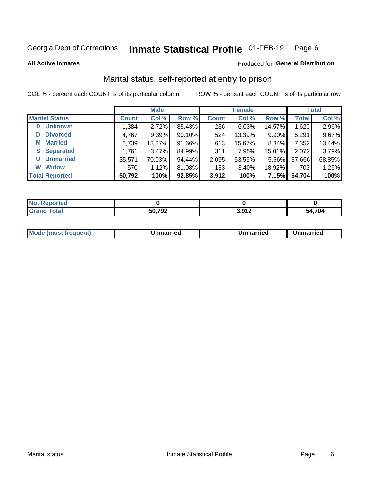#### Inmate Statistical Profile 01-FEB-19 Page 6

**All Active Inmates** 

## Produced for General Distribution

## Marital status, self-reported at entry to prison

COL % - percent each COUNT is of its particular column

|                            | <b>Male</b>  |        |        |              | <b>Female</b> | <b>Total</b> |              |        |
|----------------------------|--------------|--------|--------|--------------|---------------|--------------|--------------|--------|
| <b>Marital Status</b>      | <b>Count</b> | Col %  | Row %  | <b>Count</b> | Col %         | Row %        | <b>Total</b> | Col %  |
| <b>Unknown</b><br>$\bf{0}$ | 1,384        | 2.72%  | 85.43% | 236          | 6.03%         | 14.57%       | 1,620        | 2.96%  |
| <b>Divorced</b><br>D       | 4,767        | 9.39%  | 90.10% | 524          | 13.39%        | 9.90%        | 5,291        | 9.67%  |
| <b>Married</b><br>М        | 6,739        | 13.27% | 91.66% | 613          | 15.67%        | 8.34%        | 7,352        | 13.44% |
| <b>Separated</b><br>S.     | 1,761        | 3.47%  | 84.99% | 311          | 7.95%         | 15.01%       | 2,072        | 3.79%  |
| <b>Unmarried</b><br>U      | 35,571       | 70.03% | 94.44% | 2,095        | 53.55%        | 5.56%        | 37,666       | 68.85% |
| <b>Widow</b><br>W          | 570          | 1.12%  | 81.08% | 133          | 3.40%         | 18.92%       | 703          | 1.29%  |
| <b>Total Reported</b>      | 50,792       | 100%   | 92.85% | 3,912        | 100%          | 7.15%        | 54,704       | 100%   |

| N <sub>of</sub><br>ాorted in |            |                                                            |     |
|------------------------------|------------|------------------------------------------------------------|-----|
| <b>Total</b>                 | <b>702</b> | <b>042</b> כ<br>J.J I 4<br>the contract of the contract of | 704 |

|--|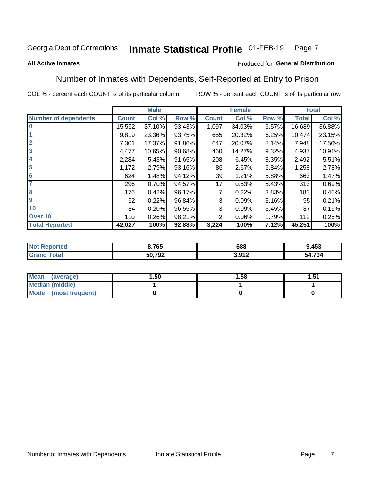#### **Inmate Statistical Profile 01-FEB-19** Page 7

### **All Active Inmates**

## Produced for General Distribution

## Number of Inmates with Dependents, Self-Reported at Entry to Prison

COL % - percent each COUNT is of its particular column

|                             | <b>Male</b>  |        |        | <b>Female</b> | <b>Total</b> |       |              |        |
|-----------------------------|--------------|--------|--------|---------------|--------------|-------|--------------|--------|
| <b>Number of dependents</b> | <b>Count</b> | Col %  | Row %  | <b>Count</b>  | Col %        | Row % | <b>Total</b> | Col %  |
| l 0                         | 15,592       | 37.10% | 93.43% | 1,097         | 34.03%       | 6.57% | 16,689       | 36.88% |
|                             | 9,819        | 23.36% | 93.75% | 655           | 20.32%       | 6.25% | 10,474       | 23.15% |
| $\overline{2}$              | 7,301        | 17.37% | 91.86% | 647           | 20.07%       | 8.14% | 7,948        | 17.56% |
| $\mathbf{3}$                | 4,477        | 10.65% | 90.68% | 460           | 14.27%       | 9.32% | 4,937        | 10.91% |
| $\overline{\mathbf{4}}$     | 2,284        | 5.43%  | 91.65% | 208           | 6.45%        | 8.35% | 2,492        | 5.51%  |
| 5                           | 1,172        | 2.79%  | 93.16% | 86            | 2.67%        | 6.84% | 1,258        | 2.78%  |
| 6                           | 624          | 1.48%  | 94.12% | 39            | 1.21%        | 5.88% | 663          | 1.47%  |
| 7                           | 296          | 0.70%  | 94.57% | 17            | 0.53%        | 5.43% | 313          | 0.69%  |
| 8                           | 176          | 0.42%  | 96.17% | 7             | 0.22%        | 3.83% | 183          | 0.40%  |
| 9                           | 92           | 0.22%  | 96.84% | 3             | 0.09%        | 3.16% | 95           | 0.21%  |
| 10                          | 84           | 0.20%  | 96.55% | 3             | 0.09%        | 3.45% | 87           | 0.19%  |
| Over 10                     | 110          | 0.26%  | 98.21% | 2             | 0.06%        | 1.79% | 112          | 0.25%  |
| <b>Total Reported</b>       | 42,027       | 100%   | 92.88% | 3,224         | 100%         | 7.12% | 45,251       | 100%   |

| 3,765  | 688         | 9,453       |
|--------|-------------|-------------|
| 50.702 | 1 מו ג<br>. | ,704<br>-54 |

| Mean (average)          | 1.50 | 1.58 | 51.، |
|-------------------------|------|------|------|
| <b>Median (middle)</b>  |      |      |      |
| Mode<br>(most frequent) |      |      |      |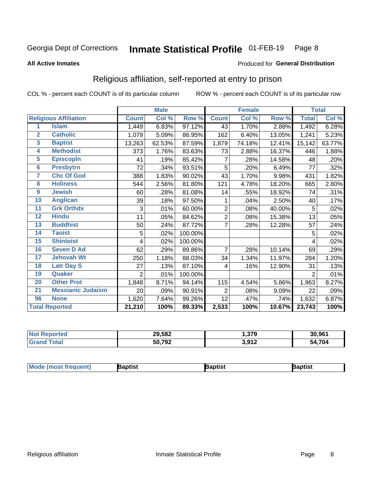#### Inmate Statistical Profile 01-FEB-19 Page 8

### **All Active Inmates**

### Produced for General Distribution

## Religious affiliation, self-reported at entry to prison

COL % - percent each COUNT is of its particular column

|                         |                              |                | <b>Male</b> |         |              | <b>Female</b>             |        |              | <b>Total</b> |
|-------------------------|------------------------------|----------------|-------------|---------|--------------|---------------------------|--------|--------------|--------------|
|                         | <b>Religious Affiliation</b> | <b>Count</b>   | Col %       | Row %   | <b>Count</b> | $\overline{\text{Col}}$ % | Row %  | <b>Total</b> | Col %        |
| 1                       | <b>Islam</b>                 | 1,449          | 6.83%       | 97.12%  | 43           | 1.70%                     | 2.88%  | 1,492        | 6.28%        |
| $\overline{2}$          | <b>Catholic</b>              | 1,079          | 5.09%       | 86.95%  | 162          | 6.40%                     | 13.05% | 1,241        | 5.23%        |
| $\overline{\mathbf{3}}$ | <b>Baptist</b>               | 13,263         | 62.53%      | 87.59%  | 1,879        | 74.18%                    | 12.41% | 15,142       | 63.77%       |
| 4                       | <b>Methodist</b>             | 373            | 1.76%       | 83.63%  | 73           | 2.88%                     | 16.37% | 446          | 1.88%        |
| $\overline{5}$          | <b>EpiscopIn</b>             | 41             | .19%        | 85.42%  | 7            | .28%                      | 14.58% | 48           | .20%         |
| $6\phantom{a}$          | <b>Presbytrn</b>             | 72             | .34%        | 93.51%  | 5            | .20%                      | 6.49%  | 77           | .32%         |
| 7                       | <b>Chc Of God</b>            | 388            | 1.83%       | 90.02%  | 43           | 1.70%                     | 9.98%  | 431          | 1.82%        |
| 8                       | <b>Holiness</b>              | 544            | 2.56%       | 81.80%  | 121          | 4.78%                     | 18.20% | 665          | 2.80%        |
| $\boldsymbol{9}$        | <b>Jewish</b>                | 60             | .28%        | 81.08%  | 14           | .55%                      | 18.92% | 74           | .31%         |
| 10                      | <b>Anglican</b>              | 39             | .18%        | 97.50%  | 1            | .04%                      | 2.50%  | 40           | .17%         |
| 11                      | <b>Grk Orthdx</b>            | 3              | .01%        | 60.00%  | 2            | .08%                      | 40.00% | 5            | .02%         |
| 12                      | <b>Hindu</b>                 | 11             | .05%        | 84.62%  | 2            | .08%                      | 15.38% | 13           | .05%         |
| 13                      | <b>Buddhist</b>              | 50             | .24%        | 87.72%  | 7            | .28%                      | 12.28% | 57           | .24%         |
| 14                      | <b>Taoist</b>                | 5              | .02%        | 100.00% |              |                           |        | 5            | .02%         |
| 15                      | <b>Shintoist</b>             | 4              | .02%        | 100.00% |              |                           |        | 4            | .02%         |
| 16                      | <b>Seven D Ad</b>            | 62             | .29%        | 89.86%  | 7            | .28%                      | 10.14% | 69           | .29%         |
| 17                      | <b>Jehovah Wt</b>            | 250            | 1.18%       | 88.03%  | 34           | 1.34%                     | 11.97% | 284          | 1.20%        |
| 18                      | <b>Latr Day S</b>            | 27             | .13%        | 87.10%  | 4            | .16%                      | 12.90% | 31           | .13%         |
| 19                      | Quaker                       | $\overline{2}$ | .01%        | 100.00% |              |                           |        | 2            | .01%         |
| 20                      | <b>Other Prot</b>            | 1,848          | 8.71%       | 94.14%  | 115          | 4.54%                     | 5.86%  | 1,963        | 8.27%        |
| 21                      | <b>Messianic Judaism</b>     | 20             | .09%        | 90.91%  | 2            | .08%                      | 9.09%  | 22           | .09%         |
| 96                      | <b>None</b>                  | 1,620          | 7.64%       | 99.26%  | 12           | .47%                      | .74%   | 1,632        | 6.87%        |
|                         | <b>Total Reported</b>        | 21,210         | 100%        | 89.33%  | 2,533        | 100%                      | 10.67% | 23,743       | 100%         |

|                   | 29,582 | <b>270</b><br>.J 1 J | 30.961      |
|-------------------|--------|----------------------|-------------|
| $f \sim f \sim f$ | 50,792 | 2 Q1 2<br>J.J I 4    | 4,704<br>٠л |

| <b>Mode (most frequent)</b> | <b>Japtist</b> | Baptist | Baptist |
|-----------------------------|----------------|---------|---------|
|-----------------------------|----------------|---------|---------|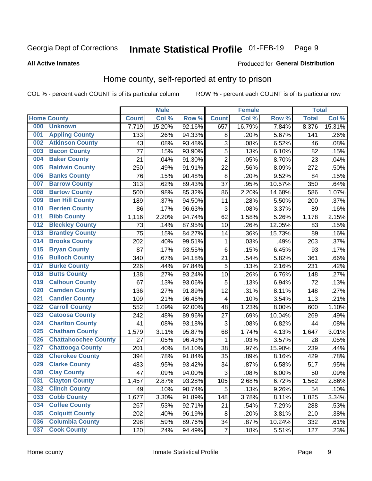#### Inmate Statistical Profile 01-FEB-19 Page 9

### **All Active Inmates**

## **Produced for General Distribution**

## Home county, self-reported at entry to prison

COL % - percent each COUNT is of its particular column

|     |                             |              | <b>Male</b> |                  |                         | <b>Female</b> |        | <b>Total</b> |        |
|-----|-----------------------------|--------------|-------------|------------------|-------------------------|---------------|--------|--------------|--------|
|     | <b>Home County</b>          | <b>Count</b> | Col %       | Row <sup>%</sup> | <b>Count</b>            | Col %         | Row %  | <b>Total</b> | Col %  |
| 000 | <b>Unknown</b>              | 7,719        | 15.20%      | 92.16%           | 657                     | 16.79%        | 7.84%  | 8,376        | 15.31% |
| 001 | <b>Appling County</b>       | 133          | .26%        | 94.33%           | 8                       | .20%          | 5.67%  | 141          | .26%   |
| 002 | <b>Atkinson County</b>      | 43           | .08%        | 93.48%           | 3                       | .08%          | 6.52%  | 46           | .08%   |
| 003 | <b>Bacon County</b>         | 77           | .15%        | 93.90%           | 5                       | .13%          | 6.10%  | 82           | .15%   |
| 004 | <b>Baker County</b>         | 21           | .04%        | 91.30%           | $\overline{2}$          | .05%          | 8.70%  | 23           | .04%   |
| 005 | <b>Baldwin County</b>       | 250          | .49%        | 91.91%           | 22                      | .56%          | 8.09%  | 272          | .50%   |
| 006 | <b>Banks County</b>         | 76           | .15%        | 90.48%           | 8                       | .20%          | 9.52%  | 84           | .15%   |
| 007 | <b>Barrow County</b>        | 313          | .62%        | 89.43%           | 37                      | .95%          | 10.57% | 350          | .64%   |
| 008 | <b>Bartow County</b>        | 500          | .98%        | 85.32%           | 86                      | 2.20%         | 14.68% | 586          | 1.07%  |
| 009 | <b>Ben Hill County</b>      | 189          | .37%        | 94.50%           | 11                      | .28%          | 5.50%  | 200          | .37%   |
| 010 | <b>Berrien County</b>       | 86           | .17%        | 96.63%           | 3                       | .08%          | 3.37%  | 89           | .16%   |
| 011 | <b>Bibb County</b>          | 1,116        | 2.20%       | 94.74%           | 62                      | 1.58%         | 5.26%  | 1,178        | 2.15%  |
| 012 | <b>Bleckley County</b>      | 73           | .14%        | 87.95%           | 10                      | .26%          | 12.05% | 83           | .15%   |
| 013 | <b>Brantley County</b>      | 75           | .15%        | 84.27%           | 14                      | .36%          | 15.73% | 89           | .16%   |
| 014 | <b>Brooks County</b>        | 202          | .40%        | 99.51%           | 1                       | .03%          | .49%   | 203          | .37%   |
| 015 | <b>Bryan County</b>         | 87           | .17%        | 93.55%           | 6                       | .15%          | 6.45%  | 93           | .17%   |
| 016 | <b>Bulloch County</b>       | 340          | .67%        | 94.18%           | 21                      | .54%          | 5.82%  | 361          | .66%   |
| 017 | <b>Burke County</b>         | 226          | .44%        | 97.84%           | 5                       | .13%          | 2.16%  | 231          | .42%   |
| 018 | <b>Butts County</b>         | 138          | .27%        | 93.24%           | 10                      | .26%          | 6.76%  | 148          | .27%   |
| 019 | <b>Calhoun County</b>       | 67           | .13%        | 93.06%           | 5                       | .13%          | 6.94%  | 72           | .13%   |
| 020 | <b>Camden County</b>        | 136          | .27%        | 91.89%           | 12                      | .31%          | 8.11%  | 148          | .27%   |
| 021 | <b>Candler County</b>       | 109          | .21%        | 96.46%           | $\overline{\mathbf{4}}$ | .10%          | 3.54%  | 113          | .21%   |
| 022 | <b>Carroll County</b>       | 552          | 1.09%       | 92.00%           | 48                      | 1.23%         | 8.00%  | 600          | 1.10%  |
| 023 | <b>Catoosa County</b>       | 242          | .48%        | 89.96%           | 27                      | .69%          | 10.04% | 269          | .49%   |
| 024 | <b>Charlton County</b>      | 41           | .08%        | 93.18%           | 3                       | .08%          | 6.82%  | 44           | .08%   |
| 025 | <b>Chatham County</b>       | 1,579        | 3.11%       | 95.87%           | 68                      | 1.74%         | 4.13%  | 1,647        | 3.01%  |
| 026 | <b>Chattahoochee County</b> | 27           | .05%        | 96.43%           | 1                       | .03%          | 3.57%  | 28           | .05%   |
| 027 | <b>Chattooga County</b>     | 201          | .40%        | 84.10%           | 38                      | .97%          | 15.90% | 239          | .44%   |
| 028 | <b>Cherokee County</b>      | 394          | .78%        | 91.84%           | 35                      | .89%          | 8.16%  | 429          | .78%   |
| 029 | <b>Clarke County</b>        | 483          | .95%        | 93.42%           | 34                      | .87%          | 6.58%  | 517          | .95%   |
| 030 | <b>Clay County</b>          | 47           | .09%        | 94.00%           | 3                       | .08%          | 6.00%  | 50           | .09%   |
| 031 | <b>Clayton County</b>       | 1,457        | 2.87%       | 93.28%           | 105                     | 2.68%         | 6.72%  | 1,562        | 2.86%  |
| 032 | <b>Clinch County</b>        | 49           | .10%        | 90.74%           | 5                       | .13%          | 9.26%  | 54           | .10%   |
| 033 | <b>Cobb County</b>          | 1,677        | 3.30%       | 91.89%           | 148                     | 3.78%         | 8.11%  | 1,825        | 3.34%  |
| 034 | <b>Coffee County</b>        | 267          | .53%        | 92.71%           | 21                      | .54%          | 7.29%  | 288          | .53%   |
| 035 | <b>Colquitt County</b>      | 202          | .40%        | 96.19%           | 8                       | .20%          | 3.81%  | 210          | .38%   |
| 036 | <b>Columbia County</b>      | 298          | .59%        | 89.76%           | 34                      | .87%          | 10.24% | 332          | .61%   |
| 037 | <b>Cook County</b>          | 120          | .24%        | 94.49%           | $\overline{7}$          | .18%          | 5.51%  | 127          | .23%   |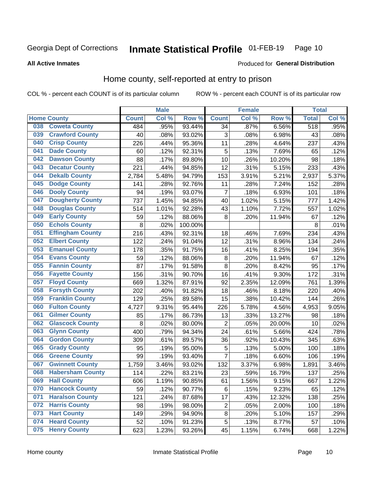#### Inmate Statistical Profile 01-FEB-19 Page 10

**All Active Inmates** 

## **Produced for General Distribution**

## Home county, self-reported at entry to prison

COL % - percent each COUNT is of its particular column

|     |                         |              | <b>Male</b> |                  |                  | <b>Female</b> |        | <b>Total</b> |       |
|-----|-------------------------|--------------|-------------|------------------|------------------|---------------|--------|--------------|-------|
|     | <b>Home County</b>      | <b>Count</b> | Col %       | Row <sup>%</sup> | <b>Count</b>     | Col %         | Row %  | <b>Total</b> | Col % |
| 038 | <b>Coweta County</b>    | 484          | .95%        | 93.44%           | 34               | .87%          | 6.56%  | 518          | .95%  |
| 039 | <b>Crawford County</b>  | 40           | .08%        | 93.02%           | 3                | .08%          | 6.98%  | 43           | .08%  |
| 040 | <b>Crisp County</b>     | 226          | .44%        | 95.36%           | 11               | .28%          | 4.64%  | 237          | .43%  |
| 041 | <b>Dade County</b>      | 60           | .12%        | 92.31%           | 5                | .13%          | 7.69%  | 65           | .12%  |
| 042 | <b>Dawson County</b>    | 88           | .17%        | 89.80%           | 10               | .26%          | 10.20% | 98           | .18%  |
| 043 | <b>Decatur County</b>   | 221          | .44%        | 94.85%           | 12               | .31%          | 5.15%  | 233          | .43%  |
| 044 | <b>Dekalb County</b>    | 2,784        | 5.48%       | 94.79%           | 153              | 3.91%         | 5.21%  | 2,937        | 5.37% |
| 045 | <b>Dodge County</b>     | 141          | .28%        | 92.76%           | 11               | .28%          | 7.24%  | 152          | .28%  |
| 046 | <b>Dooly County</b>     | 94           | .19%        | 93.07%           | 7                | .18%          | 6.93%  | 101          | .18%  |
| 047 | <b>Dougherty County</b> | 737          | 1.45%       | 94.85%           | 40               | 1.02%         | 5.15%  | 777          | 1.42% |
| 048 | <b>Douglas County</b>   | 514          | 1.01%       | 92.28%           | 43               | 1.10%         | 7.72%  | 557          | 1.02% |
| 049 | <b>Early County</b>     | 59           | .12%        | 88.06%           | 8                | .20%          | 11.94% | 67           | .12%  |
| 050 | <b>Echols County</b>    | 8            | .02%        | 100.00%          |                  |               |        | 8            | .01%  |
| 051 | <b>Effingham County</b> | 216          | .43%        | 92.31%           | 18               | .46%          | 7.69%  | 234          | .43%  |
| 052 | <b>Elbert County</b>    | 122          | .24%        | 91.04%           | 12               | .31%          | 8.96%  | 134          | .24%  |
| 053 | <b>Emanuel County</b>   | 178          | .35%        | 91.75%           | 16               | .41%          | 8.25%  | 194          | .35%  |
| 054 | <b>Evans County</b>     | 59           | .12%        | 88.06%           | 8                | .20%          | 11.94% | 67           | .12%  |
| 055 | <b>Fannin County</b>    | 87           | .17%        | 91.58%           | 8                | .20%          | 8.42%  | 95           | .17%  |
| 056 | <b>Fayette County</b>   | 156          | .31%        | 90.70%           | 16               | .41%          | 9.30%  | 172          | .31%  |
| 057 | <b>Floyd County</b>     | 669          | 1.32%       | 87.91%           | 92               | 2.35%         | 12.09% | 761          | 1.39% |
| 058 | <b>Forsyth County</b>   | 202          | .40%        | 91.82%           | 18               | .46%          | 8.18%  | 220          | .40%  |
| 059 | <b>Franklin County</b>  | 129          | .25%        | 89.58%           | 15               | .38%          | 10.42% | 144          | .26%  |
| 060 | <b>Fulton County</b>    | 4,727        | 9.31%       | 95.44%           | 226              | 5.78%         | 4.56%  | 4,953        | 9.05% |
| 061 | <b>Gilmer County</b>    | 85           | .17%        | 86.73%           | 13               | .33%          | 13.27% | 98           | .18%  |
| 062 | <b>Glascock County</b>  | 8            | .02%        | 80.00%           | $\overline{2}$   | .05%          | 20.00% | 10           | .02%  |
| 063 | <b>Glynn County</b>     | 400          | .79%        | 94.34%           | 24               | .61%          | 5.66%  | 424          | .78%  |
| 064 | <b>Gordon County</b>    | 309          | .61%        | 89.57%           | 36               | .92%          | 10.43% | 345          | .63%  |
| 065 | <b>Grady County</b>     | 95           | .19%        | 95.00%           | 5                | .13%          | 5.00%  | 100          | .18%  |
| 066 | <b>Greene County</b>    | 99           | .19%        | 93.40%           | $\overline{7}$   | .18%          | 6.60%  | 106          | .19%  |
| 067 | <b>Gwinnett County</b>  | 1,759        | 3.46%       | 93.02%           | 132              | 3.37%         | 6.98%  | 1,891        | 3.46% |
| 068 | <b>Habersham County</b> | 114          | .22%        | 83.21%           | 23               | .59%          | 16.79% | 137          | .25%  |
| 069 | <b>Hall County</b>      | 606          | 1.19%       | 90.85%           | 61               | 1.56%         | 9.15%  | 667          | 1.22% |
| 070 | <b>Hancock County</b>   | 59           | .12%        | 90.77%           | 6                | .15%          | 9.23%  | 65           | .12%  |
| 071 | <b>Haralson County</b>  | 121          | .24%        | 87.68%           | 17               | .43%          | 12.32% | 138          | .25%  |
| 072 | <b>Harris County</b>    | 98           | .19%        | 98.00%           | $\boldsymbol{2}$ | .05%          | 2.00%  | 100          | .18%  |
| 073 | <b>Hart County</b>      | 149          | .29%        | 94.90%           | 8                | .20%          | 5.10%  | 157          | .29%  |
| 074 | <b>Heard County</b>     | 52           | .10%        | 91.23%           | $\mathbf 5$      | .13%          | 8.77%  | 57           | .10%  |
| 075 | <b>Henry County</b>     | 623          | 1.23%       | 93.26%           | 45               | 1.15%         | 6.74%  | 668          | 1.22% |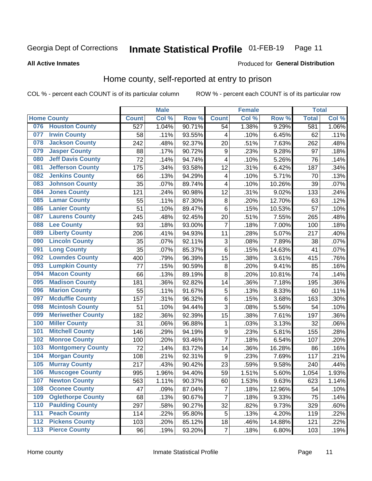#### Inmate Statistical Profile 01-FEB-19 Page 11

## **All Active Inmates**

## **Produced for General Distribution**

## Home county, self-reported at entry to prison

COL % - percent each COUNT is of its particular column

|       |                          |                  | <b>Male</b> |        |                         | <b>Female</b> |        | <b>Total</b> |       |
|-------|--------------------------|------------------|-------------|--------|-------------------------|---------------|--------|--------------|-------|
|       | <b>Home County</b>       | <b>Count</b>     | Col %       | Row %  | <b>Count</b>            | Col %         | Row %  | <b>Total</b> | Col % |
| 076   | <b>Houston County</b>    | $\overline{527}$ | 1.04%       | 90.71% | 54                      | 1.38%         | 9.29%  | 581          | 1.06% |
| 077   | <b>Irwin County</b>      | 58               | .11%        | 93.55% | 4                       | .10%          | 6.45%  | 62           | .11%  |
| 078   | <b>Jackson County</b>    | 242              | .48%        | 92.37% | 20                      | .51%          | 7.63%  | 262          | .48%  |
| 079   | <b>Jasper County</b>     | 88               | .17%        | 90.72% | 9                       | .23%          | 9.28%  | 97           | .18%  |
| 080   | <b>Jeff Davis County</b> | 72               | .14%        | 94.74% | $\overline{\mathbf{4}}$ | .10%          | 5.26%  | 76           | .14%  |
| 081   | <b>Jefferson County</b>  | 175              | .34%        | 93.58% | 12                      | .31%          | 6.42%  | 187          | .34%  |
| 082   | <b>Jenkins County</b>    | 66               | .13%        | 94.29% | $\overline{\mathbf{4}}$ | .10%          | 5.71%  | 70           | .13%  |
| 083   | <b>Johnson County</b>    | 35               | .07%        | 89.74% | 4                       | .10%          | 10.26% | 39           | .07%  |
| 084   | <b>Jones County</b>      | 121              | .24%        | 90.98% | 12                      | .31%          | 9.02%  | 133          | .24%  |
| 085   | <b>Lamar County</b>      | 55               | .11%        | 87.30% | 8                       | .20%          | 12.70% | 63           | .12%  |
| 086   | <b>Lanier County</b>     | 51               | .10%        | 89.47% | 6                       | .15%          | 10.53% | 57           | .10%  |
| 087   | <b>Laurens County</b>    | 245              | .48%        | 92.45% | 20                      | .51%          | 7.55%  | 265          | .48%  |
| 088   | <b>Lee County</b>        | 93               | .18%        | 93.00% | 7                       | .18%          | 7.00%  | 100          | .18%  |
| 089   | <b>Liberty County</b>    | 206              | .41%        | 94.93% | 11                      | .28%          | 5.07%  | 217          | .40%  |
| 090   | <b>Lincoln County</b>    | 35               | .07%        | 92.11% | 3                       | .08%          | 7.89%  | 38           | .07%  |
| 091   | <b>Long County</b>       | 35               | .07%        | 85.37% | 6                       | .15%          | 14.63% | 41           | .07%  |
| 092   | <b>Lowndes County</b>    | 400              | .79%        | 96.39% | 15                      | .38%          | 3.61%  | 415          | .76%  |
| 093   | <b>Lumpkin County</b>    | 77               | .15%        | 90.59% | 8                       | .20%          | 9.41%  | 85           | .16%  |
| 094   | <b>Macon County</b>      | 66               | .13%        | 89.19% | 8                       | .20%          | 10.81% | 74           | .14%  |
| 095   | <b>Madison County</b>    | 181              | .36%        | 92.82% | 14                      | .36%          | 7.18%  | 195          | .36%  |
| 096   | <b>Marion County</b>     | 55               | .11%        | 91.67% | 5                       | .13%          | 8.33%  | 60           | .11%  |
| 097   | <b>Mcduffie County</b>   | 157              | .31%        | 96.32% | 6                       | .15%          | 3.68%  | 163          | .30%  |
| 098   | <b>Mcintosh County</b>   | 51               | .10%        | 94.44% | $\overline{3}$          | .08%          | 5.56%  | 54           | .10%  |
| 099   | <b>Meriwether County</b> | 182              | .36%        | 92.39% | 15                      | .38%          | 7.61%  | 197          | .36%  |
| 100   | <b>Miller County</b>     | 31               | .06%        | 96.88% | 1                       | .03%          | 3.13%  | 32           | .06%  |
| 101   | <b>Mitchell County</b>   | 146              | .29%        | 94.19% | 9                       | .23%          | 5.81%  | 155          | .28%  |
| 102   | <b>Monroe County</b>     | 100              | .20%        | 93.46% | $\overline{7}$          | .18%          | 6.54%  | 107          | .20%  |
| 103   | <b>Montgomery County</b> | 72               | .14%        | 83.72% | 14                      | .36%          | 16.28% | 86           | .16%  |
| 104   | <b>Morgan County</b>     | 108              | .21%        | 92.31% | 9                       | .23%          | 7.69%  | 117          | .21%  |
| 105   | <b>Murray County</b>     | 217              | .43%        | 90.42% | 23                      | .59%          | 9.58%  | 240          | .44%  |
| 106   | <b>Muscogee County</b>   | 995              | 1.96%       | 94.40% | 59                      | 1.51%         | 5.60%  | 1,054        | 1.93% |
| 107   | <b>Newton County</b>     | 563              | 1.11%       | 90.37% | 60                      | 1.53%         | 9.63%  | 623          | 1.14% |
| 108   | <b>Oconee County</b>     | 47               | .09%        | 87.04% | $\overline{7}$          | .18%          | 12.96% | 54           | .10%  |
| 109   | <b>Oglethorpe County</b> | 68               | .13%        | 90.67% | $\overline{7}$          | .18%          | 9.33%  | 75           | .14%  |
| 110   | <b>Paulding County</b>   | 297              | .58%        | 90.27% | 32                      | .82%          | 9.73%  | 329          | .60%  |
| 111   | <b>Peach County</b>      | 114              | .22%        | 95.80% | 5                       | .13%          | 4.20%  | 119          | .22%  |
| 112   | <b>Pickens County</b>    | 103              | .20%        | 85.12% | 18                      | .46%          | 14.88% | 121          | .22%  |
| $113$ | <b>Pierce County</b>     | 96               | .19%        | 93.20% | 7                       | .18%          | 6.80%  | 103          | .19%  |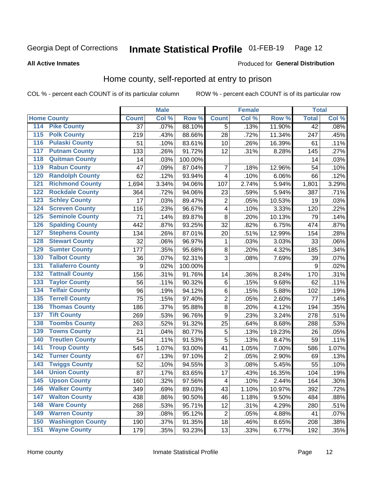#### Inmate Statistical Profile 01-FEB-19 Page 12

## **All Active Inmates**

## Produced for General Distribution

## Home county, self-reported at entry to prison

COL % - percent each COUNT is of its particular column

|                  |                          |              | <b>Male</b> |                  |                | <b>Female</b> |        | <b>Total</b>    |       |
|------------------|--------------------------|--------------|-------------|------------------|----------------|---------------|--------|-----------------|-------|
|                  | <b>Home County</b>       | <b>Count</b> | Col %       | Row <sup>%</sup> | <b>Count</b>   | Col %         | Row %  | <b>Total</b>    | Col % |
| 114              | <b>Pike County</b>       | 37           | .07%        | 88.10%           | 5              | .13%          | 11.90% | $\overline{42}$ | .08%  |
| 115              | <b>Polk County</b>       | 219          | .43%        | 88.66%           | 28             | .72%          | 11.34% | 247             | .45%  |
| 116              | <b>Pulaski County</b>    | 51           | .10%        | 83.61%           | 10             | .26%          | 16.39% | 61              | .11%  |
| 117              | <b>Putnam County</b>     | 133          | .26%        | 91.72%           | 12             | .31%          | 8.28%  | 145             | .27%  |
| 118              | <b>Quitman County</b>    | 14           | .03%        | 100.00%          |                |               |        | 14              | .03%  |
| 119              | <b>Rabun County</b>      | 47           | .09%        | 87.04%           | $\overline{7}$ | .18%          | 12.96% | 54              | .10%  |
| 120              | <b>Randolph County</b>   | 62           | .12%        | 93.94%           | 4              | .10%          | 6.06%  | 66              | .12%  |
| 121              | <b>Richmond County</b>   | 1,694        | 3.34%       | 94.06%           | 107            | 2.74%         | 5.94%  | 1,801           | 3.29% |
| 122              | <b>Rockdale County</b>   | 364          | .72%        | 94.06%           | 23             | .59%          | 5.94%  | 387             | .71%  |
| 123              | <b>Schley County</b>     | 17           | .03%        | 89.47%           | $\overline{2}$ | .05%          | 10.53% | 19              | .03%  |
| 124              | <b>Screven County</b>    | 116          | .23%        | 96.67%           | $\overline{4}$ | .10%          | 3.33%  | 120             | .22%  |
| 125              | <b>Seminole County</b>   | 71           | .14%        | 89.87%           | 8              | .20%          | 10.13% | 79              | .14%  |
| 126              | <b>Spalding County</b>   | 442          | .87%        | 93.25%           | 32             | .82%          | 6.75%  | 474             | .87%  |
| 127              | <b>Stephens County</b>   | 134          | .26%        | 87.01%           | 20             | .51%          | 12.99% | 154             | .28%  |
| 128              | <b>Stewart County</b>    | 32           | .06%        | 96.97%           | $\mathbf{1}$   | .03%          | 3.03%  | 33              | .06%  |
| 129              | <b>Sumter County</b>     | 177          | .35%        | 95.68%           | 8              | .20%          | 4.32%  | 185             | .34%  |
| 130              | <b>Talbot County</b>     | 36           | .07%        | 92.31%           | 3              | .08%          | 7.69%  | 39              | .07%  |
| 131              | <b>Taliaferro County</b> | 9            | .02%        | 100.00%          |                |               |        | 9               | .02%  |
| 132              | <b>Tattnall County</b>   | 156          | .31%        | 91.76%           | 14             | .36%          | 8.24%  | 170             | .31%  |
| 133              | <b>Taylor County</b>     | 56           | .11%        | 90.32%           | $\,6$          | .15%          | 9.68%  | 62              | .11%  |
| 134              | <b>Telfair County</b>    | 96           | .19%        | 94.12%           | $\,6$          | .15%          | 5.88%  | 102             | .19%  |
| $\overline{135}$ | <b>Terrell County</b>    | 75           | .15%        | 97.40%           | $\overline{c}$ | .05%          | 2.60%  | 77              | .14%  |
| 136              | <b>Thomas County</b>     | 186          | .37%        | 95.88%           | $\bf 8$        | .20%          | 4.12%  | 194             | .35%  |
| 137              | <b>Tift County</b>       | 269          | .53%        | 96.76%           | 9              | .23%          | 3.24%  | 278             | .51%  |
| 138              | <b>Toombs County</b>     | 263          | .52%        | 91.32%           | 25             | .64%          | 8.68%  | 288             | .53%  |
| 139              | <b>Towns County</b>      | 21           | .04%        | 80.77%           | 5              | .13%          | 19.23% | 26              | .05%  |
| 140              | <b>Treutlen County</b>   | 54           | .11%        | 91.53%           | 5              | .13%          | 8.47%  | 59              | .11%  |
| 141              | <b>Troup County</b>      | 545          | 1.07%       | 93.00%           | 41             | 1.05%         | 7.00%  | 586             | 1.07% |
| $\overline{142}$ | <b>Turner County</b>     | 67           | .13%        | 97.10%           | 2              | .05%          | 2.90%  | 69              | .13%  |
| 143              | <b>Twiggs County</b>     | 52           | .10%        | 94.55%           | 3              | .08%          | 5.45%  | 55              | .10%  |
| 144              | <b>Union County</b>      | 87           | .17%        | 83.65%           | 17             | .43%          | 16.35% | 104             | .19%  |
| 145              | <b>Upson County</b>      | 160          | .32%        | 97.56%           | 4              | .10%          | 2.44%  | 164             | .30%  |
| 146              | <b>Walker County</b>     | 349          | .69%        | 89.03%           | 43             | 1.10%         | 10.97% | 392             | .72%  |
| 147              | <b>Walton County</b>     | 438          | .86%        | 90.50%           | 46             | 1.18%         | 9.50%  | 484             | .88%  |
| 148              | <b>Ware County</b>       | 268          | .53%        | 95.71%           | 12             | .31%          | 4.29%  | 280             | .51%  |
| 149              | <b>Warren County</b>     | 39           | .08%        | 95.12%           | $\overline{2}$ | .05%          | 4.88%  | 41              | .07%  |
| 150              | <b>Washington County</b> | 190          | .37%        | 91.35%           | 18             | .46%          | 8.65%  | 208             | .38%  |
| 151              | <b>Wayne County</b>      | 179          | .35%        | 93.23%           | 13             | .33%          | 6.77%  | 192             | .35%  |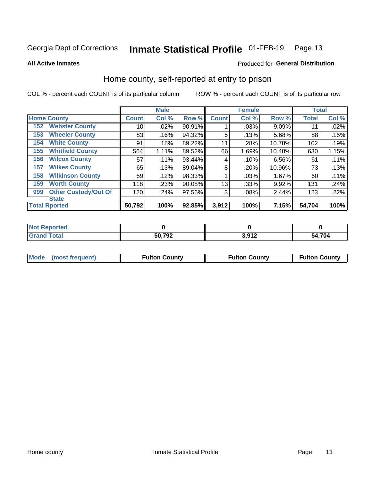#### Inmate Statistical Profile 01-FEB-19 Page 13

**All Active Inmates** 

## Produced for General Distribution

## Home county, self-reported at entry to prison

COL % - percent each COUNT is of its particular column

|     |                             |              | <b>Male</b> |        |              | <b>Female</b> |           | <b>Total</b> |       |
|-----|-----------------------------|--------------|-------------|--------|--------------|---------------|-----------|--------------|-------|
|     | <b>Home County</b>          | <b>Count</b> | Col %       | Row %  | <b>Count</b> | Col %         | Row %     | <b>Total</b> | Col % |
| 152 | <b>Webster County</b>       | 10           | .02%        | 90.91% |              | .03%          | 9.09%     | 11           | .02%  |
| 153 | <b>Wheeler County</b>       | 83           | .16%        | 94.32% | 5            | .13%          | 5.68%     | 88           | .16%  |
| 154 | <b>White County</b>         | 91           | .18%        | 89.22% | 11           | .28%          | 10.78%    | 102          | .19%  |
| 155 | <b>Whitfield County</b>     | 564          | 1.11%       | 89.52% | 66           | 1.69%         | $10.48\%$ | 630          | 1.15% |
| 156 | <b>Wilcox County</b>        | 57           | .11%        | 93.44% | 4            | .10%          | 6.56%     | 61           | .11%  |
| 157 | <b>Wilkes County</b>        | 65           | .13%        | 89.04% | 8            | .20%          | 10.96%    | 73           | .13%  |
| 158 | <b>Wilkinson County</b>     | 59           | .12%        | 98.33% |              | .03%          | 1.67%     | 60           | .11%  |
| 159 | <b>Worth County</b>         | 118          | .23%        | 90.08% | 13           | .33%          | 9.92%     | 131          | .24%  |
| 999 | <b>Other Custody/Out Of</b> | 120          | .24%        | 97.56% | 3            | .08%          | 2.44%     | 123          | .22%  |
|     | <b>State</b>                |              |             |        |              |               |           |              |       |
|     | <b>Total Rported</b>        | 50,792       | 100%        | 92.85% | 3,912        | 100%          | 7.15%     | 54,704       | 100%  |

| <b>Not</b><br>Reported |        |                 |        |
|------------------------|--------|-----------------|--------|
| <b>Total</b>           | 50,792 | 2.012<br>או טוי | 54,704 |

| Mode (most frequent) | <b>Fulton County</b> | <b>Fulton County</b> | <b>Fulton County</b> |
|----------------------|----------------------|----------------------|----------------------|
|                      |                      |                      |                      |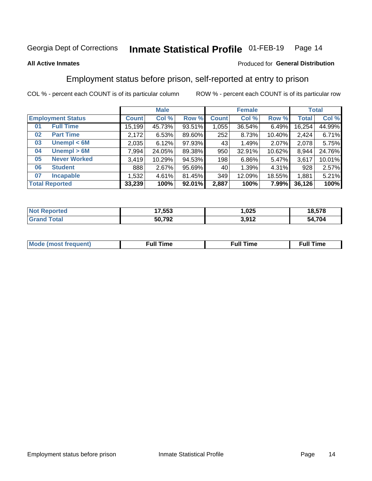#### Inmate Statistical Profile 01-FEB-19 Page 14

## **All Active Inmates**

## Produced for General Distribution

## Employment status before prison, self-reported at entry to prison

COL % - percent each COUNT is of its particular column

|                           |              | <b>Male</b> |        |              | <b>Female</b> |          |              | <b>Total</b> |  |
|---------------------------|--------------|-------------|--------|--------------|---------------|----------|--------------|--------------|--|
| <b>Employment Status</b>  | <b>Count</b> | Col %       | Row %  | <b>Count</b> | Col %         | Row %    | <b>Total</b> | Col %        |  |
| <b>Full Time</b><br>01    | 15,199       | 45.73%      | 93.51% | 1,055        | 36.54%        | $6.49\%$ | 16,254       | 44.99%       |  |
| <b>Part Time</b><br>02    | 2,172        | 6.53%       | 89.60% | 252          | 8.73%         | 10.40%   | 2,424        | 6.71%        |  |
| Unempl $<$ 6M<br>03       | 2,035        | 6.12%       | 97.93% | 43           | 1.49%         | 2.07%    | 2,078        | 5.75%        |  |
| Unempl > 6M<br>04         | 7,994        | 24.05%      | 89.38% | 950          | 32.91%        | 10.62%   | 8,944        | 24.76%       |  |
| <b>Never Worked</b><br>05 | 3,419        | 10.29%      | 94.53% | 198          | 6.86%         | 5.47%    | 3,617        | 10.01%       |  |
| <b>Student</b><br>06      | 888          | 2.67%       | 95.69% | 40           | 1.39%         | 4.31%    | 928          | 2.57%        |  |
| <b>Incapable</b><br>07    | 1,532        | 4.61%       | 81.45% | 349          | 12.09%        | 18.55%   | 1,881        | 5.21%        |  |
| <b>Total Reported</b>     | 33,239       | 100%        | 92.01% | 2,887        | 100%          | 7.99%    | 36,126       | 100%         |  |

| $N = 1$<br>norted<br>NO | 17.553 | ,025             | 18,578 |
|-------------------------|--------|------------------|--------|
| $F_{\mathbf{A}}$        | 50,792 | 2 Q12<br>J.J I L | 54,704 |

| Mc | ∙u∥<br>----<br>ıme | ίuΙ<br>Πmε |
|----|--------------------|------------|
|    |                    |            |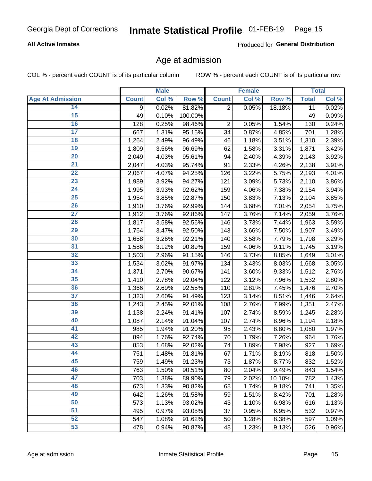#### Inmate Statistical Profile 01-FEB-19 Page 15

## **All Active Inmates**

Produced for General Distribution

## Age at admission

COL % - percent each COUNT is of its particular column

|                         |              | <b>Male</b> |         |                | <b>Female</b> |        |              | <b>Total</b> |
|-------------------------|--------------|-------------|---------|----------------|---------------|--------|--------------|--------------|
| <b>Age At Admission</b> | <b>Count</b> | Col %       | Row %   | <b>Count</b>   | Col %         | Row %  | <b>Total</b> | Col %        |
| 14                      | 9            | 0.02%       | 81.82%  | $\overline{2}$ | 0.05%         | 18.18% | 11           | 0.02%        |
| 15                      | 49           | 0.10%       | 100.00% |                |               |        | 49           | 0.09%        |
| 16                      | 128          | 0.25%       | 98.46%  | $\overline{2}$ | 0.05%         | 1.54%  | 130          | 0.24%        |
| $\overline{17}$         | 667          | 1.31%       | 95.15%  | 34             | 0.87%         | 4.85%  | 701          | 1.28%        |
| $\overline{18}$         | 1,264        | 2.49%       | 96.49%  | 46             | 1.18%         | 3.51%  | 1,310        | 2.39%        |
| 19                      | 1,809        | 3.56%       | 96.69%  | 62             | 1.58%         | 3.31%  | 1,871        | 3.42%        |
| 20                      | 2,049        | 4.03%       | 95.61%  | 94             | 2.40%         | 4.39%  | 2,143        | 3.92%        |
| $\overline{21}$         | 2,047        | 4.03%       | 95.74%  | 91             | 2.33%         | 4.26%  | 2,138        | 3.91%        |
| $\overline{22}$         | 2,067        | 4.07%       | 94.25%  | 126            | 3.22%         | 5.75%  | 2,193        | 4.01%        |
| $\overline{23}$         | 1,989        | 3.92%       | 94.27%  | 121            | 3.09%         | 5.73%  | 2,110        | 3.86%        |
| 24                      | 1,995        | 3.93%       | 92.62%  | 159            | 4.06%         | 7.38%  | 2,154        | 3.94%        |
| $\overline{25}$         | 1,954        | 3.85%       | 92.87%  | 150            | 3.83%         | 7.13%  | 2,104        | 3.85%        |
| $\overline{26}$         | 1,910        | 3.76%       | 92.99%  | 144            | 3.68%         | 7.01%  | 2,054        | 3.75%        |
| $\overline{27}$         | 1,912        | 3.76%       | 92.86%  | 147            | 3.76%         | 7.14%  | 2,059        | 3.76%        |
| 28                      | 1,817        | 3.58%       | 92.56%  | 146            | 3.73%         | 7.44%  | 1,963        | 3.59%        |
| 29                      | 1,764        | 3.47%       | 92.50%  | 143            | 3.66%         | 7.50%  | 1,907        | 3.49%        |
| 30                      | 1,658        | 3.26%       | 92.21%  | 140            | 3.58%         | 7.79%  | 1,798        | 3.29%        |
| 31                      | 1,586        | 3.12%       | 90.89%  | 159            | 4.06%         | 9.11%  | 1,745        | 3.19%        |
| 32                      | 1,503        | 2.96%       | 91.15%  | 146            | 3.73%         | 8.85%  | 1,649        | 3.01%        |
| 33                      | 1,534        | 3.02%       | 91.97%  | 134            | 3.43%         | 8.03%  | 1,668        | 3.05%        |
| 34                      | 1,371        | 2.70%       | 90.67%  | 141            | 3.60%         | 9.33%  | 1,512        | 2.76%        |
| 35                      | 1,410        | 2.78%       | 92.04%  | 122            | 3.12%         | 7.96%  | 1,532        | 2.80%        |
| 36                      | 1,366        | 2.69%       | 92.55%  | 110            | 2.81%         | 7.45%  | 1,476        | 2.70%        |
| $\overline{37}$         | 1,323        | 2.60%       | 91.49%  | 123            | 3.14%         | 8.51%  | 1,446        | 2.64%        |
| 38                      | 1,243        | 2.45%       | 92.01%  | 108            | 2.76%         | 7.99%  | 1,351        | 2.47%        |
| 39                      | 1,138        | 2.24%       | 91.41%  | 107            | 2.74%         | 8.59%  | 1,245        | 2.28%        |
| 40                      | 1,087        | 2.14%       | 91.04%  | 107            | 2.74%         | 8.96%  | 1,194        | 2.18%        |
| 41                      | 985          | 1.94%       | 91.20%  | 95             | 2.43%         | 8.80%  | 1,080        | 1.97%        |
| 42                      | 894          | 1.76%       | 92.74%  | 70             | 1.79%         | 7.26%  | 964          | 1.76%        |
| 43                      | 853          | 1.68%       | 92.02%  | 74             | 1.89%         | 7.98%  | 927          | 1.69%        |
| 44                      | 751          | 1.48%       | 91.81%  | 67             | 1.71%         | 8.19%  | 818          | 1.50%        |
| 45                      | 759          | 1.49%       | 91.23%  | 73             | 1.87%         | 8.77%  | 832          | 1.52%        |
| 46                      | 763          | 1.50%       | 90.51%  | 80             | 2.04%         | 9.49%  | 843          | 1.54%        |
| 47                      | 703          | 1.38%       | 89.90%  | 79             | 2.02%         | 10.10% | 782          | 1.43%        |
| 48                      | 673          | 1.33%       | 90.82%  | 68             | 1.74%         | 9.18%  | 741          | 1.35%        |
| 49                      | 642          | 1.26%       | 91.58%  | 59             | 1.51%         | 8.42%  | 701          | 1.28%        |
| 50                      | 573          | 1.13%       | 93.02%  | 43             | 1.10%         | 6.98%  | 616          | 1.13%        |
| 51                      | 495          | 0.97%       | 93.05%  | 37             | 0.95%         | 6.95%  | 532          | 0.97%        |
| 52                      | 547          | 1.08%       | 91.62%  | 50             | 1.28%         | 8.38%  | 597          | 1.09%        |
| 53                      | 478          | 0.94%       | 90.87%  | 48             | 1.23%         | 9.13%  | 526          | 0.96%        |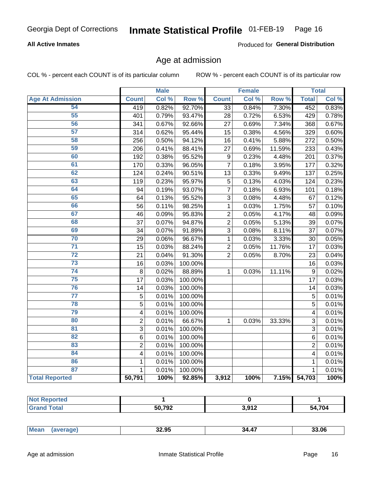## Inmate Statistical Profile 01-FEB-19 Page 16

## **All Active Inmates**

Produced for General Distribution

## Age at admission

COL % - percent each COUNT is of its particular column

|                         |                         | <b>Male</b> |         |                 | <b>Female</b> |        |                | <b>Total</b> |
|-------------------------|-------------------------|-------------|---------|-----------------|---------------|--------|----------------|--------------|
| <b>Age At Admission</b> | <b>Count</b>            | Col %       | Row %   | <b>Count</b>    | Col %         | Row %  | <b>Total</b>   | Col %        |
| 54                      | 419                     | 0.82%       | 92.70%  | $\overline{33}$ | 0.84%         | 7.30%  | 452            | 0.83%        |
| $\overline{55}$         | 401                     | 0.79%       | 93.47%  | 28              | 0.72%         | 6.53%  | 429            | 0.78%        |
| 56                      | 341                     | 0.67%       | 92.66%  | 27              | 0.69%         | 7.34%  | 368            | 0.67%        |
| 57                      | 314                     | 0.62%       | 95.44%  | 15              | 0.38%         | 4.56%  | 329            | 0.60%        |
| 58                      | 256                     | 0.50%       | 94.12%  | 16              | 0.41%         | 5.88%  | 272            | 0.50%        |
| 59                      | 206                     | 0.41%       | 88.41%  | 27              | 0.69%         | 11.59% | 233            | 0.43%        |
| 60                      | 192                     | 0.38%       | 95.52%  | 9               | 0.23%         | 4.48%  | 201            | 0.37%        |
| 61                      | 170                     | 0.33%       | 96.05%  | 7               | 0.18%         | 3.95%  | 177            | 0.32%        |
| 62                      | 124                     | 0.24%       | 90.51%  | 13              | 0.33%         | 9.49%  | 137            | 0.25%        |
| 63                      | 119                     | 0.23%       | 95.97%  | 5               | 0.13%         | 4.03%  | 124            | 0.23%        |
| 64                      | 94                      | 0.19%       | 93.07%  | $\overline{7}$  | 0.18%         | 6.93%  | 101            | 0.18%        |
| 65                      | 64                      | 0.13%       | 95.52%  | 3               | 0.08%         | 4.48%  | 67             | 0.12%        |
| 66                      | 56                      | 0.11%       | 98.25%  | $\mathbf 1$     | 0.03%         | 1.75%  | 57             | 0.10%        |
| 67                      | 46                      | 0.09%       | 95.83%  | $\overline{2}$  | 0.05%         | 4.17%  | 48             | 0.09%        |
| 68                      | 37                      | 0.07%       | 94.87%  | $\overline{2}$  | 0.05%         | 5.13%  | 39             | 0.07%        |
| 69                      | 34                      | 0.07%       | 91.89%  | 3               | 0.08%         | 8.11%  | 37             | 0.07%        |
| 70                      | 29                      | 0.06%       | 96.67%  | $\mathbf{1}$    | 0.03%         | 3.33%  | 30             | 0.05%        |
| $\overline{71}$         | 15                      | 0.03%       | 88.24%  | $\overline{2}$  | 0.05%         | 11.76% | 17             | 0.03%        |
| $\overline{72}$         | 21                      | 0.04%       | 91.30%  | $\overline{2}$  | 0.05%         | 8.70%  | 23             | 0.04%        |
| $\overline{73}$         | 16                      | 0.03%       | 100.00% |                 |               |        | 16             | 0.03%        |
| 74                      | 8                       | 0.02%       | 88.89%  | $\mathbf{1}$    | 0.03%         | 11.11% | $\mathsf g$    | 0.02%        |
| 75                      | 17                      | 0.03%       | 100.00% |                 |               |        | 17             | 0.03%        |
| 76                      | 14                      | 0.03%       | 100.00% |                 |               |        | 14             | 0.03%        |
| $\overline{77}$         | $\overline{5}$          | 0.01%       | 100.00% |                 |               |        | $\overline{5}$ | 0.01%        |
| 78                      | $\overline{5}$          | 0.01%       | 100.00% |                 |               |        | $\overline{5}$ | 0.01%        |
| 79                      | $\overline{\mathbf{4}}$ | 0.01%       | 100.00% |                 |               |        | 4              | 0.01%        |
| 80                      | $\overline{c}$          | 0.01%       | 66.67%  | 1               | 0.03%         | 33.33% | $\overline{3}$ | 0.01%        |
| 81                      | $\overline{3}$          | 0.01%       | 100.00% |                 |               |        | $\overline{3}$ | 0.01%        |
| 82                      | 6                       | 0.01%       | 100.00% |                 |               |        | 6              | 0.01%        |
| 83                      | $\overline{2}$          | 0.01%       | 100.00% |                 |               |        | $\overline{2}$ | 0.01%        |
| 84                      | $\overline{\mathbf{4}}$ | 0.01%       | 100.00% |                 |               |        | 4              | 0.01%        |
| 86                      | $\mathbf{1}$            | 0.01%       | 100.00% |                 |               |        | 1              | 0.01%        |
| 87                      | $\mathbf{1}$            | 0.01%       | 100.00% |                 |               |        | $\mathbf{1}$   | 0.01%        |
| <b>Total Reported</b>   | 50,791                  | 100%        | 92.85%  | 3,912           | 100%          | 7.15%  | 54,703         | 100%         |

| <b>50.702</b><br>94 | 2012<br>J,J I L | 54,704 |
|---------------------|-----------------|--------|

|  | <b>Me</b> | חה הה<br>32.YS | 34<br>л. | 3.06 |
|--|-----------|----------------|----------|------|
|--|-----------|----------------|----------|------|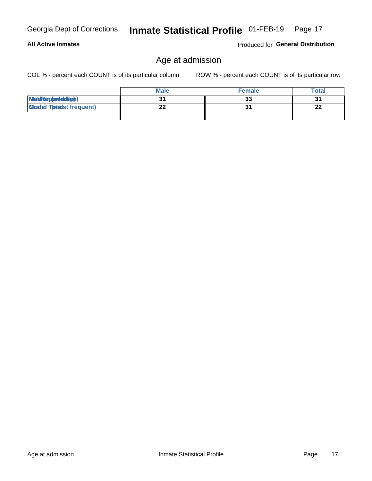**All Active Inmates** 

## Age at admission

COL % - percent each COUNT is of its particular column

ROW % - percent each COUNT is of its particular row

|                                  | <b>Male</b> | <b>Female</b>  | Total          |
|----------------------------------|-------------|----------------|----------------|
| MetiRep(aniektlig)               |             | 33             | 3 <sup>1</sup> |
| <b>Micaded Tomadst frequent)</b> |             | 3 <sup>1</sup> | ne.<br>44      |
|                                  |             |                |                |

Produced for General Distribution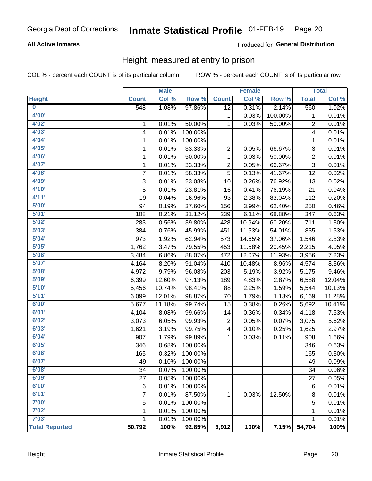#### Inmate Statistical Profile 01-FEB-19 Page 20

## **All Active Inmates**

## Produced for General Distribution

## Height, measured at entry to prison

COL % - percent each COUNT is of its particular column

|                         |              | <b>Male</b> |         |              | <b>Female</b> |         |                         | <b>Total</b> |
|-------------------------|--------------|-------------|---------|--------------|---------------|---------|-------------------------|--------------|
| <b>Height</b>           | <b>Count</b> | Col %       | Row %   | <b>Count</b> | Col %         | Row %   | <b>Total</b>            | Col %        |
| $\overline{\mathbf{0}}$ | 548          | 1.08%       | 97.86%  | 12           | 0.31%         | 2.14%   | 560                     | 1.02%        |
| 4'00"                   |              |             |         | 1            | 0.03%         | 100.00% | 1                       | 0.01%        |
| 4'02''                  | 1            | 0.01%       | 50.00%  | 1            | 0.03%         | 50.00%  | $\overline{c}$          | 0.01%        |
| 4'03''                  | 4            | 0.01%       | 100.00% |              |               |         | 4                       | 0.01%        |
| 4'04"                   | 1            | 0.01%       | 100.00% |              |               |         | 1                       | 0.01%        |
| 4'05"                   | 1            | 0.01%       | 33.33%  | 2            | 0.05%         | 66.67%  | $\sqrt{3}$              | 0.01%        |
| 4'06"                   | 1            | 0.01%       | 50.00%  | $\mathbf{1}$ | 0.03%         | 50.00%  | $\overline{\mathbf{c}}$ | 0.01%        |
| 4'07"                   | 1            | 0.01%       | 33.33%  | 2            | 0.05%         | 66.67%  | $\sqrt{3}$              | 0.01%        |
| 4'08"                   | 7            | 0.01%       | 58.33%  | 5            | 0.13%         | 41.67%  | 12                      | 0.02%        |
| 4'09"                   | 3            | 0.01%       | 23.08%  | 10           | 0.26%         | 76.92%  | 13                      | 0.02%        |
| 4'10''                  | 5            | 0.01%       | 23.81%  | 16           | 0.41%         | 76.19%  | 21                      | 0.04%        |
| 4'11''                  | 19           | 0.04%       | 16.96%  | 93           | 2.38%         | 83.04%  | 112                     | 0.20%        |
| 5'00''                  | 94           | 0.19%       | 37.60%  | 156          | 3.99%         | 62.40%  | 250                     | 0.46%        |
| 5'01''                  | 108          | 0.21%       | 31.12%  | 239          | 6.11%         | 68.88%  | 347                     | 0.63%        |
| 5'02"                   | 283          | 0.56%       | 39.80%  | 428          | 10.94%        | 60.20%  | 711                     | 1.30%        |
| 5'03''                  | 384          | 0.76%       | 45.99%  | 451          | 11.53%        | 54.01%  | 835                     | 1.53%        |
| 5'04"                   | 973          | 1.92%       | 62.94%  | 573          | 14.65%        | 37.06%  | 1,546                   | 2.83%        |
| 5'05"                   | 1,762        | 3.47%       | 79.55%  | 453          | 11.58%        | 20.45%  | 2,215                   | 4.05%        |
| 5'06''                  | 3,484        | 6.86%       | 88.07%  | 472          | 12.07%        | 11.93%  | 3,956                   | 7.23%        |
| 5'07''                  | 4,164        | 8.20%       | 91.04%  | 410          | 10.48%        | 8.96%   | 4,574                   | 8.36%        |
| 5'08''                  | 4,972        | 9.79%       | 96.08%  | 203          | 5.19%         | 3.92%   | 5,175                   | 9.46%        |
| 5'09''                  | 6,399        | 12.60%      | 97.13%  | 189          | 4.83%         | 2.87%   | 6,588                   | 12.04%       |
| 5'10''                  | 5,456        | 10.74%      | 98.41%  | 88           | 2.25%         | 1.59%   | 5,544                   | 10.13%       |
| 5'11"                   | 6,099        | 12.01%      | 98.87%  | 70           | 1.79%         | 1.13%   | 6,169                   | 11.28%       |
| 6'00''                  | 5,677        | 11.18%      | 99.74%  | 15           | 0.38%         | 0.26%   | 5,692                   | 10.41%       |
| 6'01''                  | 4,104        | 8.08%       | 99.66%  | 14           | 0.36%         | 0.34%   | 4,118                   | 7.53%        |
| 6'02"                   | 3,073        | 6.05%       | 99.93%  | 2            | 0.05%         | 0.07%   | 3,075                   | 5.62%        |
| 6'03''                  | 1,621        | 3.19%       | 99.75%  | 4            | 0.10%         | 0.25%   | 1,625                   | 2.97%        |
| 6'04"                   | 907          | 1.79%       | 99.89%  | 1            | 0.03%         | 0.11%   | 908                     | 1.66%        |
| 6'05"                   | 346          | 0.68%       | 100.00% |              |               |         | 346                     | 0.63%        |
| 6'06''                  | 165          | 0.32%       | 100.00% |              |               |         | 165                     | 0.30%        |
| 6'07"                   | 49           | 0.10%       | 100.00% |              |               |         | 49                      | 0.09%        |
| 6'08"                   | 34           | 0.07%       | 100.00% |              |               |         | 34                      | 0.06%        |
| 6'09''                  | 27           | 0.05%       | 100.00% |              |               |         | 27                      | 0.05%        |
| 6'10''                  | 6            | 0.01%       | 100.00% |              |               |         | $\,6$                   | 0.01%        |
| 6'11''                  | 7            | 0.01%       | 87.50%  | 1            | 0.03%         | 12.50%  | 8                       | 0.01%        |
| 7'00"                   | 5            | 0.01%       | 100.00% |              |               |         | 5                       | 0.01%        |
| 7'02"                   | 1            | 0.01%       | 100.00% |              |               |         | $\mathbf{1}$            | 0.01%        |
| 7'03''                  | $\mathbf{1}$ | 0.01%       | 100.00% |              |               |         | 1                       | 0.01%        |
| <b>Total Reported</b>   | 50,792       | 100%        | 92.85%  | 3,912        | 100%          | 7.15%   | 54,704                  | 100%         |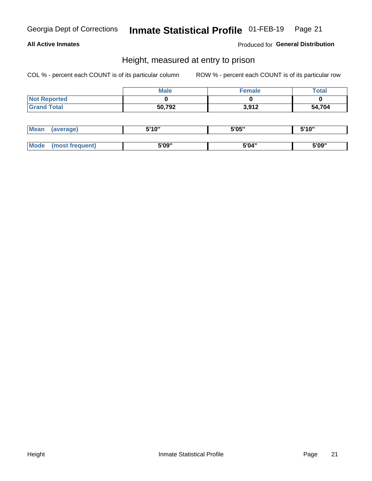## Inmate Statistical Profile 01-FEB-19 Page 21

## **All Active Inmates**

Produced for General Distribution

## Height, measured at entry to prison

COL % - percent each COUNT is of its particular column

|                     | <b>Male</b> | Female | Total  |
|---------------------|-------------|--------|--------|
| <b>Not Reported</b> |             |        |        |
| <b>Grand Total</b>  | 50,792      | 3,912  | 54,704 |

| <b>Mean</b> | erage) | 5'10" | 5'05" | <b>CIA AIL</b><br>. . |
|-------------|--------|-------|-------|-----------------------|
|             |        |       |       |                       |
| <b>Mode</b> |        | 5'09" | 5'04" | 5'09"                 |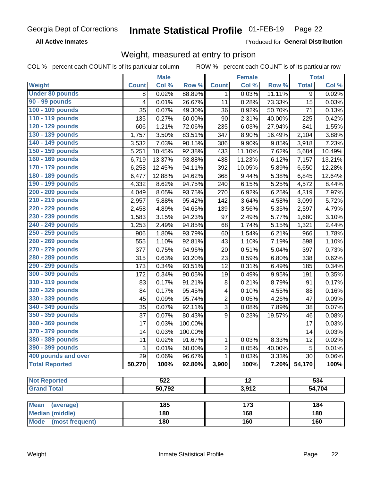#### Inmate Statistical Profile 01-FEB-19 Page 22

**All Active Inmates** 

Produced for General Distribution

## Weight, measured at entry to prison

COL % - percent each COUNT is of its particular column

|                                                    |              | <b>Male</b> |         |                 | <b>Female</b> |        |              | <b>Total</b> |
|----------------------------------------------------|--------------|-------------|---------|-----------------|---------------|--------|--------------|--------------|
| Weight                                             | <b>Count</b> | Col %       | Row %   | <b>Count</b>    | Col %         | Row %  | <b>Total</b> | Col %        |
| <b>Under 80 pounds</b>                             | 8            | 0.02%       | 88.89%  | 1               | 0.03%         | 11.11% | 9            | 0.02%        |
| 90 - 99 pounds                                     | 4            | 0.01%       | 26.67%  | 11              | 0.28%         | 73.33% | 15           | 0.03%        |
| 100 - 109 pounds                                   | 35           | 0.07%       | 49.30%  | 36              | 0.92%         | 50.70% | 71           | 0.13%        |
| 110 - 119 pounds                                   | 135          | 0.27%       | 60.00%  | 90              | 2.31%         | 40.00% | 225          | 0.42%        |
| 120 - 129 pounds                                   | 606          | 1.21%       | 72.06%  | 235             | 6.03%         | 27.94% | 841          | 1.55%        |
| 130 - 139 pounds                                   | 1,757        | 3.50%       | 83.51%  | 347             | 8.90%         | 16.49% | 2,104        | 3.88%        |
| 140 - 149 pounds                                   | 3,532        | 7.03%       | 90.15%  | 386             | 9.90%         | 9.85%  | 3,918        | 7.23%        |
| 150 - 159 pounds                                   | 5,251        | 10.45%      | 92.38%  | 433             | 11.10%        | 7.62%  | 5,684        | 10.49%       |
| 160 - 169 pounds                                   | 6,719        | 13.37%      | 93.88%  | 438             | 11.23%        | 6.12%  | 7,157        | 13.21%       |
| 170 - 179 pounds                                   | 6,258        | 12.45%      | 94.11%  | 392             | 10.05%        | 5.89%  | 6,650        | 12.28%       |
| 180 - 189 pounds                                   | 6,477        | 12.88%      | 94.62%  | 368             | 9.44%         | 5.38%  | 6,845        | 12.64%       |
| 190 - 199 pounds                                   | 4,332        | 8.62%       | 94.75%  | 240             | 6.15%         | 5.25%  | 4,572        | 8.44%        |
| 200 - 209 pounds                                   | 4,049        | 8.05%       | 93.75%  | 270             | 6.92%         | 6.25%  | 4,319        | 7.97%        |
| 210 - 219 pounds                                   | 2,957        | 5.88%       | 95.42%  | 142             | 3.64%         | 4.58%  | 3,099        | 5.72%        |
| 220 - 229 pounds                                   | 2,458        | 4.89%       | 94.65%  | 139             | 3.56%         | 5.35%  | 2,597        | 4.79%        |
| 230 - 239 pounds                                   | 1,583        | 3.15%       | 94.23%  | 97              | 2.49%         | 5.77%  | 1,680        | 3.10%        |
| 240 - 249 pounds                                   | 1,253        | 2.49%       | 94.85%  | 68              | 1.74%         | 5.15%  | 1,321        | 2.44%        |
| 250 - 259 pounds                                   | 906          | 1.80%       | 93.79%  | 60              | 1.54%         | 6.21%  | 966          | 1.78%        |
| 260 - 269 pounds                                   | 555          | 1.10%       | 92.81%  | 43              | 1.10%         | 7.19%  | 598          | 1.10%        |
| 270 - 279 pounds                                   | 377          | 0.75%       | 94.96%  | 20              | 0.51%         | 5.04%  | 397          | 0.73%        |
| 280 - 289 pounds                                   | 315          | 0.63%       | 93.20%  | 23              | 0.59%         | 6.80%  | 338          | 0.62%        |
| 290 - 299 pounds                                   | 173          | 0.34%       | 93.51%  | 12              | 0.31%         | 6.49%  | 185          | 0.34%        |
| 300 - 309 pounds                                   | 172          | 0.34%       | 90.05%  | 19              | 0.49%         | 9.95%  | 191          | 0.35%        |
| 310 - 319 pounds                                   | 83           | 0.17%       | 91.21%  | $\bf 8$         | 0.21%         | 8.79%  | 91           | 0.17%        |
| 320 - 329 pounds                                   | 84           | 0.17%       | 95.45%  | 4               | 0.10%         | 4.55%  | 88           | 0.16%        |
| 330 - 339 pounds                                   | 45           | 0.09%       | 95.74%  | $\overline{c}$  | 0.05%         | 4.26%  | 47           | 0.09%        |
| 340 - 349 pounds                                   | 35           | 0.07%       | 92.11%  | $\overline{3}$  | 0.08%         | 7.89%  | 38           | 0.07%        |
| 350 - 359 pounds                                   | 37           | 0.07%       | 80.43%  | 9               | 0.23%         | 19.57% | 46           | 0.08%        |
| 360 - 369 pounds                                   | 17           | 0.03%       | 100.00% |                 |               |        | 17           | 0.03%        |
| 370 - 379 pounds                                   | 14           | 0.03%       | 100.00% |                 |               |        | 14           | 0.03%        |
| 380 - 389 pounds                                   | 11           | 0.02%       | 91.67%  | 1               | 0.03%         | 8.33%  | 12           | 0.02%        |
| 390 - 399 pounds                                   | 3            | 0.01%       | 60.00%  | 2               | 0.05%         | 40.00% | 5            | 0.01%        |
| 400 pounds and over                                | 29           | 0.06%       | 96.67%  | 1               | 0.03%         | 3.33%  | 30           | 0.06%        |
| <b>Total Reported</b>                              | 50,270       | 100%        | 92.80%  | 3,900           | 100%          | 7.20%  | 54,170       | 100%         |
|                                                    |              |             |         |                 |               |        |              |              |
| <b>Not Reported</b>                                |              | 522         |         | $\overline{12}$ |               |        |              | 534          |
| <b>Grand Total</b>                                 |              | 50,792      |         |                 | 3,912         |        | 54,704       |              |
|                                                    |              |             |         |                 |               |        |              |              |
| <b>Mean</b><br>(average)<br><b>Median (middle)</b> |              | 185<br>180  |         |                 | 173<br>168    |        |              | 184<br>180   |
|                                                    |              |             |         |                 |               |        |              |              |
| <b>Mode</b><br>(most frequent)                     |              | 180         |         |                 | 160           |        |              | 160          |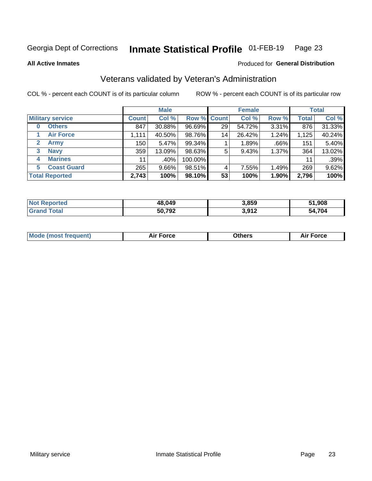#### Inmate Statistical Profile 01-FEB-19 Page 23

**All Active Inmates** 

## Produced for General Distribution

## Veterans validated by Veteran's Administration

COL % - percent each COUNT is of its particular column

|                             |              | <b>Male</b> |                    |    | <b>Female</b>        |       |              | <b>Total</b> |
|-----------------------------|--------------|-------------|--------------------|----|----------------------|-------|--------------|--------------|
| <b>Military service</b>     | <b>Count</b> | Col %       | <b>Row % Count</b> |    | Col %                | Row % | <b>Total</b> | Col %        |
| <b>Others</b><br>0          | 847          | 30.88%      | 96.69%             | 29 | $\overline{54.7}2\%$ | 3.31% | 876          | 31.33%       |
| <b>Air Force</b>            | 1,111        | 40.50%      | 98.76%             | 14 | 26.42%               | 1.24% | 1,125        | 40.24%       |
| <b>Army</b><br>$\mathbf{2}$ | 150          | 5.47%       | 99.34%             |    | 1.89%                | .66%  | 151          | 5.40%        |
| <b>Navy</b><br>3            | 359          | 13.09%      | 98.63%             | 5  | 9.43%                | 1.37% | 364          | 13.02%       |
| <b>Marines</b><br>4         | 11           | $.40\%$     | 100.00%            |    |                      |       | 11           | .39%         |
| <b>Coast Guard</b><br>5.    | 265          | $9.66\%$    | 98.51%             | 4  | 7.55%                | 1.49% | 269          | 9.62%        |
| <b>Total Reported</b>       | 2,743        | 100%        | 98.10%             | 53 | 100%                 | 1.90% | 2,796        | 100%         |

| ported<br>Nt | 48,049 | 3,859          | 51,908 |
|--------------|--------|----------------|--------|
| `otar        | 50,792 | 2.012<br>J,JIL | 54,704 |

|  |  | <b>Mode (most frequent)</b> | <b>Force</b><br>Aır | วthers | orce |
|--|--|-----------------------------|---------------------|--------|------|
|--|--|-----------------------------|---------------------|--------|------|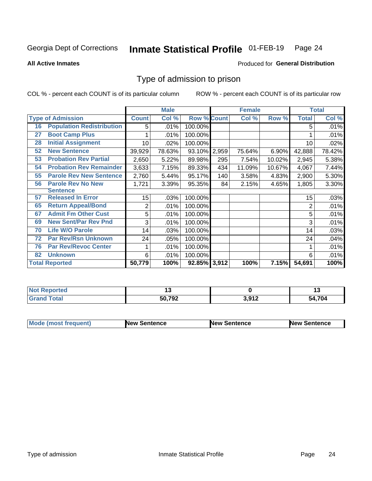#### Inmate Statistical Profile 01-FEB-19 Page 24

**All Active Inmates** 

## Produced for General Distribution

## Type of admission to prison

COL % - percent each COUNT is of its particular column

|    |                                  |              | <b>Male</b> |                    |       | <b>Female</b> |        |              | <b>Total</b> |
|----|----------------------------------|--------------|-------------|--------------------|-------|---------------|--------|--------------|--------------|
|    | <b>Type of Admission</b>         | <b>Count</b> | Col %       | <b>Row % Count</b> |       | Col %         | Row %  | <b>Total</b> | Col %        |
| 16 | <b>Population Redistribution</b> | 5            | .01%        | 100.00%            |       |               |        | 5            | .01%         |
| 27 | <b>Boot Camp Plus</b>            |              | .01%        | 100.00%            |       |               |        |              | .01%         |
| 28 | <b>Initial Assignment</b>        | 10           | .02%        | 100.00%            |       |               |        | 10           | .02%         |
| 52 | <b>New Sentence</b>              | 39,929       | 78.63%      | 93.10%             | 2,959 | 75.64%        | 6.90%  | 42,888       | 78.42%       |
| 53 | <b>Probation Rev Partial</b>     | 2,650        | 5.22%       | 89.98%             | 295   | 7.54%         | 10.02% | 2,945        | 5.38%        |
| 54 | <b>Probation Rev Remainder</b>   | 3,633        | 7.15%       | 89.33%             | 434   | 11.09%        | 10.67% | 4,067        | 7.44%        |
| 55 | <b>Parole Rev New Sentence</b>   | 2,760        | 5.44%       | 95.17%             | 140   | 3.58%         | 4.83%  | 2,900        | 5.30%        |
| 56 | <b>Parole Rev No New</b>         | 1,721        | 3.39%       | 95.35%             | 84    | 2.15%         | 4.65%  | 1,805        | 3.30%        |
|    | <b>Sentence</b>                  |              |             |                    |       |               |        |              |              |
| 57 | <b>Released In Error</b>         | 15           | .03%        | 100.00%            |       |               |        | 15           | .03%         |
| 65 | <b>Return Appeal/Bond</b>        | 2            | .01%        | 100.00%            |       |               |        | 2            | .01%         |
| 67 | <b>Admit Fm Other Cust</b>       | 5            | .01%        | 100.00%            |       |               |        | 5            | .01%         |
| 69 | <b>New Sent/Par Rev Pnd</b>      | 3            | .01%        | 100.00%            |       |               |        | 3            | .01%         |
| 70 | <b>Life W/O Parole</b>           | 14           | .03%        | 100.00%            |       |               |        | 14           | .03%         |
| 72 | <b>Par Rev/Rsn Unknown</b>       | 24           | .05%        | 100.00%            |       |               |        | 24           | .04%         |
| 76 | <b>Par Rev/Revoc Center</b>      |              | .01%        | 100.00%            |       |               |        |              | .01%         |
| 82 | <b>Unknown</b>                   | 6            | .01%        | 100.00%            |       |               |        | 6            | .01%         |
|    | <b>Total Reported</b>            | 50,779       | 100%        | 92.85% 3,912       |       | 100%          | 7.15%  | 54,691       | 100%         |

| <b>Not Reported</b> |        |                         | . .    |
|---------------------|--------|-------------------------|--------|
| Total<br>Grar       | 50,792 | $3.01^\circ$<br>J.J I 4 | 54.704 |

| <b>Mode (most frequent)</b> | <b>New Sentence</b> | <b>New Sentence</b> | <b>New Sentence</b> |
|-----------------------------|---------------------|---------------------|---------------------|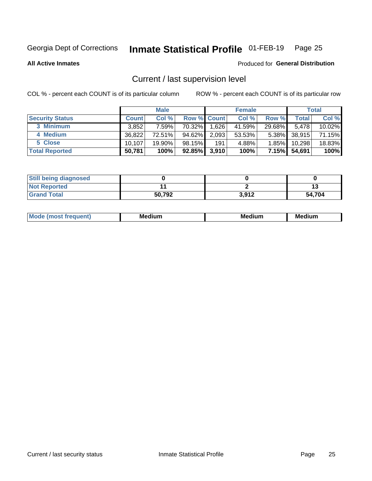## Inmate Statistical Profile 01-FEB-19 Page 25

**All Active Inmates** 

## Produced for General Distribution

## Current / last supervision level

COL % - percent each COUNT is of its particular column

|                        |              | <b>Male</b> |             |       | <b>Female</b> |          |        | <b>Total</b> |
|------------------------|--------------|-------------|-------------|-------|---------------|----------|--------|--------------|
| <b>Security Status</b> | <b>Count</b> | Col %       | Row % Count |       | Col %         | Row %    | Total  | Col %        |
| 3 Minimum              | 3,852        | 7.59%l      | 70.32%      | 1,626 | 41.59%        | 29.68%   | 5.478  | 10.02%       |
| 4 Medium               | 36,822       | 72.51%      | 94.62%      | 2,093 | 53.53%        | $5.38\%$ | 38,915 | 71.15%       |
| 5 Close                | 10.107       | 19.90%      | 98.15%      | 191   | 4.88%         | $1.85\%$ | 10,298 | 18.83%       |
| <b>Total Reported</b>  | 50,781       | 100%        | $92.85\%$   | 3,910 | 100%          | $7.15\%$ | 54,691 | 100%         |

| <b>Still being diagnosed</b> |        |       |        |
|------------------------------|--------|-------|--------|
| <b>Not Reported</b>          |        |       |        |
| <b>Grand Total</b>           | 50.792 | 3,912 | 54.704 |

| M | M | . . |
|---|---|-----|
|   |   |     |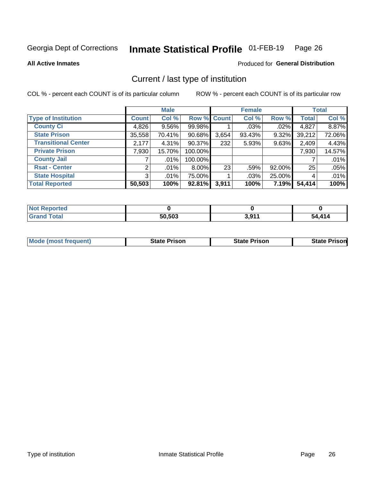#### Inmate Statistical Profile 01-FEB-19 Page 26

**All Active Inmates** 

## Produced for General Distribution

## Current / last type of institution

COL % - percent each COUNT is of its particular column

|                            |                | <b>Male</b> |             |       | <b>Female</b> |        |              | <b>Total</b> |
|----------------------------|----------------|-------------|-------------|-------|---------------|--------|--------------|--------------|
| <b>Type of Institution</b> | <b>Count</b>   | Col %       | Row % Count |       | Col %         | Row %  | <b>Total</b> | Col %        |
| <b>County Ci</b>           | 4,826          | $9.56\%$    | 99.98%      |       | $.03\%$       | .02%   | 4,827        | 8.87%        |
| <b>State Prison</b>        | 35,558         | 70.41%      | $90.68\%$   | 3,654 | 93.43%        | 9.32%  | 39,212       | 72.06%       |
| <b>Transitional Center</b> | 2,177          | 4.31%       | $90.37\%$   | 232   | 5.93%         | 9.63%  | 2,409        | 4.43%        |
| <b>Private Prison</b>      | 7,930          | 15.70%      | 100.00%     |       |               |        | 7,930        | 14.57%       |
| <b>County Jail</b>         |                | $.01\%$     | 100.00%     |       |               |        |              | .01%         |
| <b>Rsat - Center</b>       | 2              | .01%        | $8.00\%$    | 23    | .59%          | 92.00% | 25           | .05%         |
| <b>State Hospital</b>      | 3 <sup>1</sup> | $.01\%$     | 75.00%      |       | .03%          | 25.00% | 4            | .01%         |
| <b>Total Reported</b>      | 50,503         | 100%        | 92.81%      | 3,911 | 100%          | 7.19%  | 54,414       | 100%         |

| ported<br>NOT |        |             |            |
|---------------|--------|-------------|------------|
| <b>otal</b>   | 50,503 | 201'<br>J.J | .414<br>51 |

| <b>Mode (most frequent)</b> | <b>State Prison</b> | <b>State Prison</b> | <b>State Prisonl</b> |
|-----------------------------|---------------------|---------------------|----------------------|
|                             |                     |                     |                      |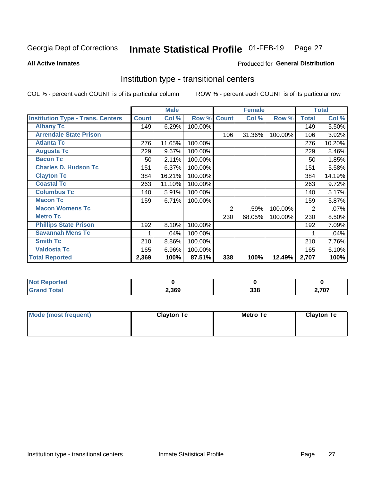#### Inmate Statistical Profile 01-FEB-19 Page 27

Produced for General Distribution

### **All Active Inmates**

## Institution type - transitional centers

COL % - percent each COUNT is of its particular column

|                                          |              | <b>Male</b> |         |                | <b>Female</b> |         |              | <b>Total</b> |
|------------------------------------------|--------------|-------------|---------|----------------|---------------|---------|--------------|--------------|
| <b>Institution Type - Trans. Centers</b> | <b>Count</b> | Col %       | Row %   | <b>Count</b>   | Col %         | Row %   | <b>Total</b> | Col %        |
| <b>Albany Tc</b>                         | 149          | 6.29%       | 100.00% |                |               |         | 149          | 5.50%        |
| <b>Arrendale State Prison</b>            |              |             |         | 106            | 31.36%        | 100.00% | 106          | 3.92%        |
| <b>Atlanta Tc</b>                        | 276          | 11.65%      | 100.00% |                |               |         | 276          | 10.20%       |
| <b>Augusta Tc</b>                        | 229          | 9.67%       | 100.00% |                |               |         | 229          | 8.46%        |
| <b>Bacon Tc</b>                          | 50           | 2.11%       | 100.00% |                |               |         | 50           | 1.85%        |
| <b>Charles D. Hudson Tc</b>              | 151          | 6.37%       | 100.00% |                |               |         | 151          | 5.58%        |
| <b>Clayton Tc</b>                        | 384          | 16.21%      | 100.00% |                |               |         | 384          | 14.19%       |
| <b>Coastal Tc</b>                        | 263          | 11.10%      | 100.00% |                |               |         | 263          | 9.72%        |
| <b>Columbus Tc</b>                       | 140          | 5.91%       | 100.00% |                |               |         | 140          | 5.17%        |
| <b>Macon Tc</b>                          | 159          | 6.71%       | 100.00% |                |               |         | 159          | 5.87%        |
| <b>Macon Womens Tc</b>                   |              |             |         | $\overline{2}$ | .59%          | 100.00% | 2            | .07%         |
| <b>Metro Tc</b>                          |              |             |         | 230            | 68.05%        | 100.00% | 230          | 8.50%        |
| <b>Phillips State Prison</b>             | 192          | 8.10%       | 100.00% |                |               |         | 192          | 7.09%        |
| <b>Savannah Mens Tc</b>                  | 1            | .04%        | 100.00% |                |               |         |              | .04%         |
| <b>Smith Tc</b>                          | 210          | 8.86%       | 100.00% |                |               |         | 210          | 7.76%        |
| <b>Valdosta Tc</b>                       | 165          | 6.96%       | 100.00% |                |               |         | 165          | 6.10%        |
| <b>Total Reported</b>                    | 2,369        | 100%        | 87.51%  | 338            | 100%          | 12.49%  | 2,707        | 100%         |

| <b>Reported</b> |       |     |                |
|-----------------|-------|-----|----------------|
| <b>Total</b>    | 2,369 | 338 | ラヘラ<br>, , v , |

| Mode (most frequent) | <b>Clayton Tc</b> | Metro Tc | <b>Clayton Tc</b> |
|----------------------|-------------------|----------|-------------------|
|                      |                   |          |                   |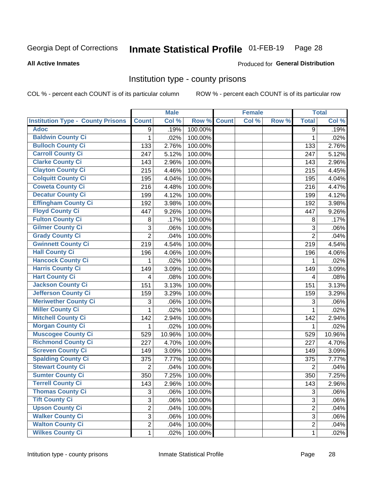## Inmate Statistical Profile 01-FEB-19 Page 28

### **All Active Inmates**

## Produced for General Distribution

## Institution type - county prisons

COL % - percent each COUNT is of its particular column

|                                          |                | <b>Male</b> |         |              | <b>Female</b> |       |                | <b>Total</b> |
|------------------------------------------|----------------|-------------|---------|--------------|---------------|-------|----------------|--------------|
| <b>Institution Type - County Prisons</b> | <b>Count</b>   | Col %       | Row %   | <b>Count</b> | Col %         | Row % | <b>Total</b>   | Col %        |
| <b>Adoc</b>                              | 9              | .19%        | 100.00% |              |               |       | $\overline{9}$ | .19%         |
| <b>Baldwin County Ci</b>                 | 1              | .02%        | 100.00% |              |               |       | $\mathbf 1$    | .02%         |
| <b>Bulloch County Ci</b>                 | 133            | 2.76%       | 100.00% |              |               |       | 133            | 2.76%        |
| <b>Carroll County Ci</b>                 | 247            | 5.12%       | 100.00% |              |               |       | 247            | 5.12%        |
| <b>Clarke County Ci</b>                  | 143            | 2.96%       | 100.00% |              |               |       | 143            | 2.96%        |
| <b>Clayton County Ci</b>                 | 215            | 4.46%       | 100.00% |              |               |       | 215            | 4.45%        |
| <b>Colquitt County Ci</b>                | 195            | 4.04%       | 100.00% |              |               |       | 195            | 4.04%        |
| <b>Coweta County Ci</b>                  | 216            | 4.48%       | 100.00% |              |               |       | 216            | 4.47%        |
| <b>Decatur County Ci</b>                 | 199            | 4.12%       | 100.00% |              |               |       | 199            | 4.12%        |
| <b>Effingham County Ci</b>               | 192            | 3.98%       | 100.00% |              |               |       | 192            | 3.98%        |
| <b>Floyd County Ci</b>                   | 447            | 9.26%       | 100.00% |              |               |       | 447            | 9.26%        |
| <b>Fulton County Ci</b>                  | 8              | .17%        | 100.00% |              |               |       | 8              | .17%         |
| <b>Gilmer County Ci</b>                  | 3              | .06%        | 100.00% |              |               |       | 3              | .06%         |
| <b>Grady County Ci</b>                   | $\overline{2}$ | .04%        | 100.00% |              |               |       | $\overline{2}$ | .04%         |
| <b>Gwinnett County Ci</b>                | 219            | 4.54%       | 100.00% |              |               |       | 219            | 4.54%        |
| <b>Hall County Ci</b>                    | 196            | 4.06%       | 100.00% |              |               |       | 196            | 4.06%        |
| <b>Hancock County Ci</b>                 | 1              | .02%        | 100.00% |              |               |       | 1              | .02%         |
| Harris County Ci                         | 149            | 3.09%       | 100.00% |              |               |       | 149            | 3.09%        |
| <b>Hart County Ci</b>                    | 4              | .08%        | 100.00% |              |               |       | 4              | .08%         |
| <b>Jackson County Ci</b>                 | 151            | 3.13%       | 100.00% |              |               |       | 151            | 3.13%        |
| Jefferson County Ci                      | 159            | 3.29%       | 100.00% |              |               |       | 159            | 3.29%        |
| <b>Meriwether County Ci</b>              | 3              | .06%        | 100.00% |              |               |       | 3              | .06%         |
| <b>Miller County Ci</b>                  | $\mathbf{1}$   | .02%        | 100.00% |              |               |       | $\mathbf{1}$   | .02%         |
| <b>Mitchell County Ci</b>                | 142            | 2.94%       | 100.00% |              |               |       | 142            | 2.94%        |
| <b>Morgan County Ci</b>                  | 1              | .02%        | 100.00% |              |               |       | $\mathbf{1}$   | .02%         |
| <b>Muscogee County Ci</b>                | 529            | 10.96%      | 100.00% |              |               |       | 529            | 10.96%       |
| <b>Richmond County Ci</b>                | 227            | 4.70%       | 100.00% |              |               |       | 227            | 4.70%        |
| <b>Screven County Ci</b>                 | 149            | 3.09%       | 100.00% |              |               |       | 149            | 3.09%        |
| <b>Spalding County Ci</b>                | 375            | 7.77%       | 100.00% |              |               |       | 375            | 7.77%        |
| <b>Stewart County Ci</b>                 | $\overline{2}$ | .04%        | 100.00% |              |               |       | $\overline{2}$ | .04%         |
| <b>Sumter County Ci</b>                  | 350            | 7.25%       | 100.00% |              |               |       | 350            | 7.25%        |
| <b>Terrell County Ci</b>                 | 143            | 2.96%       | 100.00% |              |               |       | 143            | 2.96%        |
| <b>Thomas County Ci</b>                  | 3              | .06%        | 100.00% |              |               |       | 3              | .06%         |
| <b>Tift County Ci</b>                    | 3              | .06%        | 100.00% |              |               |       | 3              | .06%         |
| <b>Upson County Ci</b>                   | $\overline{2}$ | .04%        | 100.00% |              |               |       | $\overline{2}$ | .04%         |
| <b>Walker County Ci</b>                  | $\overline{3}$ | .06%        | 100.00% |              |               |       | $\mathfrak{S}$ | .06%         |
| <b>Walton County Ci</b>                  | $\overline{2}$ | .04%        | 100.00% |              |               |       | $\overline{2}$ | .04%         |
| <b>Wilkes County Ci</b>                  | $\mathbf 1$    | .02%        | 100.00% |              |               |       | 1              | .02%         |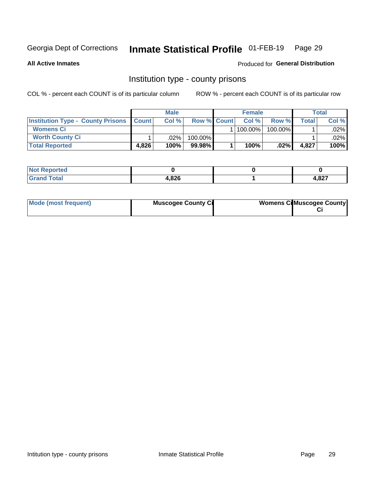## Inmate Statistical Profile 01-FEB-19 Page 29

**All Active Inmates** 

Produced for General Distribution

## Institution type - county prisons

COL % - percent each COUNT is of its particular column

|                                                    |       | <b>Male</b> |                    | <b>Female</b> |         |                | <b>Total</b> |
|----------------------------------------------------|-------|-------------|--------------------|---------------|---------|----------------|--------------|
| <b>Institution Type - County Prisons   Count  </b> |       | Col %       | <b>Row % Count</b> | Col%          | Row %   | <b>Total</b> I | Col %        |
| <b>Womens Ci</b>                                   |       |             |                    | 100.00%       | 100.00% |                | $.02\%$      |
| <b>Worth County Ci</b>                             |       | $.02\%$     | 100.00%            |               |         |                | .02% l       |
| <b>Total Reported</b>                              | 4.826 | 100%        | $99.98\%$          | 100%          | $.02\%$ | 4,827          | 100%         |

| <b>Not Reported</b> |       |       |
|---------------------|-------|-------|
| <b>Total</b>        | 4,826 | 4,827 |

| Mode (most frequent) | <b>Muscogee County Ci</b> | <b>Womens Ci</b> Muscogee County |
|----------------------|---------------------------|----------------------------------|
|----------------------|---------------------------|----------------------------------|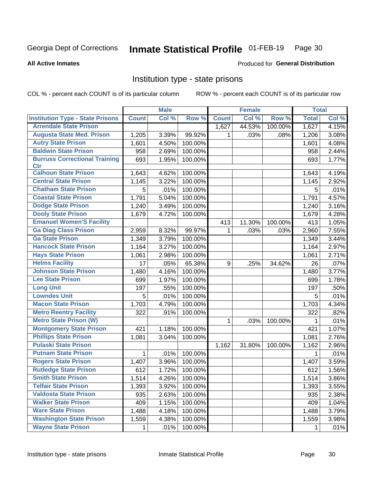#### Inmate Statistical Profile 01-FEB-19 Page 30

### **All Active Inmates**

## Produced for General Distribution

## Institution type - state prisons

COL % - percent each COUNT is of its particular column

|                                         |              | <b>Male</b> |         |              | <b>Female</b> |         | <b>Total</b> |       |
|-----------------------------------------|--------------|-------------|---------|--------------|---------------|---------|--------------|-------|
| <b>Institution Type - State Prisons</b> | <b>Count</b> | Col %       | Row %   | <b>Count</b> | Col %         | Row %   | <b>Total</b> | Col % |
| <b>Arrendale State Prison</b>           |              |             |         | 1,627        | 44.53%        | 100.00% | 1,627        | 4.15% |
| <b>Augusta State Med. Prison</b>        | 1,205        | 3.39%       | 99.92%  | 1            | .03%          | .08%    | 1,206        | 3.08% |
| <b>Autry State Prison</b>               | 1,601        | 4.50%       | 100.00% |              |               |         | 1,601        | 4.08% |
| <b>Baldwin State Prison</b>             | 958          | 2.69%       | 100.00% |              |               |         | 958          | 2.44% |
| <b>Burruss Correctional Training</b>    | 693          | 1.95%       | 100.00% |              |               |         | 693          | 1.77% |
| <b>Ctr</b>                              |              |             |         |              |               |         |              |       |
| <b>Calhoun State Prison</b>             | 1,643        | 4.62%       | 100.00% |              |               |         | 1,643        | 4.19% |
| <b>Central State Prison</b>             | 1,145        | 3.22%       | 100.00% |              |               |         | 1,145        | 2.92% |
| <b>Chatham State Prison</b>             | 5            | .01%        | 100.00% |              |               |         | 5            | .01%  |
| <b>Coastal State Prison</b>             | 1,791        | 5.04%       | 100.00% |              |               |         | 1,791        | 4.57% |
| <b>Dodge State Prison</b>               | 1,240        | 3.49%       | 100.00% |              |               |         | 1,240        | 3.16% |
| <b>Dooly State Prison</b>               | 1,679        | 4.72%       | 100.00% |              |               |         | 1,679        | 4.28% |
| <b>Emanuel Women'S Facility</b>         |              |             |         | 413          | 11.30%        | 100.00% | 413          | 1.05% |
| <b>Ga Diag Class Prison</b>             | 2,959        | 8.32%       | 99.97%  | $\mathbf 1$  | .03%          | .03%    | 2,960        | 7.55% |
| <b>Ga State Prison</b>                  | 1,349        | 3.79%       | 100.00% |              |               |         | 1,349        | 3.44% |
| <b>Hancock State Prison</b>             | 1,164        | 3.27%       | 100.00% |              |               |         | 1,164        | 2.97% |
| <b>Hays State Prison</b>                | 1,061        | 2.98%       | 100.00% |              |               |         | 1,061        | 2.71% |
| <b>Helms Facility</b>                   | 17           | .05%        | 65.38%  | 9            | .25%          | 34.62%  | 26           | .07%  |
| <b>Johnson State Prison</b>             | 1,480        | 4.16%       | 100.00% |              |               |         | 1,480        | 3.77% |
| <b>Lee State Prison</b>                 | 699          | 1.97%       | 100.00% |              |               |         | 699          | 1.78% |
| <b>Long Unit</b>                        | 197          | .55%        | 100.00% |              |               |         | 197          | .50%  |
| <b>Lowndes Unit</b>                     | 5            | .01%        | 100.00% |              |               |         | 5            | .01%  |
| <b>Macon State Prison</b>               | 1,703        | 4.79%       | 100.00% |              |               |         | 1,703        | 4.34% |
| <b>Metro Reentry Facility</b>           | 322          | .91%        | 100.00% |              |               |         | 322          | .82%  |
| <b>Metro State Prison (W)</b>           |              |             |         | 1            | .03%          | 100.00% | 1            | .01%  |
| <b>Montgomery State Prison</b>          | 421          | 1.18%       | 100.00% |              |               |         | 421          | 1.07% |
| <b>Phillips State Prison</b>            | 1,081        | 3.04%       | 100.00% |              |               |         | 1,081        | 2.76% |
| <b>Pulaski State Prison</b>             |              |             |         | 1,162        | 31.80%        | 100.00% | 1,162        | 2.96% |
| <b>Putnam State Prison</b>              | 1            | .01%        | 100.00% |              |               |         | 1            | .01%  |
| <b>Rogers State Prison</b>              | 1,407        | 3.96%       | 100.00% |              |               |         | 1,407        | 3.59% |
| <b>Rutledge State Prison</b>            | 612          | 1.72%       | 100.00% |              |               |         | 612          | 1.56% |
| <b>Smith State Prison</b>               | 1,514        | 4.26%       | 100.00% |              |               |         | 1,514        | 3.86% |
| <b>Telfair State Prison</b>             | 1,393        | 3.92%       | 100.00% |              |               |         | 1,393        | 3.55% |
| <b>Valdosta State Prison</b>            | 935          | 2.63%       | 100.00% |              |               |         | 935          | 2.38% |
| <b>Walker State Prison</b>              | 409          | 1.15%       | 100.00% |              |               |         | 409          | 1.04% |
| <b>Ware State Prison</b>                | 1,488        | 4.18%       | 100.00% |              |               |         | 1,488        | 3.79% |
| <b>Washington State Prison</b>          | 1,559        | 4.38%       | 100.00% |              |               |         | 1,559        | 3.98% |
| <b>Wayne State Prison</b>               | 1            | .01%        | 100.00% |              |               |         | 1            | .01%  |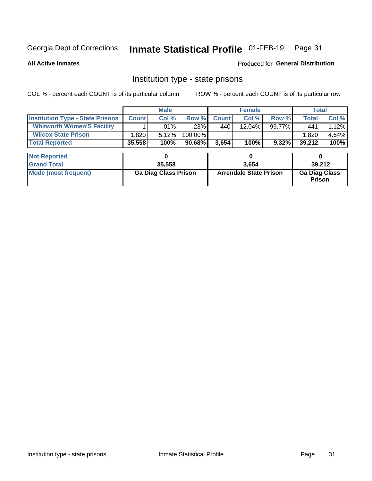## Inmate Statistical Profile 01-FEB-19 Page 31

**All Active Inmates** 

Produced for General Distribution

## Institution type - state prisons

COL % - percent each COUNT is of its particular column ROW % - percent each COUNT is of its particular row

|                                         |              | <b>Male</b>                 |         |              | <b>Female</b>                 |        | <b>Total</b>                   |        |
|-----------------------------------------|--------------|-----------------------------|---------|--------------|-------------------------------|--------|--------------------------------|--------|
| <b>Institution Type - State Prisons</b> | <b>Count</b> | Col %                       | Row %   | <b>Count</b> | Col %                         | Row %  | Total                          | Col %  |
| <b>Whitworth Women'S Facility</b>       |              | $.01\%$                     | .23%    | 440          | 12.04%                        | 99.77% | 441                            | 1.12%  |
| <b>Wilcox State Prison</b>              | 1,820        | 5.12%                       | 100.00% |              |                               |        | 1,820                          | 4.64%  |
| <b>Total Reported</b>                   | 35,558       | 100%                        | 90.68%  | 3,654        | 100%                          | 9.32%  | 39,212                         | 100%   |
| <b>Not Reported</b>                     |              | 0                           |         |              | 0                             |        | 0                              |        |
| <b>Grand Total</b>                      |              | 35,558                      |         |              | 3,654                         |        |                                | 39,212 |
| <b>Mode (most frequent)</b>             |              | <b>Ga Diag Class Prison</b> |         |              | <b>Arrendale State Prison</b> |        | <b>Ga Diag Class</b><br>Prison |        |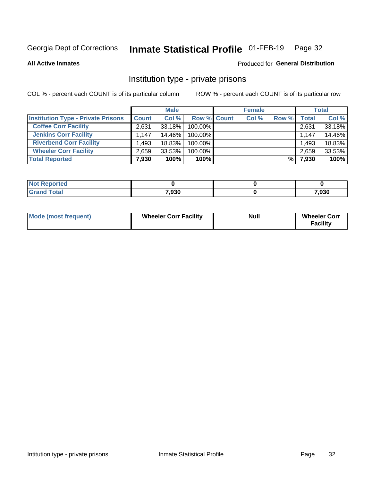## Inmate Statistical Profile 01-FEB-19 Page 32

**All Active Inmates** 

## Produced for General Distribution

## Institution type - private prisons

COL % - percent each COUNT is of its particular column

|                                           |              | <b>Male</b> |                    | <b>Female</b> |       |       | <b>Total</b> |
|-------------------------------------------|--------------|-------------|--------------------|---------------|-------|-------|--------------|
| <b>Institution Type - Private Prisons</b> | <b>Count</b> | Col %       | <b>Row % Count</b> | Col %         | Row % | Total | Col %        |
| <b>Coffee Corr Facility</b>               | 2.631        | $33.18\%$   | 100.00%            |               |       | 2,631 | 33.18%       |
| <b>Jenkins Corr Facility</b>              | 1.147        | 14.46%      | 100.00%            |               |       | 1,147 | 14.46%       |
| <b>Riverbend Corr Facility</b>            | .493         | 18.83%      | 100.00%            |               |       | 1,493 | 18.83%       |
| <b>Wheeler Corr Facility</b>              | 2,659        | 33.53%      | 100.00%            |               |       | 2,659 | 33.53%       |
| <b>Total Reported</b>                     | 7,930        | 100%        | $100\%$            |               | %।    | 7,930 | 100%         |

| Reported |       |       |
|----------|-------|-------|
| `otal    | 7,930 | 7,930 |

| <b>Mode (most frequent)</b> | <b>Wheeler Corr Facility</b> | <b>Null</b> | <b>Wheeler Corr</b><br><b>Facility</b> |
|-----------------------------|------------------------------|-------------|----------------------------------------|
|-----------------------------|------------------------------|-------------|----------------------------------------|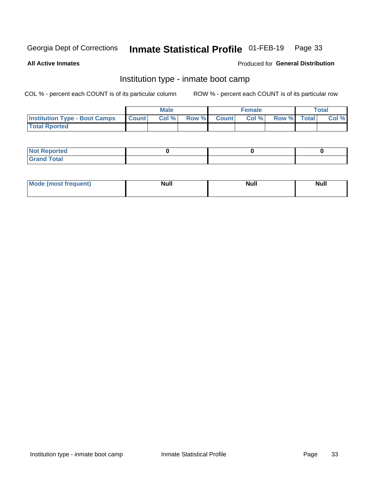#### Inmate Statistical Profile 01-FEB-19 Page 33

**All Active Inmates** 

## Produced for General Distribution

## Institution type - inmate boot camp

COL % - percent each COUNT is of its particular column

|                                      |              | <b>Male</b> |               |              | <b>Female</b> |             | <b>Total</b> |
|--------------------------------------|--------------|-------------|---------------|--------------|---------------|-------------|--------------|
| <b>Institution Type - Boot Camps</b> | <b>Count</b> | Col %       | <b>Row %I</b> | <b>Count</b> | Col %         | Row % Total | Col %        |
| <b>Total Rported</b>                 |              |             |               |              |               |             |              |

| <b>Not Reported</b>            |  |  |
|--------------------------------|--|--|
| <b>Total</b><br>C <sub>r</sub> |  |  |

| Mod<br>uamo | Nul.<br>$- - - - - -$ | <b>Null</b> | . .<br>uu.<br>------ |
|-------------|-----------------------|-------------|----------------------|
|             |                       |             |                      |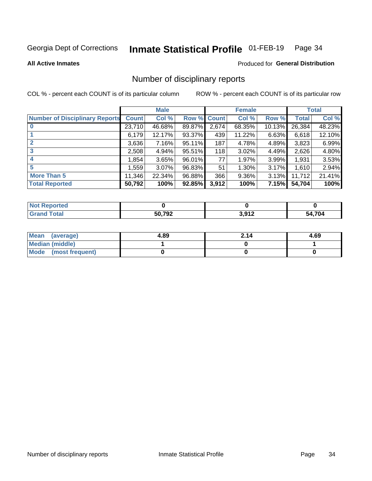#### Inmate Statistical Profile 01-FEB-19 Page 34

### **All Active Inmates**

## **Produced for General Distribution**

## Number of disciplinary reports

COL % - percent each COUNT is of its particular column

|                                       |              | <b>Male</b> |        |       | <b>Female</b> |           |              | <b>Total</b> |
|---------------------------------------|--------------|-------------|--------|-------|---------------|-----------|--------------|--------------|
| <b>Number of Disciplinary Reports</b> | <b>Count</b> | Col %       | Row %  | Count | Col %         | Row %     | <b>Total</b> | Col %        |
| $\bf{0}$                              | 23,710       | 46.68%      | 89.87% | 2,674 | 68.35%        | $10.13\%$ | 26,384       | 48.23%       |
|                                       | 6,179        | 12.17%      | 93.37% | 439   | 11.22%        | 6.63%     | 6,618        | 12.10%       |
| $\overline{2}$                        | 3,636        | $7.16\%$    | 95.11% | 187   | 4.78%         | 4.89%     | 3,823        | 6.99%        |
| 3                                     | 2,508        | 4.94%       | 95.51% | 118   | 3.02%         | 4.49%     | 2,626        | 4.80%        |
| 4                                     | 1,854        | 3.65%       | 96.01% | 77    | 1.97%         | 3.99%     | 1,931        | 3.53%        |
| 5                                     | 1,559        | $3.07\%$    | 96.83% | 51    | 1.30%         | 3.17%     | 1,610        | 2.94%        |
| <b>More Than 5</b>                    | 11,346       | 22.34%      | 96.88% | 366   | 9.36%         | 3.13%     | 11,712       | 21.41%       |
| <b>Total Reported</b>                 | 50,792       | 100%        | 92.85% | 3,912 | 100%          | 7.15%     | 54,704       | 100%         |

| prted<br>NOT |        |                  |            |
|--------------|--------|------------------|------------|
| ⊺otaı        | 50.792 | 2.012<br><b></b> | .704<br>54 |

| Mean (average)       | 4.89 | 2.14 | 4.69 |
|----------------------|------|------|------|
| Median (middle)      |      |      |      |
| Mode (most frequent) |      |      |      |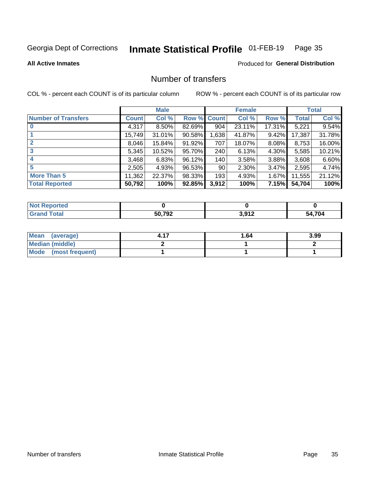#### Inmate Statistical Profile 01-FEB-19 Page 35

## **All Active Inmates**

## **Produced for General Distribution**

## Number of transfers

COL % - percent each COUNT is of its particular column

|                            |         | <b>Male</b> |                    |       | <b>Female</b> |          |              | <b>Total</b> |
|----------------------------|---------|-------------|--------------------|-------|---------------|----------|--------------|--------------|
| <b>Number of Transfers</b> | Count l | Col %       | <b>Row % Count</b> |       | Col %         | Row %    | <b>Total</b> | Col %        |
|                            | 4,317   | $8.50\%$    | 82.69%             | 904   | 23.11%        | 17.31%   | 5,221        | 9.54%        |
|                            | 15,749  | 31.01%      | 90.58%             | 1,638 | 41.87%        | 9.42%    | 17,387       | 31.78%       |
| $\mathbf{2}$               | 8,046   | 15.84%      | 91.92%             | 707   | 18.07%        | $8.08\%$ | 8,753        | 16.00%       |
| 3                          | 5,345   | 10.52%      | 95.70%             | 240   | 6.13%         | 4.30%    | 5,585        | 10.21%       |
| 4                          | 3,468   | 6.83%       | 96.12%             | 140   | 3.58%         | 3.88%    | 3,608        | 6.60%        |
| 5                          | 2,505   | 4.93%       | 96.53%             | 90    | 2.30%         | 3.47%    | 2,595        | 4.74%        |
| <b>More Than 5</b>         | 11,362  | 22.37%      | 98.33%             | 193   | 4.93%         | $1.67\%$ | 11,555       | 21.12%       |
| <b>Total Reported</b>      | 50,792  | 100%        | 92.85%             | 3,912 | 100%          | 7.15%    | 54,704       | 100%         |

| วrted<br>NO. |       |      |      |
|--------------|-------|------|------|
| Total        | 50792 | 2012 | ,704 |
|              | 7 J L |      | 54   |

| Mean (average)         | 1.64 | 3.99 |
|------------------------|------|------|
| <b>Median (middle)</b> |      |      |
| Mode (most frequent)   |      |      |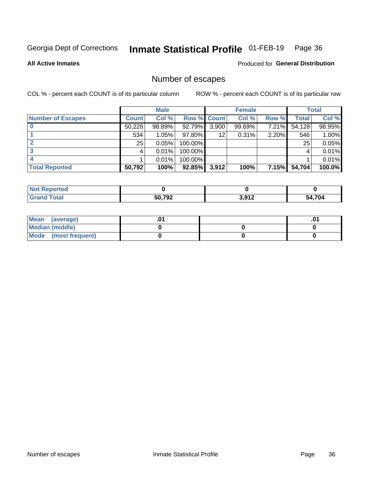## Inmate Statistical Profile 01-FEB-19 Page 36

**All Active Inmates** 

Produced for General Distribution

## Number of escapes

COL % - percent each COUNT is of its particular column

|                          |              | <b>Male</b> |             |       | <b>Female</b> |              |        | <b>Total</b> |
|--------------------------|--------------|-------------|-------------|-------|---------------|--------------|--------|--------------|
| <b>Number of Escapes</b> | <b>Count</b> | Col %       | Row % Count |       | Col %         | Row %        | Total  | Col %        |
|                          | 50,228       | 98.89%      | 92.79%      | 3,900 | 99.69%        | 7.21%        | 54,128 | 98.95%       |
|                          | 534          | 1.05%       | $97.80\%$   | 12    | 0.31%         | 2.20%        | 546    | 1.00%        |
|                          | 25           | 0.05%       | 100.00%     |       |               |              | 25     | 0.05%        |
|                          |              | 0.01%       | $100.00\%$  |       |               |              |        | 0.01%        |
|                          |              | 0.01%       | 100.00%     |       |               |              |        | 0.01%        |
| <b>Total Reported</b>    | 50,792       | 100%        | $92.85\%$   | 3,912 | 100%          | <b>7.15%</b> | 54,704 | 100.0%       |

| Not Reported       |              |                |      |
|--------------------|--------------|----------------|------|
| <b>Grand Total</b> | 50,792<br>JŁ | 2012<br>41 G,U | .704 |

| Mean (average)       |  | .01 |
|----------------------|--|-----|
| Median (middle)      |  |     |
| Mode (most frequent) |  |     |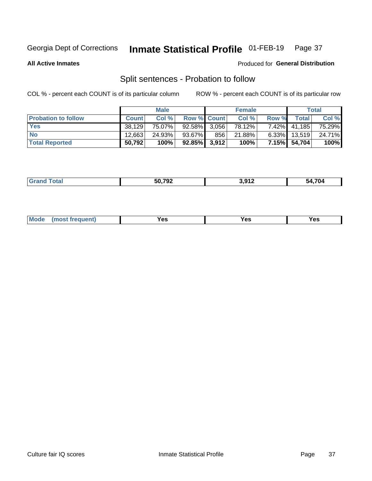#### Inmate Statistical Profile 01-FEB-19 Page 37

**All Active Inmates** 

## Produced for General Distribution

## Split sentences - Probation to follow

COL % - percent each COUNT is of its particular column

|                            |              | <b>Male</b> |                    |     | <b>Female</b> |          |                | <b>Total</b> |
|----------------------------|--------------|-------------|--------------------|-----|---------------|----------|----------------|--------------|
| <b>Probation to follow</b> | <b>Count</b> | Col%        | <b>Row % Count</b> |     | Col %         | Row %    | <b>Total</b> i | Col %        |
| <b>Yes</b>                 | 38.129       | 75.07%      | 92.58% 3.056       |     | 78.12%        | $7.42\%$ | 41.185         | 75.29%       |
| <b>No</b>                  | 12,663       | 24.93%      | $93.67\%$          | 856 | 21.88%        | $6.33\%$ | 13,519         | 24.71%       |
| <b>Total Reported</b>      | 50,792       | 100%        | $92.85\%$ 3,912    |     | 100%          |          | 7.15% 54,704   | 100%         |

| _______ | 50 702<br>$-$ | । 912<br>. . | 4.704<br>-54 |
|---------|---------------|--------------|--------------|
|         |               |              |              |

| <b>Mode</b><br>reauent)<br>Yes<br>v^c<br>0٥<br>.<br>. .<br>$\sim$ |
|-------------------------------------------------------------------|
|-------------------------------------------------------------------|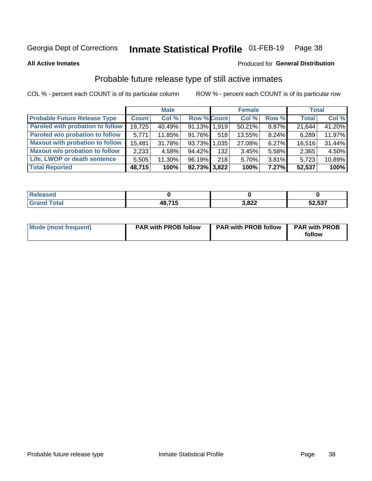#### Inmate Statistical Profile 01-FEB-19 Page 38

**All Active Inmates** 

## Produced for General Distribution

## Probable future release type of still active inmates

COL % - percent each COUNT is of its particular column

|                                         |              | <b>Male</b> |                 |     | <b>Female</b> |       | <b>Total</b> |        |
|-----------------------------------------|--------------|-------------|-----------------|-----|---------------|-------|--------------|--------|
| <b>Probable Future Release Type</b>     | <b>Count</b> | Col %       | Row % Count     |     | Col %         | Row % | <b>Total</b> | Col %  |
| <b>Paroled with probation to follow</b> | 19,725       | 40.49%      | 91.13% 1,919    |     | 50.21%        | 8.87% | 21,644       | 41.20% |
| Paroled w/o probation to follow         | 5,771        | 11.85%      | 91.76%          | 518 | 13.55%        | 8.24% | 6,289        | 11.97% |
| <b>Maxout with probation to follow</b>  | 15,481       | 31.78%      | 93.73% 1.035    |     | 27.08%        | 6.27% | 16,516       | 31.44% |
| <b>Maxout w/o probation to follow</b>   | 2,233        | 4.58%       | 94.42%          | 132 | 3.45%         | 5.58% | 2,365        | 4.50%  |
| Life, LWOP or death sentence            | 5,505        | 11.30%      | 96.19%          | 218 | 5.70%         | 3.81% | 5,723        | 10.89% |
| <b>Total Reported</b>                   | 48,715       | 100%        | $92.73\%$ 3,822 |     | 100%          | 7.27% | 52,537       | 100%   |

| 75 GU                  |       |                |        |
|------------------------|-------|----------------|--------|
| $f \wedge f \wedge f'$ | 19715 | o ooo<br>),o∠∠ | 52,537 |

| Mode (most frequent) | <b>PAR with PROB follow</b> | <b>PAR with PROB follow</b> | <b>PAR with PROB</b><br>follow |
|----------------------|-----------------------------|-----------------------------|--------------------------------|
|                      |                             |                             |                                |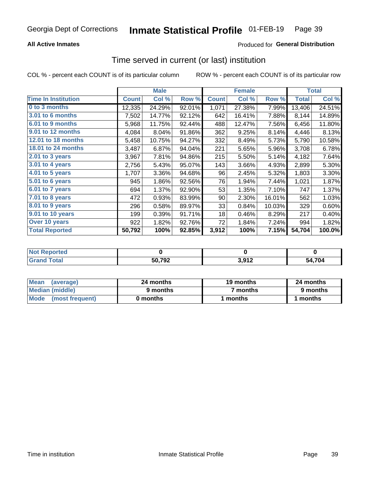### **All Active Inmates**

### Produced for General Distribution

# Time served in current (or last) institution

COL % - percent each COUNT is of its particular column

|                            |              | <b>Male</b> |        |              | <b>Female</b> |        |              | <b>Total</b> |
|----------------------------|--------------|-------------|--------|--------------|---------------|--------|--------------|--------------|
| <b>Time In Institution</b> | <b>Count</b> | Col %       | Row %  | <b>Count</b> | Col %         | Row %  | <b>Total</b> | Col %        |
| 0 to 3 months              | 12,335       | 24.29%      | 92.01% | 1,071        | 27.38%        | 7.99%  | 13,406       | 24.51%       |
| <b>3.01 to 6 months</b>    | 7,502        | 14.77%      | 92.12% | 642          | 16.41%        | 7.88%  | 8,144        | 14.89%       |
| 6.01 to 9 months           | 5,968        | 11.75%      | 92.44% | 488          | 12.47%        | 7.56%  | 6,456        | 11.80%       |
| 9.01 to 12 months          | 4,084        | 8.04%       | 91.86% | 362          | 9.25%         | 8.14%  | 4,446        | 8.13%        |
| 12.01 to 18 months         | 5,458        | 10.75%      | 94.27% | 332          | 8.49%         | 5.73%  | 5,790        | 10.58%       |
| <b>18.01 to 24 months</b>  | 3,487        | 6.87%       | 94.04% | 221          | 5.65%         | 5.96%  | 3,708        | 6.78%        |
| $2.01$ to 3 years          | 3,967        | 7.81%       | 94.86% | 215          | 5.50%         | 5.14%  | 4,182        | 7.64%        |
| $3.01$ to 4 years          | 2,756        | 5.43%       | 95.07% | 143          | 3.66%         | 4.93%  | 2,899        | 5.30%        |
| 4.01 to 5 years            | 1,707        | 3.36%       | 94.68% | 96           | 2.45%         | 5.32%  | 1,803        | 3.30%        |
| 5.01 to 6 years            | 945          | 1.86%       | 92.56% | 76           | 1.94%         | 7.44%  | 1,021        | 1.87%        |
| 6.01 to 7 years            | 694          | 1.37%       | 92.90% | 53           | 1.35%         | 7.10%  | 747          | 1.37%        |
| 7.01 to 8 years            | 472          | 0.93%       | 83.99% | 90           | 2.30%         | 16.01% | 562          | 1.03%        |
| 8.01 to 9 years            | 296          | 0.58%       | 89.97% | 33           | 0.84%         | 10.03% | 329          | 0.60%        |
| 9.01 to 10 years           | 199          | 0.39%       | 91.71% | 18           | 0.46%         | 8.29%  | 217          | 0.40%        |
| Over 10 years              | 922          | 1.82%       | 92.76% | 72           | 1.84%         | 7.24%  | 994          | 1.82%        |
| <b>Total Reported</b>      | 50,792       | 100%        | 92.85% | 3,912        | 100%          | 7.15%  | 54,704       | 100.0%       |

| eported<br><b>Not</b> |        |           |            |
|-----------------------|--------|-----------|------------|
| <b>ofa</b>            | 50,792 | 012<br>__ | .704<br>٦Δ |

| <b>Mean</b><br>(average) | 24 months | 19 months | 24 months |
|--------------------------|-----------|-----------|-----------|
| Median (middle)          | 9 months  | 7 months  | 9 months  |
| Mode (most frequent)     | 0 months  | months    | 1 months  |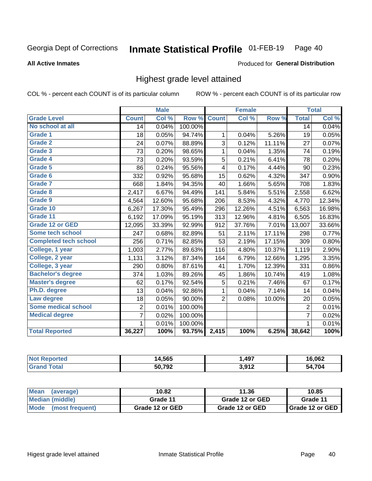#### Inmate Statistical Profile 01-FEB-19 Page 40

### **All Active Inmates**

### Produced for General Distribution

## Highest grade level attained

COL % - percent each COUNT is of its particular column

|                              |                 | <b>Male</b> |         |                | <b>Female</b> |        |                 | <b>Total</b> |
|------------------------------|-----------------|-------------|---------|----------------|---------------|--------|-----------------|--------------|
| <b>Grade Level</b>           | <b>Count</b>    | Col %       | Row %   | <b>Count</b>   | Col %         | Row %  | <b>Total</b>    | Col %        |
| No school at all             | $\overline{14}$ | 0.04%       | 100.00% |                |               |        | $\overline{14}$ | 0.04%        |
| <b>Grade 1</b>               | 18              | 0.05%       | 94.74%  | 1              | 0.04%         | 5.26%  | 19              | 0.05%        |
| <b>Grade 2</b>               | 24              | 0.07%       | 88.89%  | $\overline{3}$ | 0.12%         | 11.11% | 27              | 0.07%        |
| Grade 3                      | 73              | 0.20%       | 98.65%  | $\mathbf{1}$   | 0.04%         | 1.35%  | 74              | 0.19%        |
| <b>Grade 4</b>               | 73              | 0.20%       | 93.59%  | 5              | 0.21%         | 6.41%  | 78              | 0.20%        |
| Grade 5                      | 86              | 0.24%       | 95.56%  | 4              | 0.17%         | 4.44%  | 90              | 0.23%        |
| Grade 6                      | 332             | 0.92%       | 95.68%  | 15             | 0.62%         | 4.32%  | 347             | 0.90%        |
| Grade 7                      | 668             | 1.84%       | 94.35%  | 40             | 1.66%         | 5.65%  | 708             | 1.83%        |
| Grade 8                      | 2,417           | 6.67%       | 94.49%  | 141            | 5.84%         | 5.51%  | 2,558           | 6.62%        |
| Grade 9                      | 4,564           | 12.60%      | 95.68%  | 206            | 8.53%         | 4.32%  | 4,770           | 12.34%       |
| Grade 10                     | 6,267           | 17.30%      | 95.49%  | 296            | 12.26%        | 4.51%  | 6,563           | 16.98%       |
| Grade 11                     | 6,192           | 17.09%      | 95.19%  | 313            | 12.96%        | 4.81%  | 6,505           | 16.83%       |
| <b>Grade 12 or GED</b>       | 12,095          | 33.39%      | 92.99%  | 912            | 37.76%        | 7.01%  | 13,007          | 33.66%       |
| <b>Some tech school</b>      | 247             | 0.68%       | 82.89%  | 51             | 2.11%         | 17.11% | 298             | 0.77%        |
| <b>Completed tech school</b> | 256             | 0.71%       | 82.85%  | 53             | 2.19%         | 17.15% | 309             | 0.80%        |
| College, 1 year              | 1,003           | 2.77%       | 89.63%  | 116            | 4.80%         | 10.37% | 1,119           | 2.90%        |
| College, 2 year              | 1,131           | 3.12%       | 87.34%  | 164            | 6.79%         | 12.66% | 1,295           | 3.35%        |
| College, 3 year              | 290             | 0.80%       | 87.61%  | 41             | 1.70%         | 12.39% | 331             | 0.86%        |
| <b>Bachelor's degree</b>     | 374             | 1.03%       | 89.26%  | 45             | 1.86%         | 10.74% | 419             | 1.08%        |
| <b>Master's degree</b>       | 62              | 0.17%       | 92.54%  | 5              | 0.21%         | 7.46%  | 67              | 0.17%        |
| Ph.D. degree                 | 13              | 0.04%       | 92.86%  | $\mathbf 1$    | 0.04%         | 7.14%  | 14              | 0.04%        |
| Law degree                   | 18              | 0.05%       | 90.00%  | $\overline{2}$ | 0.08%         | 10.00% | 20              | 0.05%        |
| <b>Some medical school</b>   | $\overline{2}$  | 0.01%       | 100.00% |                |               |        | $\overline{2}$  | 0.01%        |
| <b>Medical degree</b>        | $\overline{7}$  | 0.02%       | 100.00% |                |               |        | $\overline{7}$  | 0.02%        |
|                              | 1.              | 0.01%       | 100.00% |                |               |        | 1               | 0.01%        |
| <b>Total Reported</b>        | 36,227          | 100%        | 93.75%  | 2,415          | 100%          | 6.25%  | 38,642          | 100%         |

| 4.565  | ,497                 | .062 |
|--------|----------------------|------|
| 50.792 | 3.012<br><b>או</b> כ | .704 |

| Mean<br>(average)    | 10.82           | 11.36           | 10.85           |
|----------------------|-----------------|-----------------|-----------------|
| Median (middle)      | Grade 11        | Grade 12 or GED | Grade 11        |
| Mode (most frequent) | Grade 12 or GED | Grade 12 or GED | Grade 12 or GED |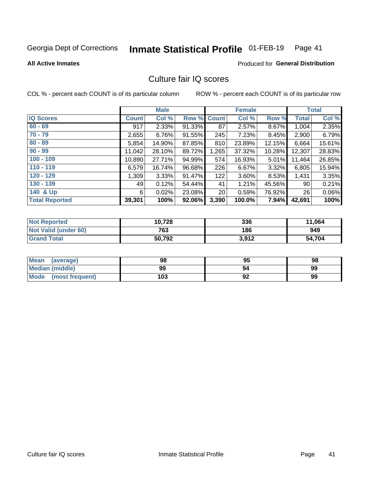#### Inmate Statistical Profile 01-FEB-19 Page 41

### **All Active Inmates**

### **Produced for General Distribution**

## Culture fair IQ scores

COL % - percent each COUNT is of its particular column

|                       |              | <b>Male</b> |             |       | <b>Female</b> |        |              | <b>Total</b> |
|-----------------------|--------------|-------------|-------------|-------|---------------|--------|--------------|--------------|
| <b>IQ Scores</b>      | <b>Count</b> | Col %       | Row % Count |       | Col %         | Row %  | <b>Total</b> | Col %        |
| $60 - 69$             | 917          | 2.33%       | 91.33%      | 87    | 2.57%         | 8.67%  | 1,004        | 2.35%        |
| $70 - 79$             | 2,655        | 6.76%       | 91.55%      | 245   | 7.23%         | 8.45%  | 2,900        | 6.79%        |
| $80 - 89$             | 5,854        | 14.90%      | 87.85%      | 810   | 23.89%        | 12.15% | 6,664        | 15.61%       |
| $90 - 99$             | 11,042       | 28.10%      | 89.72%      | 1,265 | 37.32%        | 10.28% | 12,307       | 28.83%       |
| $100 - 109$           | 10,890       | 27.71%      | 94.99%      | 574   | 16.93%        | 5.01%  | 11,464       | 26.85%       |
| $110 - 119$           | 6,579        | 16.74%      | 96.68%      | 226   | 6.67%         | 3.32%  | 6,805        | 15.94%       |
| $120 - 129$           | 1,309        | 3.33%       | 91.47%      | 122   | $3.60\%$      | 8.53%  | 1,431        | 3.35%        |
| $130 - 139$           | 49           | 0.12%       | 54.44%      | 41    | 1.21%         | 45.56% | 90           | 0.21%        |
| 140 & Up              | 6            | 0.02%       | 23.08%      | 20    | 0.59%         | 76.92% | 26           | 0.06%        |
| <b>Total Reported</b> | 39,301       | 100%        | 92.06%      | 3,390 | 100.0%        | 7.94%  | 42,691       | 100%         |

| <b>Not Reported</b>         | 10,728 | 336   | 11,064 |
|-----------------------------|--------|-------|--------|
| <b>Not Valid (under 60)</b> | 763    | 186   | 949    |
| <b>Grand Total</b>          | 50,792 | 3,912 | 54,704 |

| <b>Mean</b><br>(average) | 98  | 95 | 98 |
|--------------------------|-----|----|----|
| <b>Median (middle)</b>   | 99  | 94 | 99 |
| Mode<br>(most frequent)  | 103 | 92 | 99 |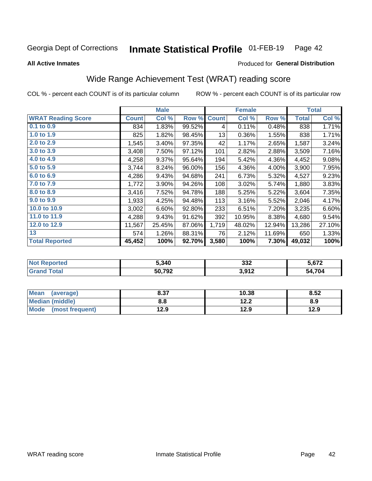#### Inmate Statistical Profile 01-FEB-19 Page 42

**All Active Inmates** 

### Produced for General Distribution

## Wide Range Achievement Test (WRAT) reading score

COL % - percent each COUNT is of its particular column

|                           |              | <b>Male</b> |        |              | <b>Female</b> |        |              | <b>Total</b> |
|---------------------------|--------------|-------------|--------|--------------|---------------|--------|--------------|--------------|
| <b>WRAT Reading Score</b> | <b>Count</b> | Col %       | Row %  | <b>Count</b> | Col %         | Row %  | <b>Total</b> | Col %        |
| 0.1 to 0.9                | 834          | 1.83%       | 99.52% | 4            | 0.11%         | 0.48%  | 838          | 1.71%        |
| 1.0 to 1.9                | 825          | 1.82%       | 98.45% | 13           | 0.36%         | 1.55%  | 838          | 1.71%        |
| 2.0 to 2.9                | 1,545        | 3.40%       | 97.35% | 42           | 1.17%         | 2.65%  | 1,587        | 3.24%        |
| 3.0 to 3.9                | 3,408        | 7.50%       | 97.12% | 101          | 2.82%         | 2.88%  | 3,509        | 7.16%        |
| 4.0 to 4.9                | 4,258        | 9.37%       | 95.64% | 194          | 5.42%         | 4.36%  | 4,452        | 9.08%        |
| 5.0 to 5.9                | 3,744        | 8.24%       | 96.00% | 156          | 4.36%         | 4.00%  | 3,900        | 7.95%        |
| 6.0 to 6.9                | 4,286        | 9.43%       | 94.68% | 241          | 6.73%         | 5.32%  | 4,527        | 9.23%        |
| 7.0 to 7.9                | 1,772        | 3.90%       | 94.26% | 108          | 3.02%         | 5.74%  | 1,880        | 3.83%        |
| 8.0 to 8.9                | 3,416        | 7.52%       | 94.78% | 188          | 5.25%         | 5.22%  | 3,604        | 7.35%        |
| 9.0 to 9.9                | 1,933        | 4.25%       | 94.48% | 113          | 3.16%         | 5.52%  | 2,046        | 4.17%        |
| 10.0 to 10.9              | 3,002        | 6.60%       | 92.80% | 233          | 6.51%         | 7.20%  | 3,235        | 6.60%        |
| 11.0 to 11.9              | 4,288        | 9.43%       | 91.62% | 392          | 10.95%        | 8.38%  | 4,680        | 9.54%        |
| 12.0 to 12.9              | 11,567       | 25.45%      | 87.06% | 1,719        | 48.02%        | 12.94% | 13,286       | 27.10%       |
| 13                        | 574          | 1.26%       | 88.31% | 76           | 2.12%         | 11.69% | 650          | 1.33%        |
| <b>Total Reported</b>     | 45,452       | 100%        | 92.70% | 3,580        | 100%          | 7.30%  | 49,032       | 100%         |

| -тес<br>NO | 5,340  | 332   | ភ.672      |
|------------|--------|-------|------------|
| $\sim$ 10  | 50,792 | 3,912 | .704<br>^^ |

| <b>Mean</b><br>(average) | 8.37 | 10.38 | 8.52 |
|--------------------------|------|-------|------|
| Median (middle)          | 8.8  | 12.2  | 8.9  |
| Mode<br>(most frequent)  | 12.9 | 12.9  | 12.9 |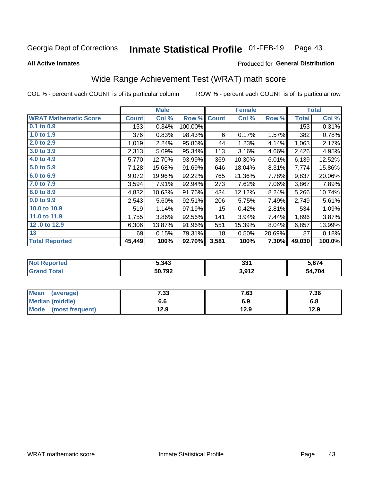#### Inmate Statistical Profile 01-FEB-19 Page 43

**All Active Inmates** 

### Produced for General Distribution

## Wide Range Achievement Test (WRAT) math score

COL % - percent each COUNT is of its particular column

|                              |              | <b>Male</b> |         |                 | <b>Female</b> |        |              | <b>Total</b> |
|------------------------------|--------------|-------------|---------|-----------------|---------------|--------|--------------|--------------|
| <b>WRAT Mathematic Score</b> | <b>Count</b> | Col %       | Row %   | <b>Count</b>    | Col %         | Row %  | <b>Total</b> | Col %        |
| $0.1$ to $0.9$               | 153          | 0.34%       | 100.00% |                 |               |        | 153          | 0.31%        |
| 1.0 to 1.9                   | 376          | 0.83%       | 98.43%  | 6               | 0.17%         | 1.57%  | 382          | 0.78%        |
| 2.0 to 2.9                   | 1,019        | 2.24%       | 95.86%  | 44              | 1.23%         | 4.14%  | 1,063        | 2.17%        |
| 3.0 to 3.9                   | 2,313        | 5.09%       | 95.34%  | 113             | 3.16%         | 4.66%  | 2,426        | 4.95%        |
| 4.0 to 4.9                   | 5,770        | 12.70%      | 93.99%  | 369             | 10.30%        | 6.01%  | 6,139        | 12.52%       |
| 5.0 to 5.9                   | 7,128        | 15.68%      | 91.69%  | 646             | 18.04%        | 8.31%  | 7,774        | 15.86%       |
| 6.0 to 6.9                   | 9,072        | 19.96%      | 92.22%  | 765             | 21.36%        | 7.78%  | 9,837        | 20.06%       |
| 7.0 to 7.9                   | 3,594        | 7.91%       | 92.94%  | 273             | 7.62%         | 7.06%  | 3,867        | 7.89%        |
| 8.0 to 8.9                   | 4,832        | 10.63%      | 91.76%  | 434             | 12.12%        | 8.24%  | 5,266        | 10.74%       |
| 9.0 to 9.9                   | 2,543        | 5.60%       | 92.51%  | 206             | 5.75%         | 7.49%  | 2,749        | 5.61%        |
| 10.0 to 10.9                 | 519          | 1.14%       | 97.19%  | 15 <sub>1</sub> | 0.42%         | 2.81%  | 534          | 1.09%        |
| 11.0 to 11.9                 | 1,755        | 3.86%       | 92.56%  | 141             | 3.94%         | 7.44%  | 1,896        | 3.87%        |
| 12.0 to 12.9                 | 6,306        | 13.87%      | 91.96%  | 551             | 15.39%        | 8.04%  | 6,857        | 13.99%       |
| 13                           | 69           | 0.15%       | 79.31%  | 18              | 0.50%         | 20.69% | 87           | 0.18%        |
| <b>Total Reported</b>        | 45,449       | 100%        | 92.70%  | 3,581           | 100%          | 7.30%  | 49,030       | 100.0%       |
|                              |              |             |         |                 |               |        |              |              |

| <b>Not Reported</b>   | 5,343  | 221<br>. აა | 5,674  |
|-----------------------|--------|-------------|--------|
| <b>Total</b><br>Grand | 50,792 | 3,912       | 54,704 |

| Mean (average)         | 7.33 | 7.63 | 7.36 |
|------------------------|------|------|------|
| <b>Median (middle)</b> | o.o  | 6.9  | 6.8  |
| Mode (most frequent)   | 12.9 | 12.9 | 12.9 |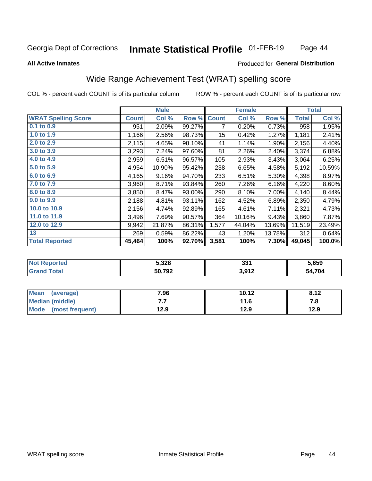#### Inmate Statistical Profile 01-FEB-19 Page 44

### **All Active Inmates**

### Produced for General Distribution

## Wide Range Achievement Test (WRAT) spelling score

COL % - percent each COUNT is of its particular column

|                            |              | <b>Male</b> |        |                 | <b>Female</b> |        |              | <b>Total</b> |
|----------------------------|--------------|-------------|--------|-----------------|---------------|--------|--------------|--------------|
| <b>WRAT Spelling Score</b> | <b>Count</b> | Col %       | Row %  | <b>Count</b>    | Col %         | Row %  | <b>Total</b> | Col %        |
| 0.1 to 0.9                 | 951          | 2.09%       | 99.27% | 7               | 0.20%         | 0.73%  | 958          | 1.95%        |
| 1.0 to 1.9                 | 1,166        | 2.56%       | 98.73% | 15 <sub>1</sub> | 0.42%         | 1.27%  | 1,181        | 2.41%        |
| 2.0 to 2.9                 | 2,115        | 4.65%       | 98.10% | 41              | 1.14%         | 1.90%  | 2,156        | 4.40%        |
| 3.0 to 3.9                 | 3,293        | 7.24%       | 97.60% | 81              | 2.26%         | 2.40%  | 3,374        | 6.88%        |
| 4.0 to 4.9                 | 2,959        | 6.51%       | 96.57% | 105             | 2.93%         | 3.43%  | 3,064        | 6.25%        |
| 5.0 to 5.9                 | 4,954        | 10.90%      | 95.42% | 238             | 6.65%         | 4.58%  | 5,192        | 10.59%       |
| 6.0 to 6.9                 | 4,165        | 9.16%       | 94.70% | 233             | 6.51%         | 5.30%  | 4,398        | 8.97%        |
| 7.0 to 7.9                 | 3,960        | 8.71%       | 93.84% | 260             | 7.26%         | 6.16%  | 4,220        | 8.60%        |
| 8.0 to 8.9                 | 3,850        | 8.47%       | 93.00% | 290             | 8.10%         | 7.00%  | 4,140        | 8.44%        |
| 9.0 to 9.9                 | 2,188        | 4.81%       | 93.11% | 162             | 4.52%         | 6.89%  | 2,350        | 4.79%        |
| 10.0 to 10.9               | 2,156        | 4.74%       | 92.89% | 165             | 4.61%         | 7.11%  | 2,321        | 4.73%        |
| 11.0 to 11.9               | 3,496        | 7.69%       | 90.57% | 364             | 10.16%        | 9.43%  | 3,860        | 7.87%        |
| 12.0 to 12.9               | 9,942        | 21.87%      | 86.31% | 1,577           | 44.04%        | 13.69% | 11,519       | 23.49%       |
| 13                         | 269          | 0.59%       | 86.22% | 43              | 1.20%         | 13.78% | 312          | 0.64%        |
| <b>Total Reported</b>      | 45,464       | 100%        | 92.70% | 3,581           | 100%          | 7.30%  | 49,045       | 100.0%       |

| тес<br>NO | 5,328         | 224<br>. ಎ. | 5,659      |
|-----------|---------------|-------------|------------|
| $\sim$ 40 | 50.792<br>194 | 3,912       | .704<br>77 |

| Mean<br>(average)       | 7.96 | 10.12 | 8.12 |
|-------------------------|------|-------|------|
| Median (middle)         | . .  | 11.6  | 7. O |
| Mode<br>(most frequent) | 12.9 | 12.9  | 12.9 |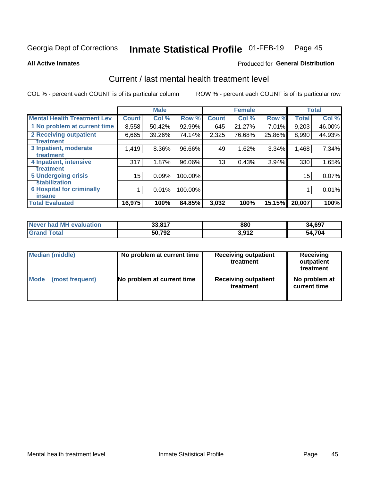#### Inmate Statistical Profile 01-FEB-19 Page 45

**All Active Inmates** 

### **Produced for General Distribution**

## Current / last mental health treatment level

COL % - percent each COUNT is of its particular column

|                                    |              | <b>Male</b> |         |              | <b>Female</b> |          |              | <b>Total</b> |
|------------------------------------|--------------|-------------|---------|--------------|---------------|----------|--------------|--------------|
| <b>Mental Health Treatment Lev</b> | <b>Count</b> | Col %       | Row %   | <b>Count</b> | Col %         | Row %    | <b>Total</b> | Col %        |
| 1 No problem at current time       | 8,558        | 50.42%      | 92.99%  | 645          | 21.27%        | 7.01%    | 9,203        | 46.00%       |
| 2 Receiving outpatient             | 6,665        | 39.26%      | 74.14%  | 2,325        | 76.68%        | 25.86%   | 8,990        | 44.93%       |
| <b>Treatment</b>                   |              |             |         |              |               |          |              |              |
| 3 Inpatient, moderate              | 1,419        | 8.36%       | 96.66%  | 49           | 1.62%         | 3.34%    | 1,468        | 7.34%        |
| <b>Treatment</b>                   |              |             |         |              |               |          |              |              |
| 4 Inpatient, intensive             | 317          | 1.87%       | 96.06%  | 13           | 0.43%         | $3.94\%$ | 330          | 1.65%        |
| Treatment                          |              |             |         |              |               |          |              |              |
| <b>5 Undergoing crisis</b>         | 15           | 0.09%       | 100.00% |              |               |          | 15           | 0.07%        |
| <b>Stabilization</b>               |              |             |         |              |               |          |              |              |
| <b>6 Hospital for criminally</b>   |              | 0.01%       | 100.00% |              |               |          |              | 0.01%        |
| <b>Tinsane</b>                     |              |             |         |              |               |          |              |              |
| <b>Total Evaluated</b>             | 16,975       | 100%        | 84.85%  | 3,032        | 100%          | 15.15%   | 20,007       | 100%         |

| Never had MH evaluation | 33,817 | 880   | 34,697 |
|-------------------------|--------|-------|--------|
| $\tau$ otal             | 50,792 | 3,912 | 54,704 |

| Median (middle) | No problem at current time | <b>Receiving outpatient</b><br>treatment | <b>Receiving</b><br>outpatient<br>treatment |  |  |
|-----------------|----------------------------|------------------------------------------|---------------------------------------------|--|--|
| <b>Mode</b>     | No problem at current time | <b>Receiving outpatient</b>              | No problem at                               |  |  |
| (most frequent) |                            | treatment                                | current time                                |  |  |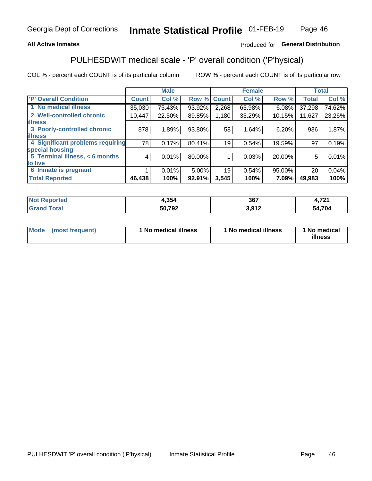### **All Active Inmates**

## Produced for General Distribution

## PULHESDWIT medical scale - 'P' overall condition ('P'hysical)

COL % - percent each COUNT is of its particular column

|                                  |              | <b>Male</b> |        | <b>Female</b>   |        |        | <b>Total</b> |        |
|----------------------------------|--------------|-------------|--------|-----------------|--------|--------|--------------|--------|
| <b>P' Overall Condition</b>      | <b>Count</b> | Col %       | Row %  | <b>Count</b>    | Col %  | Row %  | <b>Total</b> | Col %  |
| 1 No medical illness             | 35,030       | 75.43%      | 93.92% | 2,268           | 63.98% | 6.08%  | 37,298       | 74.62% |
| 2 Well-controlled chronic        | 10,447       | 22.50%      | 89.85% | 1,180           | 33.29% | 10.15% | 11,627       | 23.26% |
| <b>lillness</b>                  |              |             |        |                 |        |        |              |        |
| 3 Poorly-controlled chronic      | 878          | 1.89%       | 93.80% | 58              | 1.64%  | 6.20%  | 936          | 1.87%  |
| <b>illness</b>                   |              |             |        |                 |        |        |              |        |
| 4 Significant problems requiring | 78           | 0.17%       | 80.41% | 19 <sub>1</sub> | 0.54%  | 19.59% | 97           | 0.19%  |
| special housing                  |              |             |        |                 |        |        |              |        |
| 5 Terminal illness, $< 6$ months | 4            | 0.01%       | 80.00% |                 | 0.03%  | 20.00% | 5            | 0.01%  |
| to live                          |              |             |        |                 |        |        |              |        |
| 6 Inmate is pregnant             |              | 0.01%       | 5.00%  | 19              | 0.54%  | 95.00% | 20           | 0.04%  |
| <b>Total Reported</b>            | 46,438       | 100%        | 92.91% | 3,545           | 100%   | 7.09%  | 49,983       | 100%   |

| τеα | 1,354              | 367           | 704<br>4. I 4. I |
|-----|--------------------|---------------|------------------|
|     | 50.792<br>™J∠<br>, | . ര∢ ാ<br>. . | .704<br>57       |

| Mode<br>(most frequent) |  | <sup>1</sup> No medical illness | 1 No medical illness | 1 No medical<br>illness |
|-------------------------|--|---------------------------------|----------------------|-------------------------|
|-------------------------|--|---------------------------------|----------------------|-------------------------|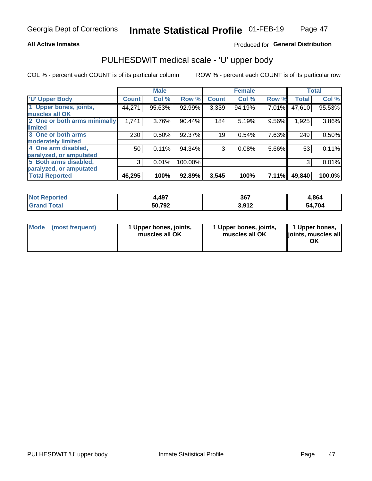### **All Active Inmates**

### Produced for General Distribution

# PULHESDWIT medical scale - 'U' upper body

COL % - percent each COUNT is of its particular column

|                              |              | <b>Male</b> |         |              | <b>Female</b> |       |              | <b>Total</b> |
|------------------------------|--------------|-------------|---------|--------------|---------------|-------|--------------|--------------|
| <b>U' Upper Body</b>         | <b>Count</b> | Col %       | Row %   | <b>Count</b> | Col %         | Row % | <b>Total</b> | Col %        |
| 1 Upper bones, joints,       | 44,271       | 95.63%      | 92.99%  | 3,339        | 94.19%        | 7.01% | 47,610       | 95.53%       |
| muscles all OK               |              |             |         |              |               |       |              |              |
| 2 One or both arms minimally | 1,741        | 3.76%       | 90.44%  | 184          | 5.19%         | 9.56% | 1,925        | 3.86%        |
| limited                      |              |             |         |              |               |       |              |              |
| 3 One or both arms           | 230          | 0.50%       | 92.37%  | 19           | 0.54%         | 7.63% | 249          | 0.50%        |
| <b>moderately limited</b>    |              |             |         |              |               |       |              |              |
| 4 One arm disabled,          | 50           | 0.11%       | 94.34%  | 3            | 0.08%         | 5.66% | 53           | 0.11%        |
| paralyzed, or amputated      |              |             |         |              |               |       |              |              |
| 5 Both arms disabled,        | 3            | 0.01%       | 100.00% |              |               |       | 3            | 0.01%        |
| paralyzed, or amputated      |              |             |         |              |               |       |              |              |
| <b>Total Reported</b>        | 46,295       | 100%        | 92.89%  | 3,545        | 100%          | 7.11% | 49,840       | 100.0%       |

| <b>Not Reported</b> | ,497   | 367            | 4,864  |
|---------------------|--------|----------------|--------|
| <b>Total</b>        | 50,792 | 012<br>J.J I L | 54,704 |

|  | Mode (most frequent) | 1 Upper bones, joints,<br>muscles all OK | 1 Upper bones, joints,<br>muscles all OK | 1 Upper bones,<br>ljoints, muscles all<br>ΟK |
|--|----------------------|------------------------------------------|------------------------------------------|----------------------------------------------|
|--|----------------------|------------------------------------------|------------------------------------------|----------------------------------------------|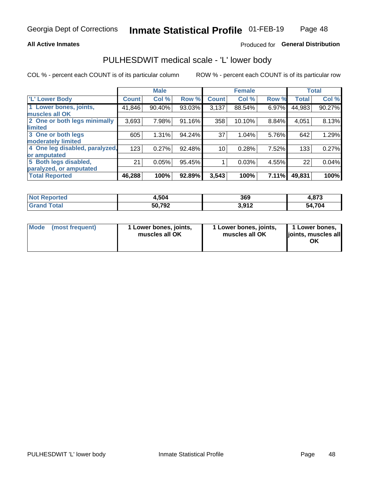### **All Active Inmates**

### Produced for General Distribution

## PULHESDWIT medical scale - 'L' lower body

COL % - percent each COUNT is of its particular column

|                                |              | <b>Male</b> |        |              | <b>Female</b> |       |              | <b>Total</b> |
|--------------------------------|--------------|-------------|--------|--------------|---------------|-------|--------------|--------------|
| 'L' Lower Body                 | <b>Count</b> | Col %       | Row %  | <b>Count</b> | Col %         | Row % | <b>Total</b> | Col %        |
| 1 Lower bones, joints,         | 41,846       | 90.40%      | 93.03% | 3,137        | 88.54%        | 6.97% | 44,983       | 90.27%       |
| muscles all OK                 |              |             |        |              |               |       |              |              |
| 2 One or both legs minimally   | 3,693        | 7.98%       | 91.16% | 358          | 10.10%        | 8.84% | 4,051        | 8.13%        |
| limited                        |              |             |        |              |               |       |              |              |
| 3 One or both legs             | 605          | 1.31%       | 94.24% | 37           | 1.04%         | 5.76% | 642          | 1.29%        |
| moderately limited             |              |             |        |              |               |       |              |              |
| 4 One leg disabled, paralyzed, | 123          | 0.27%       | 92.48% | 10           | 0.28%         | 7.52% | 133          | 0.27%        |
| or amputated                   |              |             |        |              |               |       |              |              |
| 5 Both legs disabled,          | 21           | 0.05%       | 95.45% |              | 0.03%         | 4.55% | 22           | 0.04%        |
| paralyzed, or amputated        |              |             |        |              |               |       |              |              |
| <b>Total Reported</b>          | 46,288       | 100%        | 92.89% | 3,543        | 100%          | 7.11% | 49,831       | 100%         |

| <b>Not Reported</b>   | 4,504  | 369   | 4,873  |
|-----------------------|--------|-------|--------|
| <b>Total</b><br>Grand | 50,792 | 3,912 | 54,704 |

| Mode | (most frequent) | 1 Lower bones, joints,<br>muscles all OK | I Lower bones, joints,<br>muscles all OK | 1 Lower bones,<br>joints, muscles all<br>ΟK |
|------|-----------------|------------------------------------------|------------------------------------------|---------------------------------------------|
|------|-----------------|------------------------------------------|------------------------------------------|---------------------------------------------|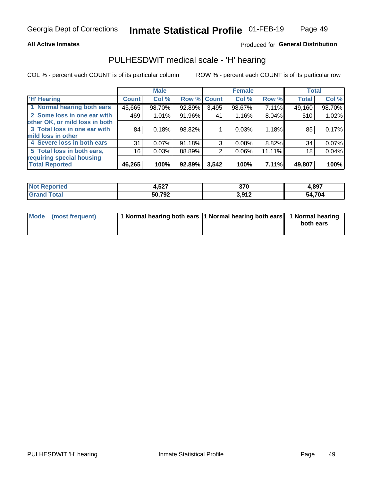### **All Active Inmates**

### Produced for General Distribution

## PULHESDWIT medical scale - 'H' hearing

COL % - percent each COUNT is of its particular column

|                                |              | <b>Male</b> |        |             | <b>Female</b> |          | <b>Total</b> |        |
|--------------------------------|--------------|-------------|--------|-------------|---------------|----------|--------------|--------|
| <b>H' Hearing</b>              | <b>Count</b> | Col %       |        | Row % Count | Col %         | Row %    | <b>Total</b> | Col %  |
| 1 Normal hearing both ears     | 45,665       | 98.70%      | 92.89% | 3,495       | 98.67%        | 7.11%    | 49,160       | 98.70% |
| 2 Some loss in one ear with    | 469          | 1.01%       | 91.96% | 41          | 1.16%         | 8.04%    | 510          | 1.02%  |
| other OK, or mild loss in both |              |             |        |             |               |          |              |        |
| 3 Total loss in one ear with   | 84           | 0.18%       | 98.82% |             | 0.03%         | 1.18%    | 85           | 0.17%  |
| mild loss in other             |              |             |        |             |               |          |              |        |
| 4 Severe loss in both ears     | 31           | $0.07\%$    | 91.18% | 3           | $0.08\%$      | 8.82%    | 34           | 0.07%  |
| 5 Total loss in both ears,     | 16           | 0.03%       | 88.89% | 2           | $0.06\%$      | 11.11%   | 18           | 0.04%  |
| requiring special housing      |              |             |        |             |               |          |              |        |
| <b>Total Reported</b>          | 46,265       | 100%        | 92.89% | 3,542       | 100%          | $7.11\%$ | 49,807       | 100%   |

| <b>FA7</b><br>7,J <i>l</i> | 270<br>JI U        | .897   |
|----------------------------|--------------------|--------|
| 50.702<br>-24              | 2 Q1 2<br>⊾ ا لا,د | 54,704 |

| Mode (most frequent) | 1 Normal hearing both ears 11 Normal hearing both ears 1 Normal hearing | both ears |
|----------------------|-------------------------------------------------------------------------|-----------|
|                      |                                                                         |           |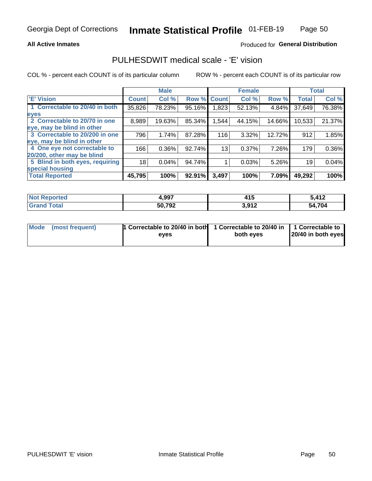### **All Active Inmates**

### Produced for General Distribution

## PULHESDWIT medical scale - 'E' vision

COL % - percent each COUNT is of its particular column

|                                 |              | <b>Male</b> |        |                 | <b>Female</b> |        |              | <b>Total</b> |
|---------------------------------|--------------|-------------|--------|-----------------|---------------|--------|--------------|--------------|
| 'E' Vision                      | <b>Count</b> | Col %       | Row %  | <b>Count</b>    | Col %         | Row %  | <b>Total</b> | Col %        |
| 1 Correctable to 20/40 in both  | 35,826       | 78.23%      | 95.16% | ∣823. ا         | 52.13%        | 4.84%  | 37,649       | 76.38%       |
| eyes                            |              |             |        |                 |               |        |              |              |
| 2 Correctable to 20/70 in one   | 8,989        | 19.63%      | 85.34% | 1,544           | 44.15%        | 14.66% | 10,533       | 21.37%       |
| eye, may be blind in other      |              |             |        |                 |               |        |              |              |
| 3 Correctable to 20/200 in one  | 796          | 1.74%       | 87.28% | 116             | 3.32%         | 12.72% | 912          | 1.85%        |
| eye, may be blind in other      |              |             |        |                 |               |        |              |              |
| 4 One eye not correctable to    | 166          | 0.36%       | 92.74% | 13 <sub>1</sub> | 0.37%         | 7.26%  | 179          | 0.36%        |
| 20/200, other may be blind      |              |             |        |                 |               |        |              |              |
| 5 Blind in both eyes, requiring | 18           | 0.04%       | 94.74% |                 | 0.03%         | 5.26%  | 19           | 0.04%        |
| special housing                 |              |             |        |                 |               |        |              |              |
| <b>Total Reported</b>           | 45,795       | 100%        | 92.91% | 3,497           | 100%          | 7.09%  | 49,292       | 100%         |

| <b>Not Reported</b>   | 1,997  | 415   | 5,412  |
|-----------------------|--------|-------|--------|
| Total<br><b>Grand</b> | 50,792 | 3,912 | 54,704 |

| Mode (most frequent) | 1 Correctable to 20/40 in both<br>eves | 1 Correctable to 20/40 in   1 Correctable to  <br>both eves | 20/40 in both eyes |  |
|----------------------|----------------------------------------|-------------------------------------------------------------|--------------------|--|
|                      |                                        |                                                             |                    |  |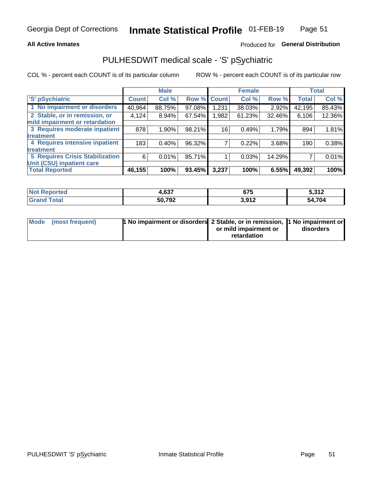### **All Active Inmates**

### Produced for General Distribution

## PULHESDWIT medical scale - 'S' pSychiatric

COL % - percent each COUNT is of its particular column

|                                        |              | <b>Male</b> |        |              | <b>Female</b> |        |              | <b>Total</b> |
|----------------------------------------|--------------|-------------|--------|--------------|---------------|--------|--------------|--------------|
| 'S' pSychiatric                        | <b>Count</b> | Col %       | Row %  | <b>Count</b> | Col %         | Row %  | <b>Total</b> | Col %        |
| 1 No impairment or disorders           | 40,964       | 88.75%      | 97.08% | 1,231        | 38.03%        | 2.92%  | 42,195       | 85.43%       |
| 2 Stable, or in remission, or          | 4,124        | $8.94\%$    | 67.54% | .982         | 61.23%        | 32.46% | 6,106        | 12.36%       |
| mild impairment or retardation         |              |             |        |              |               |        |              |              |
| 3 Requires moderate inpatient          | 878          | 1.90%       | 98.21% | 16           | 0.49%         | 1.79%  | 894          | 1.81%        |
| treatment                              |              |             |        |              |               |        |              |              |
| 4 Requires intensive inpatient         | 183          | 0.40%       | 96.32% |              | 0.22%         | 3.68%  | 190          | 0.38%        |
| treatment                              |              |             |        |              |               |        |              |              |
| <b>5 Requires Crisis Stabilization</b> | 6            | 0.01%       | 85.71% |              | 0.03%         | 14.29% |              | 0.01%        |
| Unit (CSU) inpatient care              |              |             |        |              |               |        |              |              |
| <b>Total Reported</b>                  | 46,155       | 100%        | 93.45% | 3,237        | 100%          | 6.55%  | 49,392       | 100%         |

| <b>Not Reported</b> | 4,637  | $\sim$<br>৬7১ | 5,312  |
|---------------------|--------|---------------|--------|
| Total<br>' Grand    | 50,792 | 3,912         | 54,704 |

| Mode (most frequent) | <b>1 No impairment or disorders</b> 2 Stable, or in remission, 1 No impairment or |                       |           |
|----------------------|-----------------------------------------------------------------------------------|-----------------------|-----------|
|                      |                                                                                   | or mild impairment or | disorders |
|                      |                                                                                   | retardation           |           |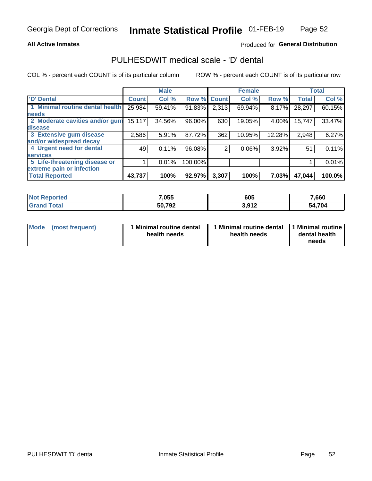### **All Active Inmates**

### Produced for General Distribution

## PULHESDWIT medical scale - 'D' dental

COL % - percent each COUNT is of its particular column

|                                 |              | <b>Male</b> |         |              | <b>Female</b> |          |              | <b>Total</b> |
|---------------------------------|--------------|-------------|---------|--------------|---------------|----------|--------------|--------------|
| <b>D'</b> Dental                | <b>Count</b> | Col %       | Row %   | <b>Count</b> | Col %         | Row %    | <b>Total</b> | Col %        |
| 1 Minimal routine dental health | 25,984       | 59.41%      | 91.83%  | 2,313        | 69.94%        | 8.17%    | 28,297       | 60.15%       |
| <b>needs</b>                    |              |             |         |              |               |          |              |              |
| 2 Moderate cavities and/or gum  | 15,117       | 34.56%      | 96.00%  | 630          | 19.05%        | 4.00%    | 15,747       | 33.47%       |
| disease                         |              |             |         |              |               |          |              |              |
| 3 Extensive gum disease         | 2,586        | 5.91%       | 87.72%  | 362          | 10.95%        | 12.28%   | 2,948        | 6.27%        |
| and/or widespread decay         |              |             |         |              |               |          |              |              |
| 4 Urgent need for dental        | 49           | 0.11%       | 96.08%  | 2            | 0.06%         | $3.92\%$ | 51           | 0.11%        |
| <b>services</b>                 |              |             |         |              |               |          |              |              |
| 5 Life-threatening disease or   |              | 0.01%       | 100.00% |              |               |          |              | 0.01%        |
| extreme pain or infection       |              |             |         |              |               |          |              |              |
| <b>Total Reported</b>           | 43,737       | 100%        | 92.97%  | 3,307        | 100%          | 7.03%    | 47,044       | 100.0%       |

| <b>Not Reported</b> | 7,055  | 605                  | 7,660  |
|---------------------|--------|----------------------|--------|
| <b>Total</b>        | 50,792 | 2012<br><b>J.JIL</b> | 54,704 |

| 1 Minimal routine dental<br>Mode<br>(most frequent)<br>health needs | 1 Minimal routine dental 1 Minimal routine<br>health needs | dental health<br>needs |
|---------------------------------------------------------------------|------------------------------------------------------------|------------------------|
|---------------------------------------------------------------------|------------------------------------------------------------|------------------------|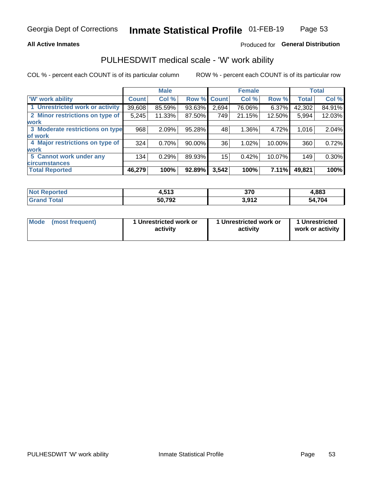### **All Active Inmates**

### Produced for General Distribution

## PULHESDWIT medical scale - 'W' work ability

COL % - percent each COUNT is of its particular column

|                                 |              | <b>Male</b> |           |             | <b>Female</b> |        |              | <b>Total</b> |
|---------------------------------|--------------|-------------|-----------|-------------|---------------|--------|--------------|--------------|
| <b>W' work ability</b>          | <b>Count</b> | Col %       |           | Row % Count | Col %         | Row %  | <b>Total</b> | Col %        |
| 1 Unrestricted work or activity | 39,608       | 85.59%      | 93.63%    | 2,694       | 76.06%        | 6.37%  | 42,302       | 84.91%       |
| 2 Minor restrictions on type of | 5,245        | 11.33%      | 87.50%    | 749         | 21.15%        | 12.50% | 5,994        | 12.03%       |
| <b>work</b>                     |              |             |           |             |               |        |              |              |
| 3 Moderate restrictions on type | 968          | 2.09%       | 95.28%    | 48          | 1.36%         | 4.72%  | 1,016        | 2.04%        |
| lof work                        |              |             |           |             |               |        |              |              |
| 4 Major restrictions on type of | 324          | 0.70%       | $90.00\%$ | 36          | 1.02%         | 10.00% | 360          | 0.72%        |
| <b>work</b>                     |              |             |           |             |               |        |              |              |
| 5 Cannot work under any         | 134          | 0.29%       | 89.93%    | 15          | 0.42%         | 10.07% | 149          | 0.30%        |
| <b>circumstances</b>            |              |             |           |             |               |        |              |              |
| <b>Total Reported</b>           | 46,279       | 100%        | 92.89%    | 3,542       | 100%          | 7.11%  | 49,821       | 100%         |

| <b>Not Reported</b> | E49<br>1.J I J | 370   | 1,883       |
|---------------------|----------------|-------|-------------|
| Total<br>oranu      | 50,792         | 3,912 | 4,704<br>٠л |

| Mode (most frequent) | 1 Unrestricted work or | 1 Unrestricted work or | 1 Unrestricted   |
|----------------------|------------------------|------------------------|------------------|
|                      | activity               | activity               | work or activity |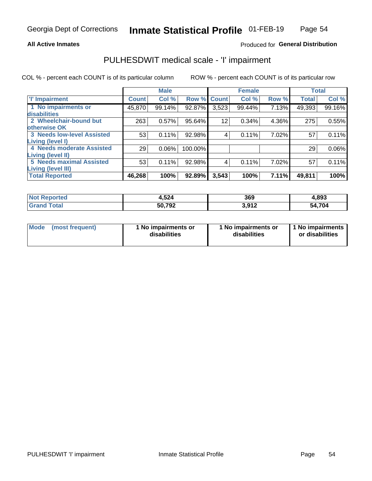### **All Active Inmates**

### Produced for General Distribution

## PULHESDWIT medical scale - 'I' impairment

COL % - percent each COUNT is of its particular column

|                                        |              | <b>Male</b> |             |       | <b>Female</b> |       |              | <b>Total</b> |
|----------------------------------------|--------------|-------------|-------------|-------|---------------|-------|--------------|--------------|
| <b>T' Impairment</b>                   | <b>Count</b> | Col %       | Row % Count |       | Col %         | Row % | <b>Total</b> | Col %        |
| 1 No impairments or                    | 45,870       | 99.14%      | 92.87%      | 3,523 | 99.44%        | 7.13% | 49,393       | 99.16%       |
| disabilities<br>2 Wheelchair-bound but | 263          | 0.57%       | 95.64%      | 12    | 0.34%         | 4.36% | 275          | 0.55%        |
| otherwise OK                           |              |             |             |       |               |       |              |              |
| <b>3 Needs low-level Assisted</b>      | 53           | 0.11%       | 92.98%      | 4     | 0.11%         | 7.02% | 57           | 0.11%        |
| Living (level I)                       |              |             |             |       |               |       |              |              |
| 4 Needs moderate Assisted              | 29           | 0.06%       | 100.00%     |       |               |       | 29           | $0.06\%$     |
| <b>Living (level II)</b>               |              |             |             |       |               |       |              |              |
| <b>5 Needs maximal Assisted</b>        | 53           | 0.11%       | 92.98%      | 4     | 0.11%         | 7.02% | 57           | 0.11%        |
| <b>Living (level III)</b>              |              |             |             |       |               |       |              |              |
| <b>Total Reported</b>                  | 46,268       | 100%        | 92.89%      | 3,543 | 100%          | 7.11% | 49,811       | 100%         |

| rteo | 1,524  | 369  | 4,893     |
|------|--------|------|-----------|
|      | 50,792 | 2012 | 704<br>54 |

| Mode | (most frequent) | 1 No impairments or<br>disabilities | 1 No impairments or<br>disabilities | 1 No impairments<br>or disabilities |
|------|-----------------|-------------------------------------|-------------------------------------|-------------------------------------|
|------|-----------------|-------------------------------------|-------------------------------------|-------------------------------------|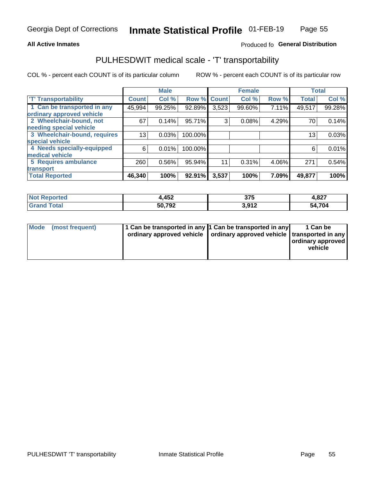### **All Active Inmates**

### Produced fo General Distribution

## PULHESDWIT medical scale - 'T' transportability

COL % - percent each COUNT is of its particular column

|                              |              | <b>Male</b> |         |              | <b>Female</b> |       |              | <b>Total</b> |
|------------------------------|--------------|-------------|---------|--------------|---------------|-------|--------------|--------------|
| <b>T' Transportability</b>   | <b>Count</b> | Col %       | Row %   | <b>Count</b> | Col %         | Row % | <b>Total</b> | Col %        |
| 1 Can be transported in any  | 45,994       | 99.25%      | 92.89%  | 3,523        | 99.60%        | 7.11% | 49,517       | 99.28%       |
| ordinary approved vehicle    |              |             |         |              |               |       |              |              |
| 2 Wheelchair-bound, not      | 67           | 0.14%       | 95.71%  | 3            | 0.08%         | 4.29% | 70           | 0.14%        |
| needing special vehicle      |              |             |         |              |               |       |              |              |
| 3 Wheelchair-bound, requires | 13           | 0.03%       | 100.00% |              |               |       | 13           | 0.03%        |
| special vehicle              |              |             |         |              |               |       |              |              |
| 4 Needs specially-equipped   | 6            | 0.01%       | 100.00% |              |               |       | 6            | 0.01%        |
| medical vehicle              |              |             |         |              |               |       |              |              |
| <b>5 Requires ambulance</b>  | 260          | 0.56%       | 95.94%  | 11           | 0.31%         | 4.06% | 271          | 0.54%        |
| transport                    |              |             |         |              |               |       |              |              |
| <b>Total Reported</b>        | 46,340       | 100%        | 92.91%  | 3,537        | 100%          | 7.09% | 49,877       | 100%         |

| <b>Not</b><br>Reported | ,452   | 375  | 4,827     |
|------------------------|--------|------|-----------|
| Total                  | 50,792 | 2012 | 704<br>54 |

|  | Mode (most frequent) | 1 Can be transported in any 1 Can be transported in any<br>ordinary approved vehicle   ordinary approved vehicle   transported in any |  | 1 Can be<br>  ordinary approved  <br>vehicle |
|--|----------------------|---------------------------------------------------------------------------------------------------------------------------------------|--|----------------------------------------------|
|--|----------------------|---------------------------------------------------------------------------------------------------------------------------------------|--|----------------------------------------------|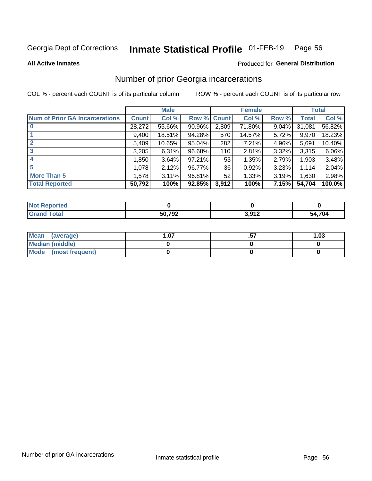#### Inmate Statistical Profile 01-FEB-19 Page 56

**All Active Inmates** 

### **Produced for General Distribution**

## Number of prior Georgia incarcerations

COL % - percent each COUNT is of its particular column

|                                       |              | <b>Male</b> |             |       | <b>Female</b> |       |        | <b>Total</b> |
|---------------------------------------|--------------|-------------|-------------|-------|---------------|-------|--------|--------------|
| <b>Num of Prior GA Incarcerations</b> | <b>Count</b> | Col %       | Row % Count |       | Col %         | Row % | Total  | Col %        |
|                                       | 28,272       | 55.66%      | 90.96%      | 2,809 | 71.80%        | 9.04% | 31,081 | 56.82%       |
|                                       | 9,400        | 18.51%      | 94.28%      | 570   | 14.57%        | 5.72% | 9,970  | 18.23%       |
| $\overline{2}$                        | 5,409        | 10.65%      | $95.04\%$   | 282   | 7.21%         | 4.96% | 5,691  | 10.40%       |
| 3                                     | 3,205        | 6.31%       | 96.68%      | 110   | 2.81%         | 3.32% | 3,315  | 6.06%        |
| $\boldsymbol{4}$                      | 1,850        | 3.64%       | $97.21\%$   | 53    | 1.35%         | 2.79% | 1,903  | 3.48%        |
| 5                                     | 1,078        | 2.12%       | 96.77%      | 36    | 0.92%         | 3.23% | 1.114  | 2.04%        |
| <b>More Than 5</b>                    | 1,578        | 3.11%       | 96.81%      | 52    | 1.33%         | 3.19% | 1,630  | 2.98%        |
| <b>Total Reported</b>                 | 50,792       | 100%        | 92.85%      | 3,912 | 100%          | 7.15% | 54,704 | 100.0%       |

| orted<br>NO.        |        |             |        |
|---------------------|--------|-------------|--------|
| <b>Total</b><br>Gr: | 50,792 | ר ממ<br>. . | 54,704 |

| Mean (average)       | .07 | <br>1.03 |
|----------------------|-----|----------|
| Median (middle)      |     |          |
| Mode (most frequent) |     |          |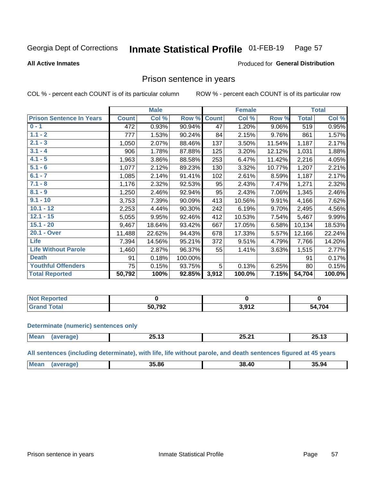#### Inmate Statistical Profile 01-FEB-19 Page 57

**All Active Inmates** 

### Produced for General Distribution

### Prison sentence in years

COL % - percent each COUNT is of its particular column

ROW % - percent each COUNT is of its particular row

|                                 |              | <b>Male</b> |         |              | <b>Female</b> |          |              | <b>Total</b> |
|---------------------------------|--------------|-------------|---------|--------------|---------------|----------|--------------|--------------|
| <b>Prison Sentence In Years</b> | <b>Count</b> | Col %       | Row %   | <b>Count</b> | Col %         | Row %    | <b>Total</b> | Col %        |
| $0 - 1$                         | 472          | 0.93%       | 90.94%  | 47           | 1.20%         | $9.06\%$ | 519          | 0.95%        |
| $1.1 - 2$                       | 777          | 1.53%       | 90.24%  | 84           | 2.15%         | 9.76%    | 861          | 1.57%        |
| $2.1 - 3$                       | 1,050        | 2.07%       | 88.46%  | 137          | 3.50%         | 11.54%   | 1,187        | 2.17%        |
| $3.1 - 4$                       | 906          | 1.78%       | 87.88%  | 125          | 3.20%         | 12.12%   | 1,031        | 1.88%        |
| $4.1 - 5$                       | 1,963        | 3.86%       | 88.58%  | 253          | 6.47%         | 11.42%   | 2,216        | 4.05%        |
| $5.1 - 6$                       | 1,077        | 2.12%       | 89.23%  | 130          | 3.32%         | 10.77%   | 1,207        | 2.21%        |
| $6.1 - 7$                       | 1,085        | 2.14%       | 91.41%  | 102          | 2.61%         | 8.59%    | 1,187        | 2.17%        |
| $7.1 - 8$                       | 1,176        | 2.32%       | 92.53%  | 95           | 2.43%         | 7.47%    | 1,271        | 2.32%        |
| $8.1 - 9$                       | 1,250        | 2.46%       | 92.94%  | 95           | 2.43%         | 7.06%    | 1,345        | 2.46%        |
| $9.1 - 10$                      | 3,753        | 7.39%       | 90.09%  | 413          | 10.56%        | 9.91%    | 4,166        | 7.62%        |
| $10.1 - 12$                     | 2,253        | 4.44%       | 90.30%  | 242          | 6.19%         | 9.70%    | 2,495        | 4.56%        |
| $12.1 - 15$                     | 5,055        | 9.95%       | 92.46%  | 412          | 10.53%        | 7.54%    | 5,467        | 9.99%        |
| $15.1 - 20$                     | 9,467        | 18.64%      | 93.42%  | 667          | 17.05%        | 6.58%    | 10,134       | 18.53%       |
| 20.1 - Over                     | 11,488       | 22.62%      | 94.43%  | 678          | 17.33%        | 5.57%    | 12,166       | 22.24%       |
| <b>Life</b>                     | 7,394        | 14.56%      | 95.21%  | 372          | 9.51%         | 4.79%    | 7,766        | 14.20%       |
| <b>Life Without Parole</b>      | 1,460        | 2.87%       | 96.37%  | 55           | 1.41%         | 3.63%    | 1,515        | 2.77%        |
| <b>Death</b>                    | 91           | 0.18%       | 100.00% |              |               |          | 91           | 0.17%        |
| <b>Youthful Offenders</b>       | 75           | 0.15%       | 93.75%  | 5            | 0.13%         | 6.25%    | 80           | 0.15%        |
| <b>Total Reported</b>           | 50,792       | 100%        | 92.85%  | 3,912        | 100.0%        | 7.15%    | 54,704       | 100.0%       |

| <b>Not Reported</b> |                         |        |             |
|---------------------|-------------------------|--------|-------------|
| Total               | $50.79^{\circ}$<br>72 C | 04 י C | ,704<br>- 1 |

### **Determinate (numeric) sentences only**

| <b>Mean</b> | --<br>. .<br>20.IU | 05. QA<br>-<br>LJ.LI | -- --<br>75 L<br>- - - - - - |
|-------------|--------------------|----------------------|------------------------------|
|             |                    |                      |                              |

All sentences (including determinate), with life, life without parole, and death sentences figured at 45 years

| <b>Mea</b><br>AC<br>35.86<br>35.94<br>38 |  |  |  |
|------------------------------------------|--|--|--|
|                                          |  |  |  |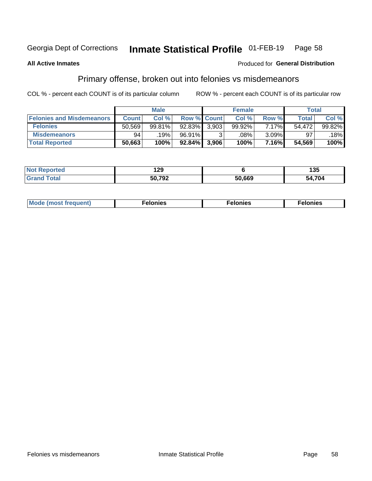#### Inmate Statistical Profile 01-FEB-19 Page 58

### **All Active Inmates**

### **Produced for General Distribution**

## Primary offense, broken out into felonies vs misdemeanors

COL % - percent each COUNT is of its particular column

|                                  |              | <b>Male</b> |        |                    | <b>Female</b> |          | Total        |        |
|----------------------------------|--------------|-------------|--------|--------------------|---------------|----------|--------------|--------|
| <b>Felonies and Misdemeanors</b> | <b>Count</b> | Col %       |        | <b>Row % Count</b> | Col %         | Row %    | <b>Total</b> | Col %  |
| <b>Felonies</b>                  | 50,569       | 99.81%      | 92.83% | 3.903              | 99.92%        | 7.17%    | 54.472       | 99.82% |
| <b>Misdemeanors</b>              | 94           | 19%         | 96.91% |                    | .08%          | $3.09\%$ | 97           | 18%    |
| <b>Total Reported</b>            | 50,663       | 100%        | 92.84% | 3,906              | 100%          | 7.16%    | 54,569       | 100%   |

| <b>Not</b>            | חה ו   |        | .      |
|-----------------------|--------|--------|--------|
| Reported              | ت ک ا  |        | יטי    |
| <b>Granc</b><br>™otai | 50,792 | 50,669 | 54,704 |

| Mo | ____ | 11 C.S<br>. | onies<br>. |
|----|------|-------------|------------|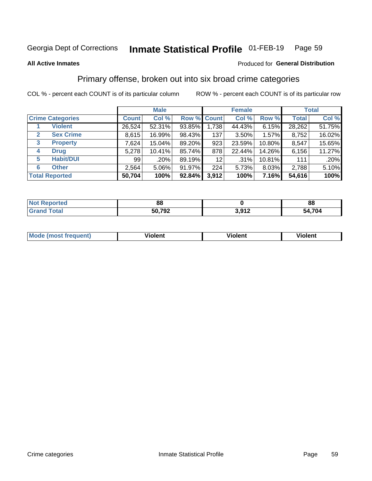#### Inmate Statistical Profile 01-FEB-19 Page 59

### **All Active Inmates**

### **Produced for General Distribution**

## Primary offense, broken out into six broad crime categories

COL % - percent each COUNT is of its particular column

|                                 |              | <b>Male</b> |        |                 | <b>Female</b> |        | <b>Total</b> |        |  |
|---------------------------------|--------------|-------------|--------|-----------------|---------------|--------|--------------|--------|--|
| <b>Crime Categories</b>         | <b>Count</b> | Col %       |        | Row % Count     | Col %         | Row %  | <b>Total</b> | Col %  |  |
| <b>Violent</b>                  | 26,524       | 52.31%      | 93.85% | 1,738           | 44.43%        | 6.15%  | 28,262       | 51.75% |  |
| <b>Sex Crime</b><br>2           | 8,615        | 16.99%      | 98.43% | 137             | $3.50\%$      | 1.57%  | 8,752        | 16.02% |  |
| $\mathbf{3}$<br><b>Property</b> | 7,624        | 15.04%      | 89.20% | 923             | 23.59%        | 10.80% | 8,547        | 15.65% |  |
| <b>Drug</b><br>4                | 5,278        | 10.41%      | 85.74% | 878             | 22.44%        | 14.26% | 6,156        | 11.27% |  |
| <b>Habit/DUI</b><br>5           | 99           | .20%        | 89.19% | 12 <sub>2</sub> | $.31\%$       | 10.81% | 111          | .20%   |  |
| <b>Other</b><br>6               | 2,564        | 5.06%       | 91.97% | 224             | 5.73%         | 8.03%  | 2,788        | 5.10%  |  |
| <b>Total Reported</b>           | 50,704       | 100%        | 92.84% | 3,912           | 100%          | 7.16%  | 54,616       | 100%   |  |

| Reported<br><b>NOT</b> | 0C<br>oo |         | 88    |
|------------------------|----------|---------|-------|
| $F \wedge f \wedge f$  | 50,792   | 1 04 2  | 4,704 |
| υιαι                   |          | J.J I 4 | 54    |

| M | - --<br>100011 | .<br><b>VIOIGIIL</b> | 1.91311 |
|---|----------------|----------------------|---------|
|   |                |                      |         |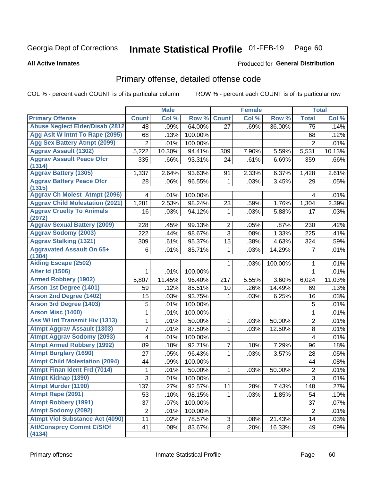#### Inmate Statistical Profile 01-FEB-19 Page 60

**All Active Inmates** 

### **Produced for General Distribution**

## Primary offense, detailed offense code

COL % - percent each COUNT is of its particular column

|                                            |                | <b>Male</b> |         |                | <b>Female</b> |         |                | <b>Total</b> |
|--------------------------------------------|----------------|-------------|---------|----------------|---------------|---------|----------------|--------------|
| <b>Primary Offense</b>                     | <b>Count</b>   | Col %       | Row %   | <b>Count</b>   | Col %         | Row %   | <b>Total</b>   | Col %        |
| <b>Abuse Neglect Elder/Disab (2812)</b>    | 48             | .09%        | 64.00%  | 27             | .69%          | 36.00%  | 75             | .14%         |
| Agg Aslt W Intnt To Rape (2095)            | 68             | .13%        | 100.00% |                |               |         | 68             | .12%         |
| <b>Agg Sex Battery Atmpt (2099)</b>        | $\overline{2}$ | .01%        | 100.00% |                |               |         | $\overline{2}$ | .01%         |
| <b>Aggrav Assault (1302)</b>               | 5,222          | 10.30%      | 94.41%  | 309            | 7.90%         | 5.59%   | 5,531          | 10.13%       |
| <b>Aggrav Assault Peace Ofcr</b><br>(1314) | 335            | .66%        | 93.31%  | 24             | .61%          | 6.69%   | 359            | .66%         |
| <b>Aggrav Battery (1305)</b>               | 1,337          | 2.64%       | 93.63%  | 91             | 2.33%         | 6.37%   | 1,428          | 2.61%        |
| <b>Aggrav Battery Peace Ofcr</b>           | 28             | .06%        | 96.55%  | 1              | .03%          | 3.45%   | 29             | .05%         |
| (1315)                                     |                |             |         |                |               |         |                |              |
| <b>Aggrav Ch Molest Atmpt (2096)</b>       | 4              | .01%        | 100.00% |                |               |         | 4              | .01%         |
| <b>Aggrav Child Molestation (2021)</b>     | 1,281          | 2.53%       | 98.24%  | 23             | .59%          | 1.76%   | 1,304          | 2.39%        |
| <b>Aggrav Cruelty To Animals</b><br>(2972) | 16             | .03%        | 94.12%  | 1              | .03%          | 5.88%   | 17             | .03%         |
| <b>Aggrav Sexual Battery (2009)</b>        | 228            | .45%        | 99.13%  | $\overline{2}$ | .05%          | .87%    | 230            | .42%         |
| <b>Aggrav Sodomy (2003)</b>                | 222            | .44%        | 98.67%  | 3              | .08%          | 1.33%   | 225            | .41%         |
| <b>Aggrav Stalking (1321)</b>              | 309            | .61%        | 95.37%  | 15             | .38%          | 4.63%   | 324            | .59%         |
| <b>Aggravated Assault On 65+</b>           | 6              | .01%        | 85.71%  | 1              | .03%          | 14.29%  | 7              | .01%         |
| (1304)                                     |                |             |         |                |               |         |                |              |
| <b>Aiding Escape (2502)</b>                |                |             |         | 1              | .03%          | 100.00% | 1              | .01%         |
| <b>Alter Id (1506)</b>                     | 1              | .01%        | 100.00% |                |               |         | $\mathbf{1}$   | .01%         |
| <b>Armed Robbery (1902)</b>                | 5,807          | 11.45%      | 96.40%  | 217            | 5.55%         | 3.60%   | 6,024          | 11.03%       |
| Arson 1st Degree (1401)                    | 59             | .12%        | 85.51%  | 10             | .26%          | 14.49%  | 69             | .13%         |
| <b>Arson 2nd Degree (1402)</b>             | 15             | .03%        | 93.75%  | 1              | .03%          | 6.25%   | 16             | .03%         |
| <b>Arson 3rd Degree (1403)</b>             | 5              | .01%        | 100.00% |                |               |         | 5              | .01%         |
| <b>Arson Misc (1400)</b>                   | 1              | .01%        | 100.00% |                |               |         | $\mathbf{1}$   | .01%         |
| <b>Ass W/ Int Transmit Hiv (1313)</b>      | 1              | .01%        | 50.00%  | 1              | .03%          | 50.00%  | $\overline{2}$ | .01%         |
| <b>Atmpt Aggrav Assault (1303)</b>         | 7              | .01%        | 87.50%  | 1              | .03%          | 12.50%  | 8              | .01%         |
| <b>Atmpt Aggrav Sodomy (2093)</b>          | 4              | .01%        | 100.00% |                |               |         | 4              | .01%         |
| <b>Atmpt Armed Robbery (1992)</b>          | 89             | .18%        | 92.71%  | $\overline{7}$ | .18%          | 7.29%   | 96             | .18%         |
| <b>Atmpt Burglary (1690)</b>               | 27             | .05%        | 96.43%  | 1              | .03%          | 3.57%   | 28             | .05%         |
| <b>Atmpt Child Molestation (2094)</b>      | 44             | .09%        | 100.00% |                |               |         | 44             | .08%         |
| <b>Atmpt Finan Ident Frd (7014)</b>        | 1              | .01%        | 50.00%  | 1              | .03%          | 50.00%  | 2              | .01%         |
| <b>Atmpt Kidnap (1390)</b>                 | $\overline{3}$ | .01%        | 100.00% |                |               |         | $\overline{3}$ | .01%         |
| <b>Atmpt Murder (1190)</b>                 | 137            | .27%        | 92.57%  | 11             | .28%          | 7.43%   | 148            | .27%         |
| Atmpt Rape (2091)                          | 53             | .10%        | 98.15%  | $\mathbf{1}$   | .03%          | 1.85%   | 54             | .10%         |
| <b>Atmpt Robbery (1991)</b>                | 37             | .07%        | 100.00% |                |               |         | 37             | .07%         |
| <b>Atmpt Sodomy (2092)</b>                 | $\overline{2}$ | .01%        | 100.00% |                |               |         | $\overline{2}$ | .01%         |
| <b>Atmpt Viol Substance Act (4090)</b>     | 11             | .02%        | 78.57%  | 3              | .08%          | 21.43%  | 14             | .03%         |
| <b>Att/Consprcy Commt C/S/Of</b><br>(4134) | 41             | .08%        | 83.67%  | 8 <sup>1</sup> | .20%          | 16.33%  | 49             | .09%         |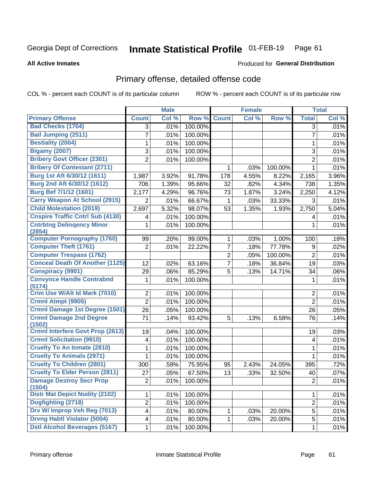#### Inmate Statistical Profile 01-FEB-19 Page 61

### **All Active Inmates**

## **Produced for General Distribution**

## Primary offense, detailed offense code

COL % - percent each COUNT is of its particular column

|                                            |                         | <b>Male</b> |         |                | <b>Female</b> |         |                | <b>Total</b> |
|--------------------------------------------|-------------------------|-------------|---------|----------------|---------------|---------|----------------|--------------|
| <b>Primary Offense</b>                     | <b>Count</b>            | Col %       | Row %   | <b>Count</b>   | Col %         | Row %   | <b>Total</b>   | Col %        |
| <b>Bad Checks (1704)</b>                   | 3                       | .01%        | 100.00% |                |               |         | 3              | .01%         |
| <b>Bail Jumping (2511)</b>                 | 7                       | .01%        | 100.00% |                |               |         | 7              | .01%         |
| <b>Bestiality (2004)</b>                   | 1                       | .01%        | 100.00% |                |               |         | 1              | .01%         |
| <b>Bigamy (2007)</b>                       | 3                       | .01%        | 100.00% |                |               |         | 3              | .01%         |
| <b>Bribery Govt Officer (2301)</b>         | $\overline{2}$          | .01%        | 100.00% |                |               |         | $\overline{2}$ | .01%         |
| <b>Bribery Of Contestant (2711)</b>        |                         |             |         | 1              | .03%          | 100.00% | 1              | .01%         |
| Burg 1st Aft 6/30/12 (1611)                | 1,987                   | 3.92%       | 91.78%  | 178            | 4.55%         | 8.22%   | 2,165          | 3.96%        |
| Burg 2nd Aft 6/30/12 (1612)                | 706                     | 1.39%       | 95.66%  | 32             | .82%          | 4.34%   | 738            | 1.35%        |
| <b>Burg Bef 7/1/12 (1601)</b>              | 2,177                   | 4.29%       | 96.76%  | 73             | 1.87%         | 3.24%   | 2,250          | 4.12%        |
| <b>Carry Weapon At School (2915)</b>       | $\overline{2}$          | .01%        | 66.67%  | 1              | .03%          | 33.33%  | 3              | .01%         |
| <b>Child Molestation (2019)</b>            | 2,697                   | 5.32%       | 98.07%  | 53             | 1.35%         | 1.93%   | 2,750          | 5.04%        |
| <b>Cnspire Traffic Cntrl Sub (4130)</b>    | 4                       | .01%        | 100.00% |                |               |         | 4              | .01%         |
| <b>Cntrbtng Delingency Minor</b><br>(2854) | 1                       | .01%        | 100.00% |                |               |         | 1              | .01%         |
| <b>Computer Pornography (1760)</b>         | 99                      | .20%        | 99.00%  | $\mathbf{1}$   | .03%          | 1.00%   | 100            | .18%         |
| <b>Computer Theft (1761)</b>               | $\overline{2}$          | .01%        | 22.22%  | $\overline{7}$ | .18%          | 77.78%  | 9              | .02%         |
| <b>Computer Trespass (1762)</b>            |                         |             |         | $\overline{2}$ | .05%          | 100.00% | $\overline{2}$ | .01%         |
| <b>Conceal Death Of Another (1125)</b>     | 12                      | .02%        | 63.16%  | $\overline{7}$ | .18%          | 36.84%  | 19             | .03%         |
| <b>Conspiracy (9901)</b>                   | 29                      | .06%        | 85.29%  | 5              | .13%          | 14.71%  | 34             | .06%         |
| <b>Convynce Handle Contrabnd</b><br>(5174) | 1                       | .01%        | 100.00% |                |               |         | 1              | .01%         |
| Crim Use W/Alt Id Mark (7010)              | 2                       | .01%        | 100.00% |                |               |         | 2              | .01%         |
| Crmnl Atmpt (9905)                         | $\overline{2}$          | .01%        | 100.00% |                |               |         | $\overline{2}$ | .01%         |
| Crmnl Damage 1st Degree (1501)             | 26                      | .05%        | 100.00% |                |               |         | 26             | .05%         |
| <b>Crmnl Damage 2nd Degree</b><br>(1502)   | 71                      | .14%        | 93.42%  | 5              | .13%          | 6.58%   | 76             | .14%         |
| <b>Crmnl Interfere Govt Prop (2613)</b>    | 19                      | .04%        | 100.00% |                |               |         | 19             | .03%         |
| <b>Crmnl Solicitation (9910)</b>           | 4                       | .01%        | 100.00% |                |               |         | 4              | .01%         |
| <b>Cruelty To An Inmate (2810)</b>         | 1                       | .01%        | 100.00% |                |               |         | 1              | .01%         |
| <b>Cruelty To Animals (2971)</b>           | 1                       | .01%        | 100.00% |                |               |         | 1              | .01%         |
| <b>Cruelty To Children (2801)</b>          | 300                     | .59%        | 75.95%  | 95             | 2.43%         | 24.05%  | 395            | .72%         |
| <b>Cruelty To Elder Person (2811)</b>      | 27                      | .05%        | 67.50%  | 13             | .33%          | 32.50%  | 40             | .07%         |
| <b>Damage Destroy Secr Prop</b><br>(1504)  | 2 <sup>1</sup>          | .01%        | 100.00% |                |               |         | $\overline{c}$ | .01%         |
| <b>Distr Mat Depict Nudity (2102)</b>      | 1                       | .01%        | 100.00% |                |               |         | 1              | .01%         |
| Dogfighting (2718)                         | $\overline{2}$          | .01%        | 100.00% |                |               |         | $\overline{2}$ | .01%         |
| Drv W/ Improp Veh Reg (7013)               | $\overline{\mathbf{4}}$ | .01%        | 80.00%  | 1              | .03%          | 20.00%  | 5              | .01%         |
| <b>Drvng Habtl Violator (5004)</b>         | 4                       | .01%        | 80.00%  | 1              | .03%          | 20.00%  | 5              | .01%         |
| <b>Dstl Alcohol Beverages (5167)</b>       | 1                       | .01%        | 100.00% |                |               |         | 1              | .01%         |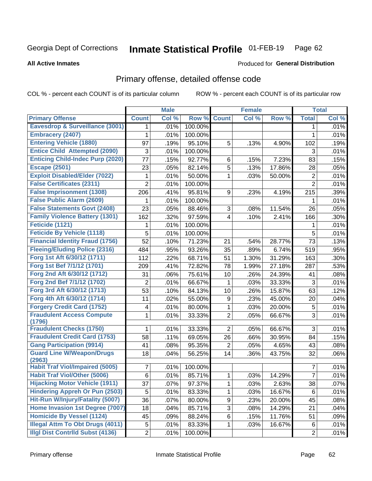#### **Inmate Statistical Profile 01-FEB-19** Page 62

**All Active Inmates** 

### Produced for General Distribution

## Primary offense, detailed offense code

COL % - percent each COUNT is of its particular column

|                                            |                | <b>Male</b> |         |                | <b>Female</b> |        |                | <b>Total</b> |
|--------------------------------------------|----------------|-------------|---------|----------------|---------------|--------|----------------|--------------|
| <b>Primary Offense</b>                     | <b>Count</b>   | Col %       | Row %   | <b>Count</b>   | Col %         | Row %  | <b>Total</b>   | Col %        |
| <b>Eavesdrop &amp; Surveillance (3001)</b> | $\mathbf 1$    | .01%        | 100.00% |                |               |        | 1              | .01%         |
| <b>Embracery (2407)</b>                    | 1              | .01%        | 100.00% |                |               |        | 1              | .01%         |
| <b>Entering Vehicle (1880)</b>             | 97             | .19%        | 95.10%  | 5              | .13%          | 4.90%  | 102            | .19%         |
| <b>Entice Child Attempted (2090)</b>       | 3              | .01%        | 100.00% |                |               |        | 3              | .01%         |
| <b>Enticing Child-Indec Purp (2020)</b>    | 77             | .15%        | 92.77%  | 6              | .15%          | 7.23%  | 83             | .15%         |
| <b>Escape (2501)</b>                       | 23             | .05%        | 82.14%  | 5              | .13%          | 17.86% | 28             | .05%         |
| <b>Exploit Disabled/Elder (7022)</b>       | 1              | .01%        | 50.00%  | 1              | .03%          | 50.00% | $\overline{c}$ | .01%         |
| <b>False Certificates (2311)</b>           | 2              | .01%        | 100.00% |                |               |        | $\overline{2}$ | .01%         |
| <b>False Imprisonment (1308)</b>           | 206            | .41%        | 95.81%  | 9              | .23%          | 4.19%  | 215            | .39%         |
| <b>False Public Alarm (2609)</b>           | 1              | .01%        | 100.00% |                |               |        | 1              | .01%         |
| <b>False Statements Govt (2408)</b>        | 23             | .05%        | 88.46%  | 3              | .08%          | 11.54% | 26             | .05%         |
| <b>Family Violence Battery (1301)</b>      | 162            | .32%        | 97.59%  | $\overline{4}$ | .10%          | 2.41%  | 166            | .30%         |
| Feticide (1121)                            | 1              | .01%        | 100.00% |                |               |        | 1              | .01%         |
| <b>Feticide By Vehicle (1118)</b>          | 5              | .01%        | 100.00% |                |               |        | 5              | .01%         |
| <b>Financial Identity Fraud (1756)</b>     | 52             | .10%        | 71.23%  | 21             | .54%          | 28.77% | 73             | .13%         |
| <b>Fleeing/Eluding Police (2316)</b>       | 484            | .95%        | 93.26%  | 35             | .89%          | 6.74%  | 519            | .95%         |
| Forg 1st Aft 6/30/12 (1711)                | 112            | .22%        | 68.71%  | 51             | 1.30%         | 31.29% | 163            | .30%         |
| Forg 1st Bef 7/1/12 (1701)                 | 209            | .41%        | 72.82%  | 78             | 1.99%         | 27.18% | 287            | .53%         |
| Forg 2nd Aft 6/30/12 (1712)                | 31             | .06%        | 75.61%  | 10             | .26%          | 24.39% | 41             | .08%         |
| Forg 2nd Bef 7/1/12 (1702)                 | 2              | .01%        | 66.67%  | 1              | .03%          | 33.33% | $\mathfrak{S}$ | .01%         |
| Forg 3rd Aft 6/30/12 (1713)                | 53             | .10%        | 84.13%  | 10             | .26%          | 15.87% | 63             | .12%         |
| Forg 4th Aft 6/30/12 (1714)                | 11             | .02%        | 55.00%  | 9              | .23%          | 45.00% | 20             | .04%         |
| <b>Forgery Credit Card (1752)</b>          | 4              | .01%        | 80.00%  | 1              | .03%          | 20.00% | $\mathbf 5$    | .01%         |
| <b>Fraudulent Access Compute</b>           | 1              | .01%        | 33.33%  | $\overline{2}$ | .05%          | 66.67% | 3              | .01%         |
| (1796)<br><b>Fraudulent Checks (1750)</b>  | 1              | .01%        | 33.33%  | $\overline{2}$ | .05%          | 66.67% | 3              | .01%         |
| <b>Fraudulent Credit Card (1753)</b>       | 58             | .11%        | 69.05%  | 26             | .66%          | 30.95% | 84             | .15%         |
| <b>Gang Participation (9914)</b>           | 41             | .08%        | 95.35%  | $\overline{2}$ | .05%          | 4.65%  | 43             | .08%         |
| <b>Guard Line W/Weapon/Drugs</b>           |                |             |         |                |               |        |                |              |
| (2963)                                     | 18             | .04%        | 56.25%  | 14             | .36%          | 43.75% | 32             | .06%         |
| <b>Habit Traf Viol/Impaired (5005)</b>     | $\overline{7}$ | .01%        | 100.00% |                |               |        | 7              | .01%         |
| <b>Habit Traf Viol/Other (5006)</b>        | 6              | .01%        | 85.71%  | 1.             | .03%          | 14.29% | $\overline{7}$ | .01%         |
| <b>Hijacking Motor Vehicle (1911)</b>      | 37             | .07%        | 97.37%  | 1              | .03%          | 2.63%  | 38             | .07%         |
| <b>Hindering Appreh Or Pun (2503)</b>      | 5              | .01%        | 83.33%  | 1              | .03%          | 16.67% | 6              | .01%         |
| Hit-Run W/Injury/Fatality (5007)           | 36             | .07%        | 80.00%  | 9              | .23%          | 20.00% | 45             | .08%         |
| Home Invasion 1st Degree (7007)            | 18             | .04%        | 85.71%  | 3              | .08%          | 14.29% | 21             | .04%         |
| <b>Homicide By Vessel (1124)</b>           | 45             | .09%        | 88.24%  | 6              | .15%          | 11.76% | 51             | .09%         |
| <b>Illegal Attm To Obt Drugs (4011)</b>    | $\,$ 5 $\,$    | .01%        | 83.33%  | $\mathbf{1}$   | .03%          | 16.67% | $\,6\,$        | .01%         |
| <b>Illgl Dist Contrild Subst (4136)</b>    | $\overline{2}$ | .01%        | 100.00% |                |               |        | $\overline{2}$ | .01%         |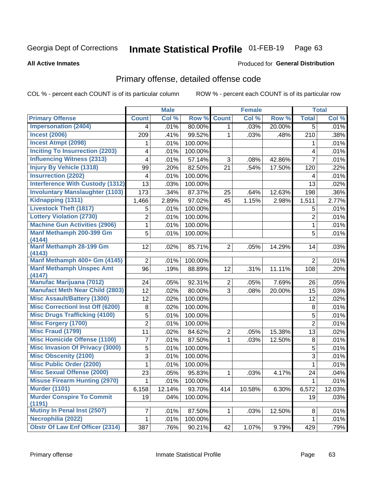#### Inmate Statistical Profile 01-FEB-19 Page 63

### **All Active Inmates**

### **Produced for General Distribution**

## Primary offense, detailed offense code

COL % - percent each COUNT is of its particular column

|                                            |                | <b>Male</b> |         |                | <b>Female</b> |        |                | <b>Total</b> |
|--------------------------------------------|----------------|-------------|---------|----------------|---------------|--------|----------------|--------------|
| <b>Primary Offense</b>                     | <b>Count</b>   | Col %       | Row %   | <b>Count</b>   | Col %         | Row %  | <b>Total</b>   | Col %        |
| <b>Impersonation (2404)</b>                | 4              | .01%        | 80.00%  | 1              | .03%          | 20.00% | $\overline{5}$ | .01%         |
| <b>Incest (2006)</b>                       | 209            | .41%        | 99.52%  | 1              | .03%          | .48%   | 210            | .38%         |
| <b>Incest Atmpt (2098)</b>                 | 1              | .01%        | 100.00% |                |               |        | 1              | .01%         |
| <b>Inciting To Insurrection (2203)</b>     | 4              | .01%        | 100.00% |                |               |        | 4              | .01%         |
| <b>Influencing Witness (2313)</b>          | 4              | .01%        | 57.14%  | 3              | .08%          | 42.86% | $\overline{7}$ | .01%         |
| <b>Injury By Vehicle (1318)</b>            | 99             | .20%        | 82.50%  | 21             | .54%          | 17.50% | 120            | .22%         |
| <b>Insurrection (2202)</b>                 | 4              | .01%        | 100.00% |                |               |        | 4              | .01%         |
| <b>Interference With Custody (1312)</b>    | 13             | .03%        | 100.00% |                |               |        | 13             | .02%         |
| <b>Involuntary Manslaughter (1103)</b>     | 173            | .34%        | 87.37%  | 25             | .64%          | 12.63% | 198            | .36%         |
| Kidnapping (1311)                          | 1,466          | 2.89%       | 97.02%  | 45             | 1.15%         | 2.98%  | 1,511          | 2.77%        |
| <b>Livestock Theft (1817)</b>              | 5              | .01%        | 100.00% |                |               |        | 5              | .01%         |
| <b>Lottery Violation (2730)</b>            | 2              | .01%        | 100.00% |                |               |        | $\overline{2}$ | .01%         |
| <b>Machine Gun Activities (2906)</b>       | $\mathbf 1$    | .01%        | 100.00% |                |               |        | 1              | .01%         |
| Manf Methamph 200-399 Gm                   | 5              | .01%        | 100.00% |                |               |        | 5              | .01%         |
| (4144)<br>Manf Methamph 28-199 Gm          |                |             |         |                |               |        |                |              |
| (4143)                                     | 12             | .02%        | 85.71%  | $\overline{2}$ | .05%          | 14.29% | 14             | .03%         |
| Manf Methamph 400+ Gm (4145)               | $\overline{2}$ | .01%        | 100.00% |                |               |        | $\overline{2}$ | .01%         |
| <b>Manf Methamph Unspec Amt</b>            | 96             | .19%        | 88.89%  | 12             | .31%          | 11.11% | 108            | .20%         |
| (4147)                                     |                |             |         |                |               |        |                |              |
| <b>Manufac Marijuana (7012)</b>            | 24             | .05%        | 92.31%  | $\overline{2}$ | .05%          | 7.69%  | 26             | .05%         |
| <b>Manufact Meth Near Child (2803)</b>     | 12             | .02%        | 80.00%  | 3              | .08%          | 20.00% | 15             | .03%         |
| <b>Misc Assault/Battery (1300)</b>         | 12             | .02%        | 100.00% |                |               |        | 12             | .02%         |
| <b>Misc Correctionl Inst Off (6200)</b>    | 8              | .02%        | 100.00% |                |               |        | 8              | .01%         |
| <b>Misc Drugs Trafficking (4100)</b>       | 5              | .01%        | 100.00% |                |               |        | 5              | .01%         |
| <b>Misc Forgery (1700)</b>                 | $\overline{c}$ | .01%        | 100.00% |                |               |        | $\overline{2}$ | .01%         |
| <b>Misc Fraud (1799)</b>                   | 11             | .02%        | 84.62%  | $\overline{2}$ | .05%          | 15.38% | 13             | .02%         |
| <b>Misc Homicide Offense (1100)</b>        | 7              | .01%        | 87.50%  | 1              | .03%          | 12.50% | $\bf 8$        | .01%         |
| <b>Misc Invasion Of Privacy (3000)</b>     | 5              | .01%        | 100.00% |                |               |        | 5              | .01%         |
| <b>Misc Obscenity (2100)</b>               | 3              | .01%        | 100.00% |                |               |        | 3              | .01%         |
| <b>Misc Public Order (2200)</b>            | 1              | .01%        | 100.00% |                |               |        | 1              | .01%         |
| <b>Misc Sexual Offense (2000)</b>          | 23             | .05%        | 95.83%  | 1              | .03%          | 4.17%  | 24             | .04%         |
| <b>Misuse Firearm Hunting (2970)</b>       | 1              | .01%        | 100.00% |                |               |        | $\mathbf{1}$   | .01%         |
| <b>Murder (1101)</b>                       | 6,158          | 12.14%      | 93.70%  | 414            | 10.58%        | 6.30%  | 6,572          | 12.03%       |
| <b>Murder Conspire To Commit</b><br>(1191) | 19             | .04%        | 100.00% |                |               |        | 19             | .03%         |
| Mutiny In Penal Inst (2507)                | $\overline{7}$ | .01%        | 87.50%  | $\mathbf{1}$   | .03%          | 12.50% | 8              | .01%         |
| Necrophilia (2022)                         | 1              | .01%        | 100.00% |                |               |        | 1              | .01%         |
| <b>Obstr Of Law Enf Officer (2314)</b>     | 387            | .76%        | 90.21%  | 42             | 1.07%         | 9.79%  | 429            | .79%         |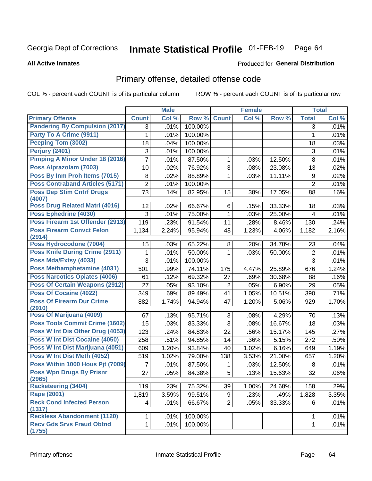#### Inmate Statistical Profile 01-FEB-19 Page 64

### **All Active Inmates**

## **Produced for General Distribution**

## Primary offense, detailed offense code

COL % - percent each COUNT is of its particular column

|                                              |                | <b>Male</b> |         |                | <b>Female</b> |        |                | <b>Total</b> |
|----------------------------------------------|----------------|-------------|---------|----------------|---------------|--------|----------------|--------------|
| <b>Primary Offense</b>                       | <b>Count</b>   | Col %       | Row %   | <b>Count</b>   | Col %         | Row %  | <b>Total</b>   | Col %        |
| <b>Pandering By Compulsion (2017)</b>        | 3              | .01%        | 100.00% |                |               |        | 3              | .01%         |
| Party To A Crime (9911)                      | 1              | .01%        | 100.00% |                |               |        | 1              | .01%         |
| Peeping Tom (3002)                           | 18             | .04%        | 100.00% |                |               |        | 18             | .03%         |
| Perjury (2401)                               | 3              | .01%        | 100.00% |                |               |        | $\sqrt{3}$     | .01%         |
| Pimping A Minor Under 18 (2016)              | $\overline{7}$ | .01%        | 87.50%  | 1              | .03%          | 12.50% | 8              | .01%         |
| Poss Alprazolam (7003)                       | 10             | .02%        | 76.92%  | $\overline{3}$ | .08%          | 23.08% | 13             | .02%         |
| Poss By Inm Proh Items (7015)                | $\, 8$         | .02%        | 88.89%  | 1              | .03%          | 11.11% | 9              | .02%         |
| <b>Poss Contraband Articles (5171)</b>       | $\overline{2}$ | .01%        | 100.00% |                |               |        | $\overline{2}$ | .01%         |
| <b>Poss Dep Stim Cntrf Drugs</b><br>(4007)   | 73             | .14%        | 82.95%  | 15             | .38%          | 17.05% | 88             | .16%         |
| <b>Poss Drug Related Matri (4016)</b>        | 12             | .02%        | 66.67%  | 6              | .15%          | 33.33% | 18             | .03%         |
| Poss Ephedrine (4030)                        | 3              | .01%        | 75.00%  | 1              | .03%          | 25.00% | 4              | .01%         |
| Poss Firearm 1st Offender (2913)             | 119            | .23%        | 91.54%  | 11             | .28%          | 8.46%  | 130            | .24%         |
| <b>Poss Firearm Convct Felon</b>             | 1,134          | 2.24%       | 95.94%  | 48             | 1.23%         | 4.06%  | 1,182          | 2.16%        |
| (2914)<br>Poss Hydrocodone (7004)            |                |             |         |                |               |        |                |              |
|                                              | 15             | .03%        | 65.22%  | 8              | .20%          | 34.78% | 23             | .04%         |
| <b>Poss Knife During Crime (2911)</b>        | 1              | .01%        | 50.00%  | 1              | .03%          | 50.00% | $\overline{c}$ | .01%         |
| Poss Mda/Extsy (4033)                        | 3              | .01%        | 100.00% |                |               |        | 3              | .01%         |
| Poss Methamphetamine (4031)                  | 501            | .99%        | 74.11%  | 175            | 4.47%         | 25.89% | 676            | 1.24%        |
| <b>Poss Narcotics Opiates (4006)</b>         | 61             | .12%        | 69.32%  | 27             | .69%          | 30.68% | 88             | .16%         |
| <b>Poss Of Certain Weapons (2912)</b>        | 27             | .05%        | 93.10%  | $\overline{2}$ | .05%          | 6.90%  | 29             | .05%         |
| <b>Poss Of Cocaine (4022)</b>                | 349            | .69%        | 89.49%  | 41             | 1.05%         | 10.51% | 390            | .71%         |
| <b>Poss Of Firearm Dur Crime</b><br>(2910)   | 882            | 1.74%       | 94.94%  | 47             | 1.20%         | 5.06%  | 929            | 1.70%        |
| Poss Of Marijuana (4009)                     | 67             | .13%        | 95.71%  | 3              | .08%          | 4.29%  | 70             | .13%         |
| <b>Poss Tools Commit Crime (1602)</b>        | 15             | .03%        | 83.33%  | $\overline{3}$ | .08%          | 16.67% | 18             | .03%         |
| Poss W Int Dis Other Drug (4053)             | 123            | .24%        | 84.83%  | 22             | .56%          | 15.17% | 145            | .27%         |
| <b>Poss W Int Dist Cocaine (4050)</b>        | 258            | .51%        | 94.85%  | 14             | .36%          | 5.15%  | 272            | .50%         |
| Poss W Int Dist Marijuana (4051)             | 609            | 1.20%       | 93.84%  | 40             | 1.02%         | 6.16%  | 649            | 1.19%        |
| Poss W Int Dist Meth (4052)                  | 519            | 1.02%       | 79.00%  | 138            | 3.53%         | 21.00% | 657            | 1.20%        |
| Poss Within 1000 Hous Pjt (7009)             | 7              | .01%        | 87.50%  | 1              | .03%          | 12.50% | 8              | .01%         |
| <b>Poss Wpn Drugs By Prisnr</b><br>(2965)    | 27             | .05%        | 84.38%  | 5              | .13%          | 15.63% | 32             | .06%         |
| <b>Racketeering (3404)</b>                   | 119            | .23%        | 75.32%  | 39             | 1.00%         | 24.68% | 158            | .29%         |
| <b>Rape (2001)</b>                           | 1,819          | 3.59%       | 99.51%  | 9              | .23%          | .49%   | 1,828          | 3.35%        |
| <b>Reck Cond Infected Person</b>             | 4              | .01%        | 66.67%  | $\overline{2}$ | .05%          | 33.33% | 6              | .01%         |
| (1317)<br><b>Reckless Abandonment (1120)</b> | 1.             | .01%        | 100.00% |                |               |        | 1              | .01%         |
| <b>Recv Gds Srvs Fraud Obtnd</b>             | $\mathbf{1}$   | .01%        | 100.00% |                |               |        | $\mathbf 1$    | .01%         |
| (1755)                                       |                |             |         |                |               |        |                |              |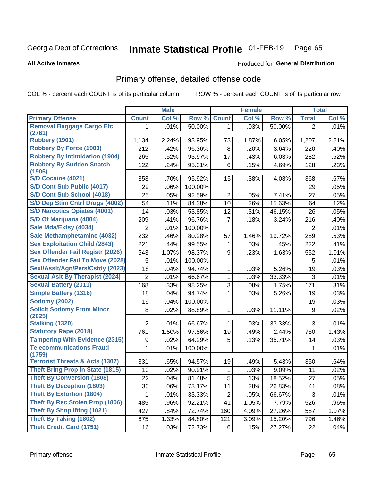#### Inmate Statistical Profile 01-FEB-19 Page 65

### **All Active Inmates**

### **Produced for General Distribution**

## Primary offense, detailed offense code

COL % - percent each COUNT is of its particular column

|                                            |                 | <b>Male</b> |         |                | <b>Female</b> |        |                | <b>Total</b> |
|--------------------------------------------|-----------------|-------------|---------|----------------|---------------|--------|----------------|--------------|
| <b>Primary Offense</b>                     | <b>Count</b>    | Col %       | Row %   | <b>Count</b>   | Col %         | Row %  | <b>Total</b>   | Col %        |
| <b>Removal Baggage Cargo Etc</b>           | 1.              | .01%        | 50.00%  | 1.             | .03%          | 50.00% | $\overline{2}$ | .01%         |
| (2761)                                     |                 |             |         |                |               |        |                |              |
| Robbery (1901)                             | 1,134           | 2.24%       | 93.95%  | 73             | 1.87%         | 6.05%  | 1,207          | 2.21%        |
| <b>Robbery By Force (1903)</b>             | 212             | .42%        | 96.36%  | 8              | .20%          | 3.64%  | 220            | .40%         |
| <b>Robbery By Intimidation (1904)</b>      | 265             | .52%        | 93.97%  | 17             | .43%          | 6.03%  | 282            | .52%         |
| <b>Robbery By Sudden Snatch</b><br>(1905)  | 122             | .24%        | 95.31%  | 6              | .15%          | 4.69%  | 128            | .23%         |
| S/D Cocaine (4021)                         | 353             | .70%        | 95.92%  | 15             | .38%          | 4.08%  | 368            | .67%         |
| S/D Cont Sub Public (4017)                 | 29              | .06%        | 100.00% |                |               |        | 29             | .05%         |
| S/D Cont Sub School (4018)                 | 25              | .05%        | 92.59%  | 2              | .05%          | 7.41%  | 27             | .05%         |
| S/D Dep Stim Cntrf Drugs (4002)            | 54              | .11%        | 84.38%  | 10             | .26%          | 15.63% | 64             | .12%         |
| <b>S/D Narcotics Opiates (4001)</b>        | 14              | .03%        | 53.85%  | 12             | .31%          | 46.15% | 26             | .05%         |
| S/D Of Marijuana (4004)                    | 209             | .41%        | 96.76%  | 7              | .18%          | 3.24%  | 216            | .40%         |
| Sale Mda/Extsy (4034)                      | 2               | .01%        | 100.00% |                |               |        | $\overline{2}$ | .01%         |
| Sale Methamphetamine (4032)                | 232             | .46%        | 80.28%  | 57             | 1.46%         | 19.72% | 289            | .53%         |
| <b>Sex Exploitation Child (2843)</b>       | 221             | .44%        | 99.55%  | 1              | .03%          | .45%   | 222            | .41%         |
| Sex Offender Fail Registr (2026)           | 543             | 1.07%       | 98.37%  | 9              | .23%          | 1.63%  | 552            | 1.01%        |
| <b>Sex Offender Fail To Move (2028)</b>    | 5               | .01%        | 100.00% |                |               |        | 5              | .01%         |
| Sexl/Asslt/Agn/Pers/Cstdy (2023)           | 18              | .04%        | 94.74%  | 1              | .03%          | 5.26%  | 19             | .03%         |
| <b>Sexual Aslt By Therapist (2024)</b>     | $\overline{2}$  | .01%        | 66.67%  | $\mathbf{1}$   | .03%          | 33.33% | 3              | .01%         |
| <b>Sexual Battery (2011)</b>               | 168             | .33%        | 98.25%  | 3              | .08%          | 1.75%  | 171            | .31%         |
| <b>Simple Battery (1316)</b>               | 18              | .04%        | 94.74%  | 1              | .03%          | 5.26%  | 19             | .03%         |
| <b>Sodomy (2002)</b>                       | 19              | .04%        | 100.00% |                |               |        | 19             | .03%         |
| <b>Solicit Sodomy From Minor</b>           | 8               | .02%        | 88.89%  | 1              | .03%          | 11.11% | 9              | .02%         |
| (2025)                                     |                 |             |         |                |               |        |                |              |
| <b>Stalking (1320)</b>                     | $\overline{2}$  | .01%        | 66.67%  | 1              | .03%          | 33.33% | 3              | .01%         |
| <b>Statutory Rape (2018)</b>               | 761             | 1.50%       | 97.56%  | 19             | .49%          | 2.44%  | 780            | 1.43%        |
| <b>Tampering With Evidence (2315)</b>      | 9               | .02%        | 64.29%  | 5              | .13%          | 35.71% | 14             | .03%         |
| <b>Telecommunications Fraud</b><br>(1759)  | 1               | .01%        | 100.00% |                |               |        | 1              | .01%         |
| <b>Terrorist Threats &amp; Acts (1307)</b> | 331             | .65%        | 94.57%  | 19             | .49%          | 5.43%  | 350            | .64%         |
| <b>Theft Bring Prop In State (1815)</b>    | 10              | .02%        | 90.91%  | 1              | .03%          | 9.09%  | 11             | .02%         |
| <b>Theft By Conversion (1808)</b>          | $\overline{22}$ | .04%        | 81.48%  | $\mathbf 5$    | .13%          | 18.52% | 27             | .05%         |
| <b>Theft By Deception (1803)</b>           | 30              | .06%        | 73.17%  | 11             | .28%          | 26.83% | 41             | .08%         |
| <b>Theft By Extortion (1804)</b>           | 1               | .01%        | 33.33%  | $\overline{c}$ | .05%          | 66.67% | 3              | .01%         |
| Theft By Rec Stolen Prop (1806)            | 485             | .96%        | 92.21%  | 41             | 1.05%         | 7.79%  | 526            | .96%         |
| <b>Theft By Shoplifting (1821)</b>         | 427             | .84%        | 72.74%  | 160            | 4.09%         | 27.26% | 587            | 1.07%        |
| <b>Theft By Taking (1802)</b>              | 675             | 1.33%       | 84.80%  | 121            | 3.09%         | 15.20% | 796            | 1.46%        |
| <b>Theft Credit Card (1751)</b>            | 16              | .03%        | 72.73%  | 6              | .15%          | 27.27% | 22             | .04%         |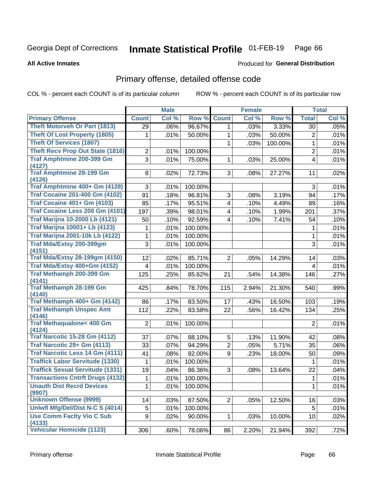#### Inmate Statistical Profile 01-FEB-19 Page 66

### **All Active Inmates**

## Produced for General Distribution

## Primary offense, detailed offense code

COL % - percent each COUNT is of its particular column

|                                            |                | <b>Male</b> |         |                | <b>Female</b> |         |                 | <b>Total</b> |
|--------------------------------------------|----------------|-------------|---------|----------------|---------------|---------|-----------------|--------------|
| <b>Primary Offense</b>                     | <b>Count</b>   | Col %       | Row %   | <b>Count</b>   | Col %         | Row %   | <b>Total</b>    | Col %        |
| <b>Theft Motorveh Or Part (1813)</b>       | 29             | .06%        | 96.67%  | $\mathbf 1$    | .03%          | 3.33%   | 30              | .05%         |
| <b>Theft Of Lost Property (1805)</b>       | 1              | .01%        | 50.00%  | 1              | .03%          | 50.00%  | $\overline{2}$  | .01%         |
| <b>Theft Of Services (1807)</b>            |                |             |         | 1              | .03%          | 100.00% | 1               | .01%         |
| <b>Theft Recv Prop Out State (1816)</b>    | $\overline{2}$ | .01%        | 100.00% |                |               |         | $\overline{2}$  | .01%         |
| <b>Traf Amphtmine 200-399 Gm</b>           | 3              | .01%        | 75.00%  | 1              | .03%          | 25.00%  | 4               | .01%         |
| (4127)                                     |                |             |         |                |               |         |                 |              |
| <b>Traf Amphtmine 28-199 Gm</b>            | 8              | .02%        | 72.73%  | 3              | .08%          | 27.27%  | 11              | .02%         |
| (4126)<br>Traf Amphtmine 400+ Gm (4128)    | 3              |             |         |                |               |         |                 |              |
| <b>Traf Cocaine 201-400 Gm (4102)</b>      |                | .01%        | 100.00% |                |               |         | 3               | .01%         |
|                                            | 91             | .18%        | 96.81%  | 3              | .08%          | 3.19%   | 94              | .17%         |
| <b>Traf Cocaine 401+ Gm (4103)</b>         | 85             | .17%        | 95.51%  | 4              | .10%          | 4.49%   | 89              | .16%         |
| Traf Cocaine Less 200 Gm (4101)            | 197            | .39%        | 98.01%  | 4              | .10%          | 1.99%   | 201             | .37%         |
| <b>Traf Marijna 10-2000 Lb (4121)</b>      | 50             | .10%        | 92.59%  | 4              | .10%          | 7.41%   | 54              | .10%         |
| <b>Traf Marijna 10001+ Lb (4123)</b>       | 1              | .01%        | 100.00% |                |               |         | 1               | .01%         |
| <b>Traf Marijna 2001-10k Lb (4122)</b>     | 1              | .01%        | 100.00% |                |               |         | 1               | .01%         |
| Traf Mda/Extsy 200-399gm                   | 3              | .01%        | 100.00% |                |               |         | 3               | .01%         |
| (4151)                                     |                |             |         |                |               |         |                 |              |
| <b>Traf Mda/Extsy 28-199gm (4150)</b>      | 12             | .02%        | 85.71%  | $\overline{2}$ | .05%          | 14.29%  | 14              | .03%         |
| Traf Mda/Extsy 400+Gm (4152)               | 4              | .01%        | 100.00% |                |               |         | 4               | .01%         |
| <b>Traf Methamph 200-399 Gm</b>            | 125            | .25%        | 85.62%  | 21             | .54%          | 14.38%  | 146             | .27%         |
| (4141)<br><b>Traf Methamph 28-199 Gm</b>   | 425            |             |         |                |               |         |                 |              |
| (4140)                                     |                | .84%        | 78.70%  | 115            | 2.94%         | 21.30%  | 540             | .99%         |
| Traf Methamph 400+ Gm (4142)               | 86             | .17%        | 83.50%  | 17             | .43%          | 16.50%  | 103             | .19%         |
| <b>Traf Methamph Unspec Amt</b>            | 112            | .22%        | 83.58%  | 22             | .56%          | 16.42%  | 134             | .25%         |
| (4146)                                     |                |             |         |                |               |         |                 |              |
| <b>Traf Methaqualone&lt; 400 Gm</b>        | $\overline{2}$ | .01%        | 100.00% |                |               |         | $\overline{2}$  | .01%         |
| (4124)                                     |                |             |         |                |               |         |                 |              |
| <b>Traf Narcotic 15-28 Gm (4112)</b>       | 37             | .07%        | 88.10%  | 5              | .13%          | 11.90%  | 42              | .08%         |
| Traf Narcotic 29+ Gm (4113)                | 33             | .07%        | 94.29%  | $\overline{2}$ | .05%          | 5.71%   | 35              | .06%         |
| <b>Traf Narcotic Less 14 Gm (4111)</b>     | 41             | .08%        | 82.00%  | 9              | .23%          | 18.00%  | 50              | .09%         |
| <b>Traffick Labor Servitude (1330)</b>     | 1              | .01%        | 100.00% |                |               |         | 1               | .01%         |
| <b>Traffick Sexual Servitude (1331)</b>    | 19             | .04%        | 86.36%  | 3              | .08%          | 13.64%  | 22              | .04%         |
| <b>Transactions Cntrft Drugs (4132)</b>    | 1              | .01%        | 100.00% |                |               |         | $\mathbf{1}$    | .01%         |
| <b>Unauth Dist Recrd Devices</b>           | 1              | .01%        | 100.00% |                |               |         | 1               | .01%         |
| (9907)                                     |                |             |         |                |               |         |                 |              |
| <b>Unknown Offense (9999)</b>              | 14             | .03%        | 87.50%  | $\overline{2}$ | .05%          | 12.50%  | 16              | .03%         |
| Uniwfl Mfg/Del/Dist N-C S (4014)           | 5              | .01%        | 100.00% |                |               |         | 5               | .01%         |
| <b>Use Comm Facity Vio C Sub</b><br>(4133) | 9              | .02%        | 90.00%  | $\mathbf 1$    | .03%          | 10.00%  | 10 <sup>1</sup> | .02%         |
| Vehicular Homicide (1123)                  | 306            | .60%        | 78.06%  | 86             | 2.20%         | 21.94%  | 392             | .72%         |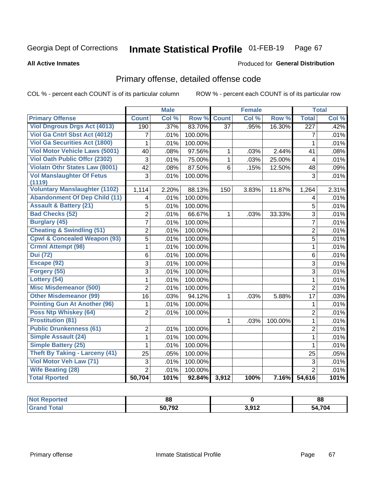#### Inmate Statistical Profile 01-FEB-19 Page 67

**All Active Inmates** 

### Produced for General Distribution

## Primary offense, detailed offense code

COL % - percent each COUNT is of its particular column

|                                            |                | <b>Male</b> |              |                 | <b>Female</b> |         |                         | <b>Total</b> |
|--------------------------------------------|----------------|-------------|--------------|-----------------|---------------|---------|-------------------------|--------------|
| <b>Primary Offense</b>                     | <b>Count</b>   | Col %       | Row %        | <b>Count</b>    | Col %         | Row %   | <b>Total</b>            | Col %        |
| <b>Viol Dngrous Drgs Act (4013)</b>        | 190            | .37%        | 83.70%       | $\overline{37}$ | .95%          | 16.30%  | $\overline{227}$        | .42%         |
| Viol Ga Cntrl Sbst Act (4012)              | 7              | .01%        | 100.00%      |                 |               |         | 7                       | .01%         |
| <b>Viol Ga Securities Act (1800)</b>       | 1              | .01%        | 100.00%      |                 |               |         | $\mathbf{1}$            | .01%         |
| <b>Viol Motor Vehicle Laws (5001)</b>      | 40             | .08%        | 97.56%       | 1               | .03%          | 2.44%   | 41                      | .08%         |
| <b>Viol Oath Public Offcr (2302)</b>       | 3              | .01%        | 75.00%       | $\mathbf{1}$    | .03%          | 25.00%  | $\overline{\mathbf{4}}$ | .01%         |
| Violatn Othr States Law (8001)             | 42             | .08%        | 87.50%       | 6               | .15%          | 12.50%  | 48                      | .09%         |
| <b>Vol Manslaughter Of Fetus</b><br>(1119) | 3              | .01%        | 100.00%      |                 |               |         | 3                       | .01%         |
| <b>Voluntary Manslaughter (1102)</b>       | 1,114          | 2.20%       | 88.13%       | 150             | 3.83%         | 11.87%  | 1,264                   | 2.31%        |
| <b>Abandonment Of Dep Child (11)</b>       | 4              | .01%        | 100.00%      |                 |               |         | 4                       | .01%         |
| <b>Assault &amp; Battery (21)</b>          | 5              | .01%        | 100.00%      |                 |               |         | 5                       | .01%         |
| <b>Bad Checks (52)</b>                     | $\overline{2}$ | .01%        | 66.67%       | $\mathbf 1$     | .03%          | 33.33%  | $\overline{3}$          | .01%         |
| <b>Burglary (45)</b>                       | $\overline{7}$ | .01%        | 100.00%      |                 |               |         | $\overline{7}$          | .01%         |
| <b>Cheating &amp; Swindling (51)</b>       | $\overline{2}$ | .01%        | 100.00%      |                 |               |         | $\overline{2}$          | .01%         |
| <b>Cpwl &amp; Concealed Weapon (93)</b>    | $\overline{5}$ | .01%        | 100.00%      |                 |               |         | $\overline{5}$          | .01%         |
| <b>Crmnl Attempt (98)</b>                  | 1              | .01%        | 100.00%      |                 |               |         | $\mathbf{1}$            | .01%         |
| <b>Dui</b> (72)                            | 6              | .01%        | 100.00%      |                 |               |         | 6                       | .01%         |
| Escape (92)                                | 3              | .01%        | 100.00%      |                 |               |         | $\overline{3}$          | .01%         |
| Forgery (55)                               | $\overline{3}$ | .01%        | 100.00%      |                 |               |         | $\overline{3}$          | .01%         |
| Lottery (54)                               | $\mathbf{1}$   | .01%        | 100.00%      |                 |               |         | $\mathbf{1}$            | .01%         |
| <b>Misc Misdemeanor (500)</b>              | $\overline{2}$ | .01%        | 100.00%      |                 |               |         | $\overline{2}$          | .01%         |
| <b>Other Misdemeanor (99)</b>              | 16             | .03%        | 94.12%       | $\mathbf{1}$    | .03%          | 5.88%   | 17                      | .03%         |
| <b>Pointing Gun At Another (96)</b>        | 1              | .01%        | 100.00%      |                 |               |         | 1                       | .01%         |
| Poss Ntp Whiskey (64)                      | $\overline{2}$ | .01%        | 100.00%      |                 |               |         | $\overline{2}$          | .01%         |
| <b>Prostitution (81)</b>                   |                |             |              | $\mathbf{1}$    | .03%          | 100.00% | $\mathbf{1}$            | .01%         |
| <b>Public Drunkenness (61)</b>             | $\overline{2}$ | .01%        | 100.00%      |                 |               |         | $\overline{2}$          | .01%         |
| <b>Simple Assault (24)</b>                 | $\mathbf 1$    | .01%        | 100.00%      |                 |               |         | $\mathbf{1}$            | .01%         |
| <b>Simple Battery (25)</b>                 | $\mathbf{1}$   | .01%        | 100.00%      |                 |               |         | $\mathbf{1}$            | .01%         |
| <b>Theft By Taking - Larceny (41)</b>      | 25             | .05%        | 100.00%      |                 |               |         | 25                      | .05%         |
| Viol Motor Veh Law (71)                    | 3              | .01%        | 100.00%      |                 |               |         | $\overline{3}$          | .01%         |
| <b>Wife Beating (28)</b>                   | $\overline{2}$ | .01%        | 100.00%      |                 |               |         | $\overline{2}$          | .01%         |
| <b>Total Rported</b>                       | 50,704         | 101%        | 92.84% 3,912 |                 | 100%          | 7.16%   | 54,616                  | 101%         |

| rtea | 88           |       | oc<br>oo       |
|------|--------------|-------|----------------|
|      | - רחד<br>ு உ | 3.012 | 1,704<br>-54 - |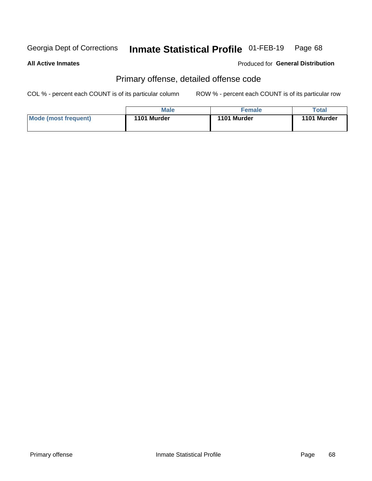#### Inmate Statistical Profile 01-FEB-19 Page 68

### **All Active Inmates**

### Produced for General Distribution

## Primary offense, detailed offense code

COL % - percent each COUNT is of its particular column

|                      | <b>Male</b> | <b>Female</b> | Total       |
|----------------------|-------------|---------------|-------------|
| Mode (most frequent) | 1101 Murder | 1101 Murder   | 1101 Murder |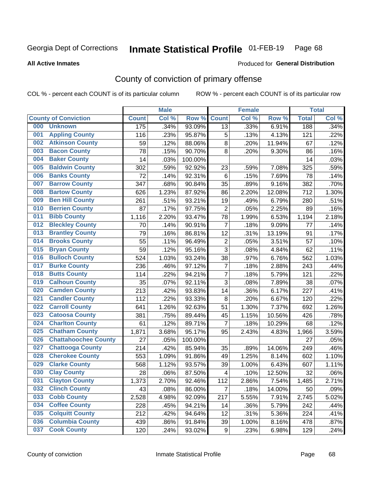#### Inmate Statistical Profile 01-FEB-19 Page 68

**All Active Inmates** 

### Produced for General Distribution

## County of conviction of primary offense

COL % - percent each COUNT is of its particular column

|     |                             |              | <b>Male</b> |         |                         | <b>Female</b> |        |              | <b>Total</b> |
|-----|-----------------------------|--------------|-------------|---------|-------------------------|---------------|--------|--------------|--------------|
|     | <b>County of Conviction</b> | <b>Count</b> | Col %       | Row %   | <b>Count</b>            | Col %         | Row %  | <b>Total</b> | Col %        |
| 000 | <b>Unknown</b>              | 175          | .34%        | 93.09%  | 13                      | .33%          | 6.91%  | 188          | .34%         |
| 001 | <b>Appling County</b>       | 116          | .23%        | 95.87%  | 5                       | .13%          | 4.13%  | 121          | .22%         |
| 002 | <b>Atkinson County</b>      | 59           | .12%        | 88.06%  | 8                       | .20%          | 11.94% | 67           | .12%         |
| 003 | <b>Bacon County</b>         | 78           | .15%        | 90.70%  | 8                       | .20%          | 9.30%  | 86           | .16%         |
| 004 | <b>Baker County</b>         | 14           | .03%        | 100.00% |                         |               |        | 14           | .03%         |
| 005 | <b>Baldwin County</b>       | 302          | .59%        | 92.92%  | 23                      | .59%          | 7.08%  | 325          | .59%         |
| 006 | <b>Banks County</b>         | 72           | .14%        | 92.31%  | $6\phantom{1}6$         | .15%          | 7.69%  | 78           | .14%         |
| 007 | <b>Barrow County</b>        | 347          | .68%        | 90.84%  | 35                      | .89%          | 9.16%  | 382          | .70%         |
| 008 | <b>Bartow County</b>        | 626          | 1.23%       | 87.92%  | 86                      | 2.20%         | 12.08% | 712          | 1.30%        |
| 009 | <b>Ben Hill County</b>      | 261          | .51%        | 93.21%  | 19                      | .49%          | 6.79%  | 280          | .51%         |
| 010 | <b>Berrien County</b>       | 87           | .17%        | 97.75%  | $\overline{2}$          | .05%          | 2.25%  | 89           | .16%         |
| 011 | <b>Bibb County</b>          | 1,116        | 2.20%       | 93.47%  | 78                      | 1.99%         | 6.53%  | 1,194        | 2.18%        |
| 012 | <b>Bleckley County</b>      | 70           | .14%        | 90.91%  | $\overline{7}$          | .18%          | 9.09%  | 77           | .14%         |
| 013 | <b>Brantley County</b>      | 79           | .16%        | 86.81%  | 12                      | .31%          | 13.19% | 91           | .17%         |
| 014 | <b>Brooks County</b>        | 55           | .11%        | 96.49%  | $\overline{2}$          | .05%          | 3.51%  | 57           | .10%         |
| 015 | <b>Bryan County</b>         | 59           | .12%        | 95.16%  | 3                       | .08%          | 4.84%  | 62           | .11%         |
| 016 | <b>Bulloch County</b>       | 524          | 1.03%       | 93.24%  | 38                      | .97%          | 6.76%  | 562          | 1.03%        |
| 017 | <b>Burke County</b>         | 236          | .46%        | 97.12%  | $\overline{7}$          | .18%          | 2.88%  | 243          | .44%         |
| 018 | <b>Butts County</b>         | 114          | .22%        | 94.21%  | $\overline{7}$          | .18%          | 5.79%  | 121          | .22%         |
| 019 | <b>Calhoun County</b>       | 35           | .07%        | 92.11%  | 3                       | .08%          | 7.89%  | 38           | .07%         |
| 020 | <b>Camden County</b>        | 213          | .42%        | 93.83%  | 14                      | .36%          | 6.17%  | 227          | .41%         |
| 021 | <b>Candler County</b>       | 112          | .22%        | 93.33%  | 8                       | .20%          | 6.67%  | 120          | .22%         |
| 022 | <b>Carroll County</b>       | 641          | 1.26%       | 92.63%  | 51                      | 1.30%         | 7.37%  | 692          | 1.26%        |
| 023 | <b>Catoosa County</b>       | 381          | .75%        | 89.44%  | 45                      | 1.15%         | 10.56% | 426          | .78%         |
| 024 | <b>Charlton County</b>      | 61           | .12%        | 89.71%  | $\overline{7}$          | .18%          | 10.29% | 68           | .12%         |
| 025 | <b>Chatham County</b>       | 1,871        | 3.68%       | 95.17%  | 95                      | 2.43%         | 4.83%  | 1,966        | 3.59%        |
| 026 | <b>Chattahoochee County</b> | 27           | .05%        | 100.00% |                         |               |        | 27           | .05%         |
| 027 | <b>Chattooga County</b>     | 214          | .42%        | 85.94%  | 35                      | .89%          | 14.06% | 249          | .46%         |
| 028 | <b>Cherokee County</b>      | 553          | 1.09%       | 91.86%  | 49                      | 1.25%         | 8.14%  | 602          | 1.10%        |
| 029 | <b>Clarke County</b>        | 568          | 1.12%       | 93.57%  | 39                      | 1.00%         | 6.43%  | 607          | 1.11%        |
| 030 | <b>Clay County</b>          | 28           | .06%        | 87.50%  | $\overline{\mathbf{4}}$ | .10%          | 12.50% | 32           | .06%         |
| 031 | <b>Clayton County</b>       | 1,373        | 2.70%       | 92.46%  | 112                     | 2.86%         | 7.54%  | 1,485        | 2.71%        |
| 032 | <b>Clinch County</b>        | 43           | .08%        | 86.00%  | $\overline{7}$          | .18%          | 14.00% | 50           | .09%         |
| 033 | <b>Cobb County</b>          | 2,528        | 4.98%       | 92.09%  | 217                     | 5.55%         | 7.91%  | 2,745        | 5.02%        |
| 034 | <b>Coffee County</b>        | 228          | .45%        | 94.21%  | 14                      | .36%          | 5.79%  | 242          | .44%         |
| 035 | <b>Colquitt County</b>      | 212          | .42%        | 94.64%  | 12                      | .31%          | 5.36%  | 224          | .41%         |
| 036 | <b>Columbia County</b>      | 439          | .86%        | 91.84%  | 39                      | 1.00%         | 8.16%  | 478          | .87%         |
| 037 | <b>Cook County</b>          | 120          | .24%        | 93.02%  | 9                       | .23%          | 6.98%  | 129          | .24%         |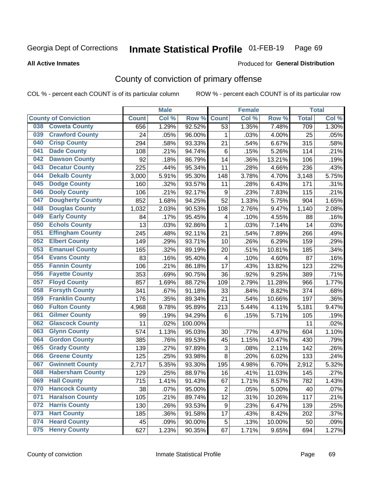#### Inmate Statistical Profile 01-FEB-19 Page 69

**All Active Inmates** 

### Produced for General Distribution

## County of conviction of primary offense

COL % - percent each COUNT is of its particular column

|     |                             |              | <b>Male</b> |         |                           | <b>Female</b> |        |              | <b>Total</b> |
|-----|-----------------------------|--------------|-------------|---------|---------------------------|---------------|--------|--------------|--------------|
|     | <b>County of Conviction</b> | <b>Count</b> | Col %       | Row %   | <b>Count</b>              | Col %         | Row %  | <b>Total</b> | Col %        |
| 038 | <b>Coweta County</b>        | 656          | 1.29%       | 92.52%  | 53                        | 1.35%         | 7.48%  | 709          | 1.30%        |
| 039 | <b>Crawford County</b>      | 24           | .05%        | 96.00%  | 1                         | .03%          | 4.00%  | 25           | .05%         |
| 040 | <b>Crisp County</b>         | 294          | .58%        | 93.33%  | 21                        | .54%          | 6.67%  | 315          | .58%         |
| 041 | <b>Dade County</b>          | 108          | .21%        | 94.74%  | 6                         | .15%          | 5.26%  | 114          | .21%         |
| 042 | <b>Dawson County</b>        | 92           | .18%        | 86.79%  | 14                        | .36%          | 13.21% | 106          | .19%         |
| 043 | <b>Decatur County</b>       | 225          | .44%        | 95.34%  | 11                        | .28%          | 4.66%  | 236          | .43%         |
| 044 | <b>Dekalb County</b>        | 3,000        | 5.91%       | 95.30%  | 148                       | 3.78%         | 4.70%  | 3,148        | 5.75%        |
| 045 | <b>Dodge County</b>         | 160          | .32%        | 93.57%  | 11                        | .28%          | 6.43%  | 171          | .31%         |
| 046 | <b>Dooly County</b>         | 106          | .21%        | 92.17%  | $\boldsymbol{9}$          | .23%          | 7.83%  | 115          | .21%         |
| 047 | <b>Dougherty County</b>     | 852          | 1.68%       | 94.25%  | 52                        | 1.33%         | 5.75%  | 904          | 1.65%        |
| 048 | <b>Douglas County</b>       | 1,032        | 2.03%       | 90.53%  | 108                       | 2.76%         | 9.47%  | 1,140        | 2.08%        |
| 049 | <b>Early County</b>         | 84           | .17%        | 95.45%  | 4                         | .10%          | 4.55%  | 88           | .16%         |
| 050 | <b>Echols County</b>        | 13           | .03%        | 92.86%  | $\mathbf{1}$              | .03%          | 7.14%  | 14           | .03%         |
| 051 | <b>Effingham County</b>     | 245          | .48%        | 92.11%  | 21                        | .54%          | 7.89%  | 266          | .49%         |
| 052 | <b>Elbert County</b>        | 149          | .29%        | 93.71%  | 10                        | .26%          | 6.29%  | 159          | .29%         |
| 053 | <b>Emanuel County</b>       | 165          | .32%        | 89.19%  | 20                        | .51%          | 10.81% | 185          | .34%         |
| 054 | <b>Evans County</b>         | 83           | .16%        | 95.40%  | $\overline{\mathbf{4}}$   | .10%          | 4.60%  | 87           | .16%         |
| 055 | <b>Fannin County</b>        | 106          | .21%        | 86.18%  | 17                        | .43%          | 13.82% | 123          | .22%         |
| 056 | <b>Fayette County</b>       | 353          | .69%        | 90.75%  | 36                        | .92%          | 9.25%  | 389          | .71%         |
| 057 | <b>Floyd County</b>         | 857          | 1.69%       | 88.72%  | 109                       | 2.79%         | 11.28% | 966          | 1.77%        |
| 058 | <b>Forsyth County</b>       | 341          | .67%        | 91.18%  | 33                        | .84%          | 8.82%  | 374          | .68%         |
| 059 | <b>Franklin County</b>      | 176          | .35%        | 89.34%  | 21                        | .54%          | 10.66% | 197          | .36%         |
| 060 | <b>Fulton County</b>        | 4,968        | 9.78%       | 95.89%  | 213                       | 5.44%         | 4.11%  | 5,181        | 9.47%        |
| 061 | <b>Gilmer County</b>        | 99           | .19%        | 94.29%  | 6                         | .15%          | 5.71%  | 105          | .19%         |
| 062 | <b>Glascock County</b>      | 11           | .02%        | 100.00% |                           |               |        | 11           | .02%         |
| 063 | <b>Glynn County</b>         | 574          | 1.13%       | 95.03%  | 30                        | .77%          | 4.97%  | 604          | 1.10%        |
| 064 | <b>Gordon County</b>        | 385          | .76%        | 89.53%  | 45                        | 1.15%         | 10.47% | 430          | .79%         |
| 065 | <b>Grady County</b>         | 139          | .27%        | 97.89%  | $\ensuremath{\mathsf{3}}$ | .08%          | 2.11%  | 142          | .26%         |
| 066 | <b>Greene County</b>        | 125          | .25%        | 93.98%  | 8                         | .20%          | 6.02%  | 133          | .24%         |
| 067 | <b>Gwinnett County</b>      | 2,717        | 5.35%       | 93.30%  | 195                       | 4.98%         | 6.70%  | 2,912        | 5.32%        |
| 068 | <b>Habersham County</b>     | 129          | .25%        | 88.97%  | 16                        | .41%          | 11.03% | 145          | .27%         |
| 069 | <b>Hall County</b>          | 715          | 1.41%       | 91.43%  | 67                        | 1.71%         | 8.57%  | 782          | 1.43%        |
| 070 | <b>Hancock County</b>       | 38           | .07%        | 95.00%  | $\overline{2}$            | .05%          | 5.00%  | 40           | .07%         |
| 071 | <b>Haralson County</b>      | 105          | .21%        | 89.74%  | 12                        | .31%          | 10.26% | 117          | .21%         |
| 072 | <b>Harris County</b>        | 130          | .26%        | 93.53%  | 9                         | .23%          | 6.47%  | 139          | .25%         |
| 073 | <b>Hart County</b>          | 185          | .36%        | 91.58%  | 17                        | .43%          | 8.42%  | 202          | .37%         |
| 074 | <b>Heard County</b>         | 45           | .09%        | 90.00%  | 5                         | .13%          | 10.00% | 50           | .09%         |
| 075 | <b>Henry County</b>         | 627          | 1.23%       | 90.35%  | 67                        | 1.71%         | 9.65%  | 694          | 1.27%        |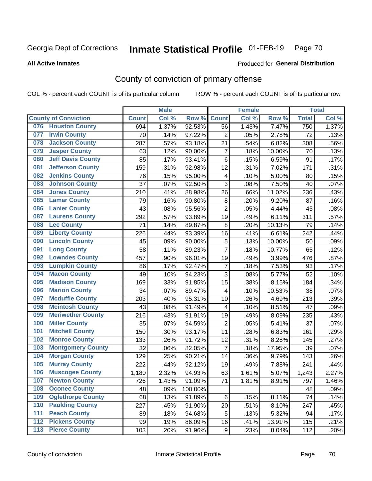#### Inmate Statistical Profile 01-FEB-19 Page 70

### **All Active Inmates**

## Produced for General Distribution

## County of conviction of primary offense

COL % - percent each COUNT is of its particular column

|     |                             |              | <b>Male</b> |         |                         | <b>Female</b> |        |              | <b>Total</b> |
|-----|-----------------------------|--------------|-------------|---------|-------------------------|---------------|--------|--------------|--------------|
|     | <b>County of Conviction</b> | <b>Count</b> | Col %       | Row %   | <b>Count</b>            | Col %         | Row %  | <b>Total</b> | Col %        |
| 076 | <b>Houston County</b>       | 694          | 1.37%       | 92.53%  | 56                      | 1.43%         | 7.47%  | 750          | 1.37%        |
| 077 | <b>Irwin County</b>         | 70           | .14%        | 97.22%  | $\overline{2}$          | .05%          | 2.78%  | 72           | .13%         |
| 078 | <b>Jackson County</b>       | 287          | .57%        | 93.18%  | 21                      | .54%          | 6.82%  | 308          | .56%         |
| 079 | <b>Jasper County</b>        | 63           | .12%        | 90.00%  | $\overline{7}$          | .18%          | 10.00% | 70           | .13%         |
| 080 | <b>Jeff Davis County</b>    | 85           | .17%        | 93.41%  | $\,6$                   | .15%          | 6.59%  | 91           | .17%         |
| 081 | <b>Jefferson County</b>     | 159          | .31%        | 92.98%  | 12                      | .31%          | 7.02%  | 171          | .31%         |
| 082 | <b>Jenkins County</b>       | 76           | .15%        | 95.00%  | $\overline{\mathbf{4}}$ | .10%          | 5.00%  | 80           | .15%         |
| 083 | <b>Johnson County</b>       | 37           | .07%        | 92.50%  | 3                       | .08%          | 7.50%  | 40           | .07%         |
| 084 | <b>Jones County</b>         | 210          | .41%        | 88.98%  | 26                      | .66%          | 11.02% | 236          | .43%         |
| 085 | <b>Lamar County</b>         | 79           | .16%        | 90.80%  | 8                       | .20%          | 9.20%  | 87           | .16%         |
| 086 | <b>Lanier County</b>        | 43           | .08%        | 95.56%  | $\overline{2}$          | .05%          | 4.44%  | 45           | .08%         |
| 087 | <b>Laurens County</b>       | 292          | .57%        | 93.89%  | 19                      | .49%          | 6.11%  | 311          | .57%         |
| 088 | <b>Lee County</b>           | 71           | .14%        | 89.87%  | 8                       | .20%          | 10.13% | 79           | .14%         |
| 089 | <b>Liberty County</b>       | 226          | .44%        | 93.39%  | 16                      | .41%          | 6.61%  | 242          | .44%         |
| 090 | <b>Lincoln County</b>       | 45           | .09%        | 90.00%  | 5                       | .13%          | 10.00% | 50           | .09%         |
| 091 | <b>Long County</b>          | 58           | .11%        | 89.23%  | $\overline{7}$          | .18%          | 10.77% | 65           | .12%         |
| 092 | <b>Lowndes County</b>       | 457          | .90%        | 96.01%  | 19                      | .49%          | 3.99%  | 476          | .87%         |
| 093 | <b>Lumpkin County</b>       | 86           | .17%        | 92.47%  | $\overline{7}$          | .18%          | 7.53%  | 93           | .17%         |
| 094 | <b>Macon County</b>         | 49           | .10%        | 94.23%  | 3                       | .08%          | 5.77%  | 52           | .10%         |
| 095 | <b>Madison County</b>       | 169          | .33%        | 91.85%  | 15                      | .38%          | 8.15%  | 184          | .34%         |
| 096 | <b>Marion County</b>        | 34           | .07%        | 89.47%  | $\overline{\mathbf{4}}$ | .10%          | 10.53% | 38           | .07%         |
| 097 | <b>Mcduffie County</b>      | 203          | .40%        | 95.31%  | 10                      | .26%          | 4.69%  | 213          | .39%         |
| 098 | <b>Mcintosh County</b>      | 43           | .08%        | 91.49%  | 4                       | .10%          | 8.51%  | 47           | .09%         |
| 099 | <b>Meriwether County</b>    | 216          | .43%        | 91.91%  | 19                      | .49%          | 8.09%  | 235          | .43%         |
| 100 | <b>Miller County</b>        | 35           | .07%        | 94.59%  | $\overline{2}$          | .05%          | 5.41%  | 37           | .07%         |
| 101 | <b>Mitchell County</b>      | 150          | .30%        | 93.17%  | 11                      | .28%          | 6.83%  | 161          | .29%         |
| 102 | <b>Monroe County</b>        | 133          | .26%        | 91.72%  | 12                      | .31%          | 8.28%  | 145          | .27%         |
| 103 | <b>Montgomery County</b>    | 32           | .06%        | 82.05%  | $\overline{7}$          | .18%          | 17.95% | 39           | .07%         |
| 104 | <b>Morgan County</b>        | 129          | .25%        | 90.21%  | 14                      | .36%          | 9.79%  | 143          | .26%         |
| 105 | <b>Murray County</b>        | 222          | .44%        | 92.12%  | 19                      | $.49\%$       | 7.88%  | 241          | .44%         |
| 106 | <b>Muscogee County</b>      | 1,180        | 2.32%       | 94.93%  | 63                      | 1.61%         | 5.07%  | 1,243        | 2.27%        |
| 107 | <b>Newton County</b>        | 726          | 1.43%       | 91.09%  | 71                      | 1.81%         | 8.91%  | 797          | 1.46%        |
| 108 | <b>Oconee County</b>        | 48           | .09%        | 100.00% |                         |               |        | 48           | .09%         |
| 109 | <b>Oglethorpe County</b>    | 68           | .13%        | 91.89%  | 6                       | .15%          | 8.11%  | 74           | .14%         |
| 110 | <b>Paulding County</b>      | 227          | .45%        | 91.90%  | 20                      | .51%          | 8.10%  | 247          | .45%         |
| 111 | <b>Peach County</b>         | 89           | .18%        | 94.68%  | 5                       | .13%          | 5.32%  | 94           | .17%         |
| 112 | <b>Pickens County</b>       | 99           | .19%        | 86.09%  | 16                      | .41%          | 13.91% | 115          | .21%         |
| 113 | <b>Pierce County</b>        | 103          | .20%        | 91.96%  | 9                       | .23%          | 8.04%  | 112          | .20%         |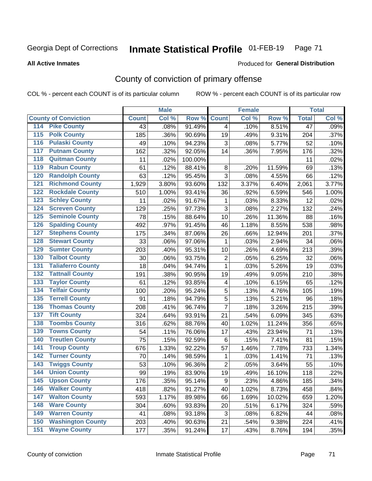#### Inmate Statistical Profile 01-FEB-19 Page 71

### **All Active Inmates**

# Produced for General Distribution

## County of conviction of primary offense

COL % - percent each COUNT is of its particular column

|                                          |              | <b>Male</b> |           |                | <b>Female</b> |        |                 | <b>Total</b> |
|------------------------------------------|--------------|-------------|-----------|----------------|---------------|--------|-----------------|--------------|
| <b>County of Conviction</b>              | <b>Count</b> | Col %       | Row %     | <b>Count</b>   | Col %         | Row %  | <b>Total</b>    | Col %        |
| 114 Pike County                          | 43           | .08%        | 91.49%    | 4              | .10%          | 8.51%  | $\overline{47}$ | .09%         |
| <b>Polk County</b><br>$\overline{115}$   | 185          | .36%        | 90.69%    | 19             | .49%          | 9.31%  | 204             | .37%         |
| <b>Pulaski County</b><br>116             | 49           | .10%        | 94.23%    | 3              | .08%          | 5.77%  | 52              | .10%         |
| <b>Putnam County</b><br>117              | 162          | .32%        | 92.05%    | 14             | .36%          | 7.95%  | 176             | .32%         |
| <b>Quitman County</b><br>118             | 11           | .02%        | 100.00%   |                |               |        | 11              | .02%         |
| <b>Rabun County</b><br>119               | 61           | .12%        | 88.41%    | 8              | .20%          | 11.59% | 69              | .13%         |
| <b>Randolph County</b><br>120            | 63           | .12%        | 95.45%    | 3              | .08%          | 4.55%  | 66              | .12%         |
| <b>Richmond County</b><br>121            | 1,929        | 3.80%       | 93.60%    | 132            | 3.37%         | 6.40%  | 2,061           | 3.77%        |
| <b>Rockdale County</b><br>122            | 510          | 1.00%       | 93.41%    | 36             | .92%          | 6.59%  | 546             | 1.00%        |
| <b>Schley County</b><br>123              | 11           | .02%        | 91.67%    | 1              | .03%          | 8.33%  | 12              | .02%         |
| <b>Screven County</b><br>124             | 129          | .25%        | 97.73%    | 3              | .08%          | 2.27%  | 132             | .24%         |
| <b>Seminole County</b><br>125            | 78           | .15%        | 88.64%    | 10             | .26%          | 11.36% | 88              | .16%         |
| 126<br><b>Spalding County</b>            | 492          | .97%        | 91.45%    | 46             | 1.18%         | 8.55%  | 538             | .98%         |
| <b>Stephens County</b><br>127            | 175          | .34%        | 87.06%    | 26             | .66%          | 12.94% | 201             | .37%         |
| <b>Stewart County</b><br>128             | 33           | .06%        | 97.06%    | 1              | .03%          | 2.94%  | 34              | .06%         |
| <b>Sumter County</b><br>129              | 203          | .40%        | $95.31\%$ | 10             | .26%          | 4.69%  | 213             | .39%         |
| <b>Talbot County</b><br>130              | 30           | .06%        | 93.75%    | $\overline{c}$ | .05%          | 6.25%  | 32              | .06%         |
| <b>Taliaferro County</b><br>131          | 18           | .04%        | 94.74%    | $\mathbf{1}$   | .03%          | 5.26%  | 19              | .03%         |
| <b>Tattnall County</b><br>132            | 191          | .38%        | 90.95%    | 19             | .49%          | 9.05%  | 210             | .38%         |
| <b>Taylor County</b><br>133              | 61           | .12%        | 93.85%    | 4              | .10%          | 6.15%  | 65              | .12%         |
| <b>Telfair County</b><br>134             | 100          | .20%        | 95.24%    | 5              | .13%          | 4.76%  | 105             | .19%         |
| <b>Terrell County</b><br>135             | 91           | .18%        | 94.79%    | 5              | .13%          | 5.21%  | 96              | .18%         |
| <b>Thomas County</b><br>136              | 208          | .41%        | 96.74%    | $\overline{7}$ | .18%          | 3.26%  | 215             | .39%         |
| <b>Tift County</b><br>137                | 324          | .64%        | 93.91%    | 21             | .54%          | 6.09%  | 345             | .63%         |
| <b>Toombs County</b><br>138              | 316          | .62%        | 88.76%    | 40             | 1.02%         | 11.24% | 356             | .65%         |
| <b>Towns County</b><br>139               | 54           | .11%        | 76.06%    | 17             | .43%          | 23.94% | 71              | .13%         |
| <b>Treutlen County</b><br>140            | 75           | .15%        | 92.59%    | 6              | .15%          | 7.41%  | 81              | .15%         |
| <b>Troup County</b><br>141               | 676          | 1.33%       | 92.22%    | 57             | 1.46%         | 7.78%  | 733             | 1.34%        |
| <b>Turner County</b><br>142              | 70           | .14%        | 98.59%    | $\mathbf 1$    | .03%          | 1.41%  | 71              | .13%         |
| <b>Twiggs County</b><br>$\overline{143}$ | 53           | .10%        | 96.36%    | $\overline{c}$ | .05%          | 3.64%  | 55              | .10%         |
| <b>Union County</b><br>144               | 99           | .19%        | 83.90%    | 19             | .49%          | 16.10% | 118             | .22%         |
| 145<br><b>Upson County</b>               | 176          | .35%        | 95.14%    | 9              | .23%          | 4.86%  | 185             | .34%         |
| <b>Walker County</b><br>146              | 418          | .82%        | 91.27%    | 40             | 1.02%         | 8.73%  | 458             | .84%         |
| <b>Walton County</b><br>147              | 593          | 1.17%       | 89.98%    | 66             | 1.69%         | 10.02% | 659             | 1.20%        |
| <b>Ware County</b><br>148                | 304          | .60%        | 93.83%    | 20             | .51%          | 6.17%  | 324             | .59%         |
| <b>Warren County</b><br>149              | 41           | .08%        | 93.18%    | 3              | .08%          | 6.82%  | 44              | .08%         |
| <b>Washington County</b><br>150          | 203          | .40%        | 90.63%    | 21             | .54%          | 9.38%  | 224             | .41%         |
| <b>Wayne County</b><br>151               | 177          | .35%        | 91.24%    | 17             | .43%          | 8.76%  | 194             | .35%         |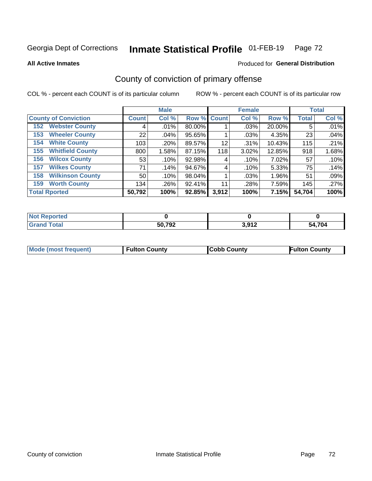#### Inmate Statistical Profile 01-FEB-19 Page 72

**All Active Inmates** 

### Produced for General Distribution

## County of conviction of primary offense

COL % - percent each COUNT is of its particular column

|                                |              | <b>Male</b> |             |       | <b>Female</b> |        |              | <b>Total</b> |
|--------------------------------|--------------|-------------|-------------|-------|---------------|--------|--------------|--------------|
| <b>County of Conviction</b>    | <b>Count</b> | Col %       | Row % Count |       | Col %         | Row %  | <b>Total</b> | Col %        |
| <b>Webster County</b><br>152   | 4            | .01%        | 80.00%      |       | .03%          | 20.00% | 5            | .01%         |
| <b>Wheeler County</b><br>153   | 22           | $.04\%$     | 95.65%      |       | .03%          | 4.35%  | 23           | .04%         |
| <b>White County</b><br>154     | 103          | .20%        | 89.57%      | 12    | .31%          | 10.43% | 115          | .21%         |
| <b>Whitfield County</b><br>155 | 800          | 1.58%       | 87.15%      | 118   | 3.02%         | 12.85% | 918          | $1.68\%$     |
| <b>Wilcox County</b><br>156    | 53           | .10%        | 92.98%      | 4     | .10%          | 7.02%  | 57           | .10%         |
| <b>Wilkes County</b><br>157    | 71           | .14%        | 94.67%      | 4     | .10%          | 5.33%  | 75           | .14%         |
| <b>Wilkinson County</b><br>158 | 50           | .10%        | 98.04%      |       | .03%          | 1.96%  | 51           | .09%         |
| <b>Worth County</b><br>159     | 134          | .26%        | 92.41%      | 11    | .28%          | 7.59%  | 145          | .27%         |
| <b>Total Rported</b>           | 50,792       | 100%        | 92.85%      | 3,912 | 100%          | 7.15%  | 54,704       | 100%         |

| <b>Not Reported</b> |        |       |        |
|---------------------|--------|-------|--------|
| <b>Grand Total</b>  | 50,792 | 3,912 | 54,704 |

| Mode (most frequent) | <b>Fulton County</b> | <b>Cobb County</b> | <b>Fulton County</b> |
|----------------------|----------------------|--------------------|----------------------|
|                      |                      |                    |                      |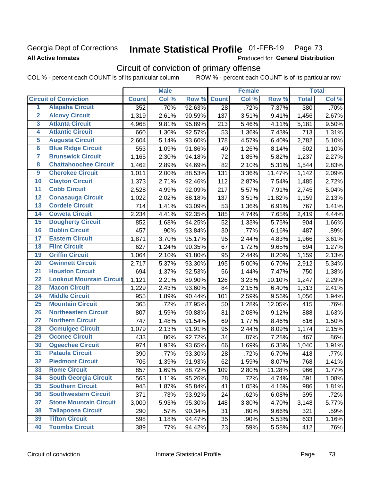## Georgia Dept of Corrections **All Active Inmates**

#### Inmate Statistical Profile 01-FEB-19 Page 73

Produced for General Distribution

# Circuit of conviction of primary offense

COL % - percent each COUNT is of its particular column ROW % - percent each COUNT is of its particular row

|                         |                                 |              | <b>Male</b> |        |                 | <b>Female</b> |        |              | <b>Total</b> |
|-------------------------|---------------------------------|--------------|-------------|--------|-----------------|---------------|--------|--------------|--------------|
|                         | <b>Circuit of Conviction</b>    | <b>Count</b> | Col %       | Row %  | <b>Count</b>    | Col %         | Row %  | <b>Total</b> | Col %        |
| 1                       | <b>Alapaha Circuit</b>          | 352          | .70%        | 92.63% | $\overline{28}$ | .72%          | 7.37%  | 380          | .70%         |
| $\overline{2}$          | <b>Alcovy Circuit</b>           | 1,319        | 2.61%       | 90.59% | 137             | 3.51%         | 9.41%  | 1,456        | 2.67%        |
| $\overline{\mathbf{3}}$ | <b>Atlanta Circuit</b>          | 4,968        | 9.81%       | 95.89% | 213             | 5.46%         | 4.11%  | 5,181        | 9.50%        |
| 4                       | <b>Atlantic Circuit</b>         | 660          | 1.30%       | 92.57% | 53              | 1.36%         | 7.43%  | 713          | 1.31%        |
| 5                       | <b>Augusta Circuit</b>          | 2,604        | 5.14%       | 93.60% | 178             | 4.57%         | 6.40%  | 2,782        | 5.10%        |
| $\overline{6}$          | <b>Blue Ridge Circuit</b>       | 553          | 1.09%       | 91.86% | 49              | 1.26%         | 8.14%  | 602          | 1.10%        |
| 7                       | <b>Brunswick Circuit</b>        | 1,165        | 2.30%       | 94.18% | 72              | 1.85%         | 5.82%  | 1,237        | 2.27%        |
| 8                       | <b>Chattahoochee Circuit</b>    | 1,462        | 2.89%       | 94.69% | 82              | 2.10%         | 5.31%  | 1,544        | 2.83%        |
| $\overline{9}$          | <b>Cherokee Circuit</b>         | 1,011        | 2.00%       | 88.53% | 131             | 3.36%         | 11.47% | 1,142        | 2.09%        |
| 10                      | <b>Clayton Circuit</b>          | 1,373        | 2.71%       | 92.46% | 112             | 2.87%         | 7.54%  | 1,485        | 2.72%        |
| $\overline{11}$         | <b>Cobb Circuit</b>             | 2,528        | 4.99%       | 92.09% | 217             | 5.57%         | 7.91%  | 2,745        | 5.04%        |
| 12                      | <b>Conasauga Circuit</b>        | 1,022        | 2.02%       | 88.18% | 137             | 3.51%         | 11.82% | 1,159        | 2.13%        |
| 13                      | <b>Cordele Circuit</b>          | 714          | 1.41%       | 93.09% | 53              | 1.36%         | 6.91%  | 767          | 1.41%        |
| $\overline{14}$         | <b>Coweta Circuit</b>           | 2,234        | 4.41%       | 92.35% | 185             | 4.74%         | 7.65%  | 2,419        | 4.44%        |
| 15                      | <b>Dougherty Circuit</b>        | 852          | 1.68%       | 94.25% | 52              | 1.33%         | 5.75%  | 904          | 1.66%        |
| 16                      | <b>Dublin Circuit</b>           | 457          | .90%        | 93.84% | 30              | .77%          | 6.16%  | 487          | .89%         |
| 17                      | <b>Eastern Circuit</b>          | 1,871        | 3.70%       | 95.17% | 95              | 2.44%         | 4.83%  | 1,966        | 3.61%        |
| 18                      | <b>Flint Circuit</b>            | 627          | 1.24%       | 90.35% | 67              | 1.72%         | 9.65%  | 694          | 1.27%        |
| 19                      | <b>Griffin Circuit</b>          | 1,064        | 2.10%       | 91.80% | 95              | 2.44%         | 8.20%  | 1,159        | 2.13%        |
| 20                      | <b>Gwinnett Circuit</b>         | 2,717        | 5.37%       | 93.30% | 195             | 5.00%         | 6.70%  | 2,912        | 5.34%        |
| $\overline{21}$         | <b>Houston Circuit</b>          | 694          | 1.37%       | 92.53% | 56              | 1.44%         | 7.47%  | 750          | 1.38%        |
| $\overline{22}$         | <b>Lookout Mountain Circuit</b> | 1,121        | 2.21%       | 89.90% | 126             | 3.23%         | 10.10% | 1,247        | 2.29%        |
| 23                      | <b>Macon Circuit</b>            | 1,229        | 2.43%       | 93.60% | 84              | 2.15%         | 6.40%  | 1,313        | 2.41%        |
| 24                      | <b>Middle Circuit</b>           | 955          | 1.89%       | 90.44% | 101             | 2.59%         | 9.56%  | 1,056        | 1.94%        |
| $\overline{25}$         | <b>Mountain Circuit</b>         | 365          | .72%        | 87.95% | 50              | 1.28%         | 12.05% | 415          | .76%         |
| 26                      | <b>Northeastern Circuit</b>     | 807          | 1.59%       | 90.88% | 81              | 2.08%         | 9.12%  | 888          | 1.63%        |
| $\overline{27}$         | <b>Northern Circuit</b>         | 747          | 1.48%       | 91.54% | 69              | 1.77%         | 8.46%  | 816          | 1.50%        |
| 28                      | <b>Ocmulgee Circuit</b>         | 1,079        | 2.13%       | 91.91% | 95              | 2.44%         | 8.09%  | 1,174        | 2.15%        |
| 29                      | <b>Oconee Circuit</b>           | 433          | .86%        | 92.72% | 34              | .87%          | 7.28%  | 467          | .86%         |
| 30                      | <b>Ogeechee Circuit</b>         | 974          | 1.92%       | 93.65% | 66              | 1.69%         | 6.35%  | 1,040        | 1.91%        |
| $\overline{31}$         | <b>Pataula Circuit</b>          | 390          | .77%        | 93.30% | 28              | .72%          | 6.70%  | 418          | .77%         |
| 32                      | <b>Piedmont Circuit</b>         | 706          | 1.39%       | 91.93% | 62              | 1.59%         | 8.07%  | 768          | 1.41%        |
| 33                      | <b>Rome Circuit</b>             | 857          | 1.69%       | 88.72% | 109             | 2.80%         | 11.28% | 966          | 1.77%        |
| 34                      | <b>South Georgia Circuit</b>    | 563          | 1.11%       | 95.26% | 28              | .72%          | 4.74%  | 591          | 1.08%        |
| 35                      | <b>Southern Circuit</b>         | 945          | 1.87%       | 95.84% | 41              | 1.05%         | 4.16%  | 986          | 1.81%        |
| 36                      | <b>Southwestern Circuit</b>     | 371          | .73%        | 93.92% | 24              | .62%          | 6.08%  | 395          | .72%         |
| 37                      | <b>Stone Mountain Circuit</b>   | 3,000        | 5.93%       | 95.30% | 148             | 3.80%         | 4.70%  | 3,148        | 5.77%        |
| 38                      | <b>Tallapoosa Circuit</b>       | 290          | .57%        | 90.34% | 31              | .80%          | 9.66%  | 321          | .59%         |
| 39                      | <b>Tifton Circuit</b>           | 598          | 1.18%       | 94.47% | 35              | .90%          | 5.53%  | 633          | 1.16%        |
| 40                      | <b>Toombs Circuit</b>           | 389          | .77%        | 94.42% | 23              | .59%          | 5.58%  | 412          | .76%         |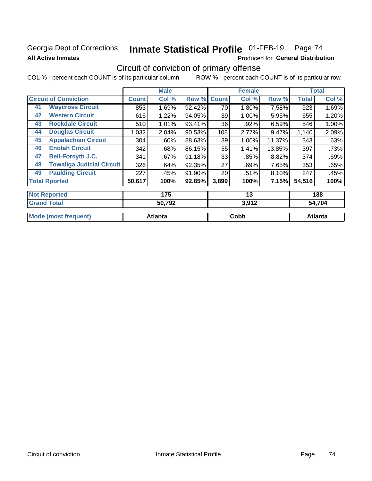### Georgia Dept of Corrections **All Active Inmates**

# Inmate Statistical Profile 01-FEB-19 Page 74

Produced for General Distribution

## Circuit of conviction of primary offense

|                                        |              | <b>Male</b> |        |              | <b>Female</b> |        |              | <b>Total</b> |
|----------------------------------------|--------------|-------------|--------|--------------|---------------|--------|--------------|--------------|
| <b>Circuit of Conviction</b>           | <b>Count</b> | Col %       | Row %  | <b>Count</b> | Col %         | Row %  | <b>Total</b> | Col %        |
| <b>Waycross Circuit</b><br>41          | 853          | 1.69%       | 92.42% | 70           | 1.80%         | 7.58%  | 923          | 1.69%        |
| <b>Western Circuit</b><br>42           | 616          | 1.22%       | 94.05% | 39           | 1.00%         | 5.95%  | 655          | 1.20%        |
| <b>Rockdale Circuit</b><br>43          | 510          | 1.01%       | 93.41% | 36           | .92%          | 6.59%  | 546          | 1.00%        |
| <b>Douglas Circuit</b><br>44           | 1,032        | 2.04%       | 90.53% | 108          | 2.77%         | 9.47%  | 1,140        | 2.09%        |
| <b>Appalachian Circuit</b><br>45       | 304          | $.60\%$     | 88.63% | 39           | 1.00%         | 11.37% | 343          | .63%         |
| <b>Enotah Circuit</b><br>46            | 342          | .68%        | 86.15% | 55           | 1.41%         | 13.85% | 397          | .73%         |
| <b>Bell-Forsyth J.C.</b><br>47         | 341          | .67%        | 91.18% | 33           | .85%          | 8.82%  | 374          | .69%         |
| <b>Towaliga Judicial Circuit</b><br>48 | 326          | .64%        | 92.35% | 27           | .69%          | 7.65%  | 353          | .65%         |
| <b>Paulding Circuit</b><br>49          | 227          | .45%        | 91.90% | 20           | .51%          | 8.10%  | 247          | .45%         |
| <b>Total Rported</b>                   | 50,617       | 100%        | 92.85% | 3,899        | 100%          | 7.15%  | 54,516       | 100%         |
| <b>Not Reported</b>                    |              | 175         |        |              | 13            |        |              | 188          |
| <b>Grand Total</b>                     |              | 50 702      |        |              | 3.012         |        |              | 54 70A       |

| Cobb | Atlanta |
|------|---------|
|      |         |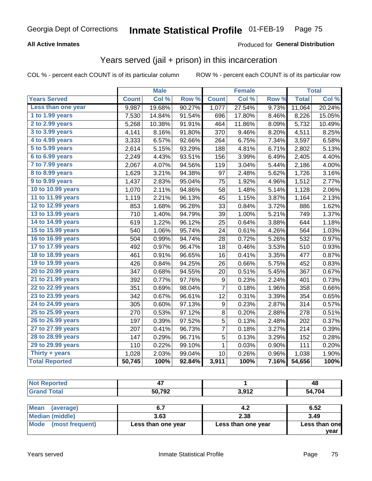#### **All Active Inmates**

### Produced for **General Distribution**

### Years served (jail + prison) in this incarceration

|                        |              | <b>Male</b> |        |                  | <b>Female</b> |                  |              | <b>Total</b> |
|------------------------|--------------|-------------|--------|------------------|---------------|------------------|--------------|--------------|
| <b>Years Served</b>    | <b>Count</b> | Col %       | Row %  | <b>Count</b>     | Col %         | Row <sub>%</sub> | <b>Total</b> | Col %        |
| Less than one year     | 9,987        | 19.68%      | 90.27% | 1,077            | 27.54%        | 9.73%            | 11,064       | 20.24%       |
| 1 to 1.99 years        | 7,530        | 14.84%      | 91.54% | 696              | 17.80%        | 8.46%            | 8,226        | 15.05%       |
| $2$ to 2.99 years      | 5,268        | 10.38%      | 91.91% | 464              | 11.86%        | 8.09%            | 5,732        | 10.49%       |
| 3 to 3.99 years        | 4,141        | 8.16%       | 91.80% | 370              | 9.46%         | 8.20%            | 4,511        | 8.25%        |
| 4 to 4.99 years        | 3,333        | 6.57%       | 92.66% | 264              | 6.75%         | 7.34%            | 3,597        | 6.58%        |
| 5 to 5.99 years        | 2,614        | 5.15%       | 93.29% | 188              | 4.81%         | 6.71%            | 2,802        | 5.13%        |
| 6 to 6.99 years        | 2,249        | 4.43%       | 93.51% | 156              | 3.99%         | 6.49%            | 2,405        | 4.40%        |
| 7 to 7.99 years        | 2,067        | 4.07%       | 94.56% | 119              | 3.04%         | 5.44%            | 2,186        | 4.00%        |
| <b>8 to 8.99 years</b> | 1,629        | 3.21%       | 94.38% | 97               | 2.48%         | 5.62%            | 1,726        | 3.16%        |
| 9 to 9.99 years        | 1,437        | 2.83%       | 95.04% | 75               | 1.92%         | 4.96%            | 1,512        | 2.77%        |
| 10 to 10.99 years      | 1,070        | 2.11%       | 94.86% | 58               | 1.48%         | 5.14%            | 1,128        | 2.06%        |
| 11 to 11.99 years      | 1,119        | 2.21%       | 96.13% | 45               | 1.15%         | 3.87%            | 1,164        | 2.13%        |
| 12 to 12.99 years      | 853          | 1.68%       | 96.28% | 33               | 0.84%         | 3.72%            | 886          | 1.62%        |
| 13 to 13.99 years      | 710          | 1.40%       | 94.79% | 39               | 1.00%         | 5.21%            | 749          | 1.37%        |
| 14 to 14.99 years      | 619          | 1.22%       | 96.12% | 25               | 0.64%         | 3.88%            | 644          | 1.18%        |
| 15 to 15.99 years      | 540          | 1.06%       | 95.74% | 24               | 0.61%         | 4.26%            | 564          | 1.03%        |
| 16 to 16.99 years      | 504          | 0.99%       | 94.74% | 28               | 0.72%         | 5.26%            | 532          | 0.97%        |
| 17 to 17.99 years      | 492          | 0.97%       | 96.47% | 18               | 0.46%         | 3.53%            | 510          | 0.93%        |
| 18 to 18.99 years      | 461          | 0.91%       | 96.65% | 16               | 0.41%         | 3.35%            | 477          | 0.87%        |
| 19 to 19.99 years      | 426          | 0.84%       | 94.25% | 26               | 0.66%         | 5.75%            | 452          | 0.83%        |
| 20 to 20.99 years      | 347          | 0.68%       | 94.55% | 20               | 0.51%         | 5.45%            | 367          | 0.67%        |
| 21 to 21.99 years      | 392          | 0.77%       | 97.76% | 9                | 0.23%         | 2.24%            | 401          | 0.73%        |
| 22 to 22.99 years      | 351          | 0.69%       | 98.04% | $\overline{7}$   | 0.18%         | 1.96%            | 358          | 0.66%        |
| 23 to 23.99 years      | 342          | 0.67%       | 96.61% | 12               | 0.31%         | 3.39%            | 354          | 0.65%        |
| 24 to 24.99 years      | 305          | 0.60%       | 97.13% | $\boldsymbol{9}$ | 0.23%         | 2.87%            | 314          | 0.57%        |
| 25 to 25.99 years      | 270          | 0.53%       | 97.12% | 8                | 0.20%         | 2.88%            | 278          | 0.51%        |
| 26 to 26.99 years      | 197          | 0.39%       | 97.52% | 5                | 0.13%         | 2.48%            | 202          | 0.37%        |
| 27 to 27.99 years      | 207          | 0.41%       | 96.73% | 7                | 0.18%         | 3.27%            | 214          | 0.39%        |
| 28 to 28.99 years      | 147          | 0.29%       | 96.71% | 5                | 0.13%         | 3.29%            | 152          | 0.28%        |
| 29 to 29.99 years      | 110          | 0.22%       | 99.10% | $\mathbf{1}$     | 0.03%         | 0.90%            | 111          | 0.20%        |
| Thirty + years         | 1,028        | 2.03%       | 99.04% | 10               | 0.26%         | 0.96%            | 1,038        | 1.90%        |
| <b>Total Reported</b>  | 50,745       | 100%        | 92.84% | 3,911            | 100%          | 7.16%            | 54,656       | 100%         |

| <b>Not</b><br><b>Reported</b> |        |                  | 48     |
|-------------------------------|--------|------------------|--------|
| <b>r</b> otal                 | 50,792 | 2.012<br>◡,◡ ! ▲ | 54,704 |

| Mean<br>(average)    |                    | 4.2                | 6.52          |
|----------------------|--------------------|--------------------|---------------|
| Median (middle)      | 3.63               | 2.38               | 3.49          |
| Mode (most frequent) | Less than one year | Less than one year | Less than one |
|                      |                    |                    | year          |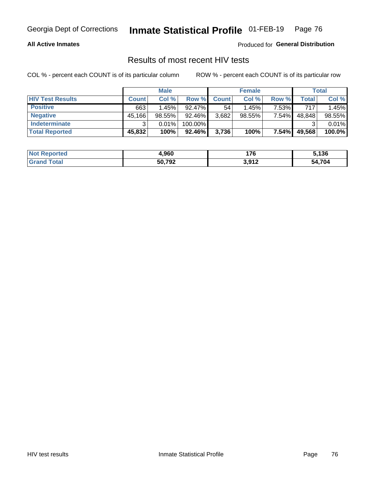#### **All Active Inmates**

Produced for **General Distribution**

### Results of most recent HIV tests

|                         | <b>Male</b>  |           |         |              | <b>Female</b> | Total    |        |        |
|-------------------------|--------------|-----------|---------|--------------|---------------|----------|--------|--------|
| <b>HIV Test Results</b> | <b>Count</b> | Col %     | Row %I  | <b>Count</b> | Col %         | Row %    | Total  | Col %  |
| <b>Positive</b>         | 663          | 1.45%     | 92.47%  | 54           | 1.45%         | 7.53%    | 717    | 1.45%  |
| <b>Negative</b>         | 45,166       | $98.55\%$ | 92.46%  | 3,682        | $98.55\%$     | 7.54%    | 48,848 | 98.55% |
| Indeterminate           | ີ            | 0.01%     | 100.00% |              |               |          |        | 0.01%  |
| <b>Total Reported</b>   | 45,832       | 100%      | 92.46%  | 3,736        | 100%          | $7.54\%$ | 49,568 | 100.0% |

| <b>Not Reported</b> | 1,960  | 176                 | 5,136  |
|---------------------|--------|---------------------|--------|
| Total               | 50,792 | 2017<br><b>J,JI</b> | 54,704 |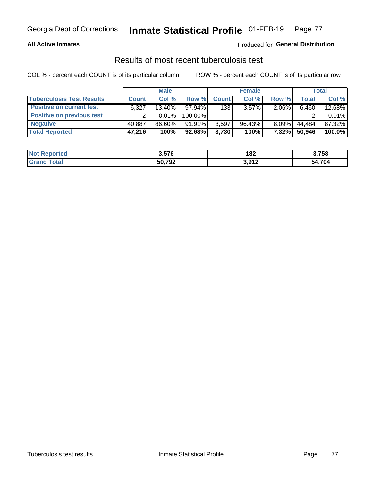#### **All Active Inmates**

#### Produced for **General Distribution**

### Results of most recent tuberculosis test

|                                  | <b>Male</b>  |          |           |              | <b>Female</b> | Total    |              |        |
|----------------------------------|--------------|----------|-----------|--------------|---------------|----------|--------------|--------|
| <b>Tuberculosis Test Results</b> | <b>Count</b> | Col%     | Row %     | <b>Count</b> | Col %         | Row %    | <b>Total</b> | Col %  |
| <b>Positive on current test</b>  | 6,327        | 13.40%   | 97.94%    | 133          | $3.57\%$      | 2.06%    | 6,460        | 12.68% |
| <b>Positive on previous test</b> | ົ            | $0.01\%$ | 100.00%   |              |               |          |              | 0.01%  |
| <b>Negative</b>                  | 40,887       | 86.60%   | 91.91%    | 3,597        | $96.43\%$     | $8.09\%$ | 44.484       | 87.32% |
| <b>Total Reported</b>            | 47,216       | 100%     | $92.68\%$ | 3,730        | 100%          | $7.32\%$ | 50,946       | 100.0% |

| <b>Not Reported</b> | 3,576  | 182                    | 3,758  |
|---------------------|--------|------------------------|--------|
| ⊺otal<br>Gran       | 50,792 | a a4 2<br><b>J,JIL</b> | 54,704 |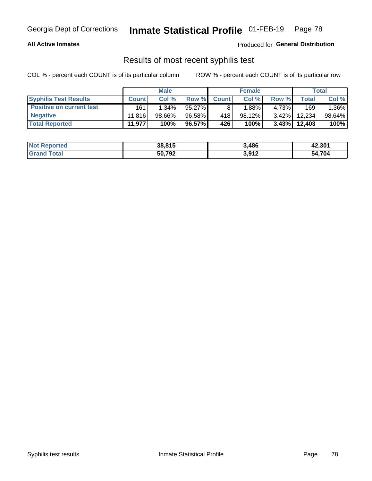#### **All Active Inmates**

Produced for **General Distribution**

### Results of most recent syphilis test

|                                 | <b>Male</b>  |           |        |              | <b>Female</b> | Total    |         |        |
|---------------------------------|--------------|-----------|--------|--------------|---------------|----------|---------|--------|
| <b>Syphilis Test Results</b>    | <b>Count</b> | Col%      | Row %I | <b>Count</b> | Col %         | Row %    | Total I | Col %  |
| <b>Positive on current test</b> | 161          | $1.34\%$  | 95.27% |              | $1.88\%$      | 4.73%    | 169     | 1.36%  |
| <b>Negative</b>                 | 11.816       | $98.66\%$ | 96.58% | 418          | $98.12\%$     | $3.42\%$ | 12.234  | 98.64% |
| <b>Total Reported</b>           | 11,977       | 100%      | 96.57% | 426          | 100%          | $3.43\%$ | 12,403  | 100%   |

| <b>Not Reported</b> | 38,815 | 3,486 | 42,301 |
|---------------------|--------|-------|--------|
| <b>Grand Total</b>  | 50,792 | 3,912 | 54,704 |